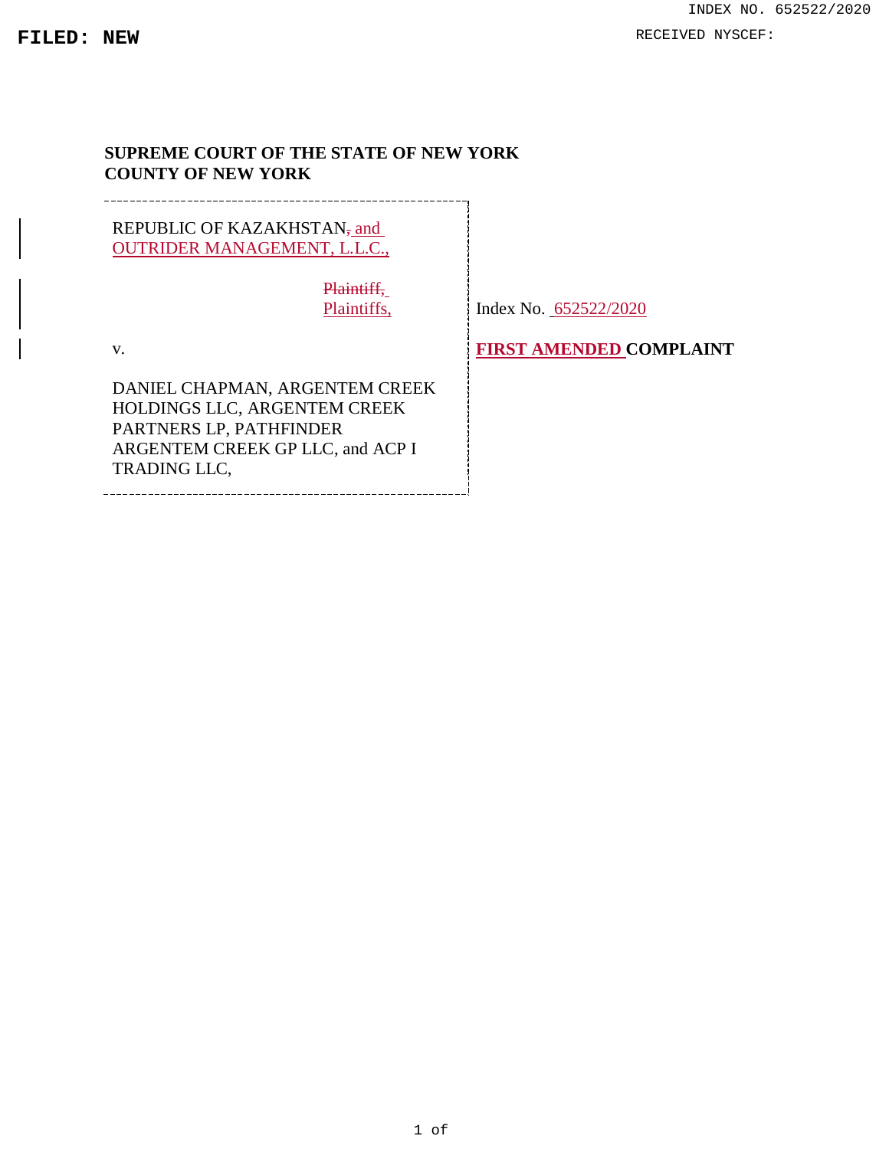### <span id="page-0-3"></span><span id="page-0-2"></span>**SUPREME COURT OF THE STATE OF NEW YORK COUNTY OF NEW YORK**

REPUBLIC OF KAZAKHSTAN<sub>z</sub> and OUTRIDER MANAGEMENT, L.L.C., Plaintiff,

Plaintiffs,

<span id="page-0-0"></span>Index No. 652522/2020

<span id="page-0-4"></span>v.

<span id="page-0-1"></span>DANIEL CHAPMAN, ARGENTEM CREEK HOLDINGS LLC, ARGENTEM CREEK PARTNERS LP, PATHFINDER ARGENTEM CREEK GP LLC, and ACP I TRADING LLC,

<span id="page-0-5"></span>

**FIRST AMENDED COMPLAINT**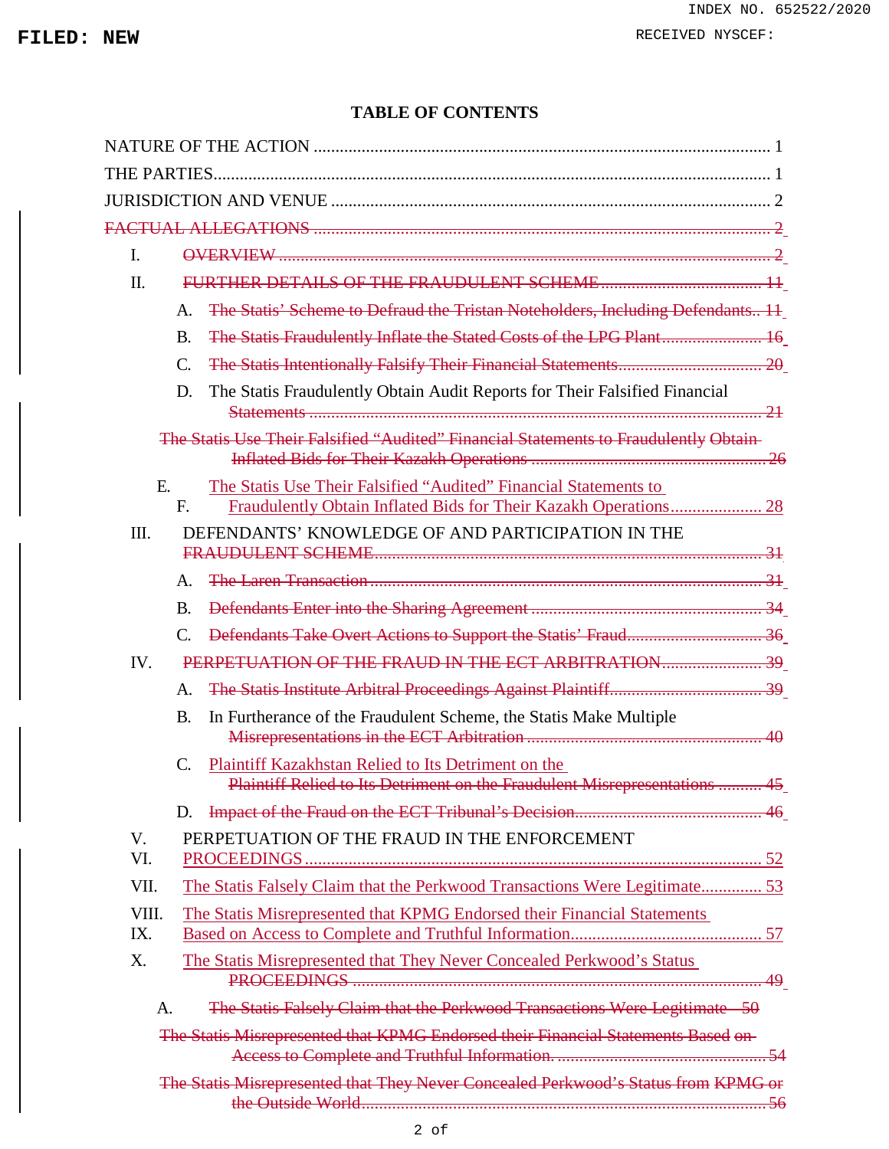### **TABLE OF CONTENTS**

| $\mathbf{I}$ . |                             |                                                                                       |
|----------------|-----------------------------|---------------------------------------------------------------------------------------|
| Π.             |                             |                                                                                       |
|                | $\mathsf{A}$ .              | The Statis' Scheme to Defraud the Tristan Noteholders, Including Defendants 11        |
|                | <b>B.</b>                   | The Statis Fraudulently Inflate the Stated Costs of the LPG Plant 16                  |
|                | $\mathcal{C}$               |                                                                                       |
|                | D.                          | The Statis Fraudulently Obtain Audit Reports for Their Falsified Financial            |
|                |                             | The Statis Use Their Falsified "Audited" Financial Statements to Fraudulently Obtain- |
| E.             | F.                          | The Statis Use Their Falsified "Audited" Financial Statements to                      |
| III.           |                             | DEFENDANTS' KNOWLEDGE OF AND PARTICIPATION IN THE                                     |
|                | $\mathsf{A}$ .              |                                                                                       |
|                | <b>B.</b>                   |                                                                                       |
|                | $\mathcal{C}_{\mathcal{C}}$ |                                                                                       |
| IV.            |                             |                                                                                       |
|                | A.                          |                                                                                       |
|                | <b>B.</b>                   | In Furtherance of the Fraudulent Scheme, the Statis Make Multiple                     |
|                | $\mathcal{C}$ .             | Plaintiff Kazakhstan Relied to Its Detriment on the                                   |
|                |                             | Plaintiff Relied to Its Detriment on the Fraudulent Misrepresentations  45            |
|                | D.                          |                                                                                       |
| V.<br>VI.      |                             | PERPETUATION OF THE FRAUD IN THE ENFORCEMENT                                          |
| VII.           |                             | The Statis Falsely Claim that the Perkwood Transactions Were Legitimate 53            |
| VIII.          |                             |                                                                                       |
| IX.            |                             | The Statis Misrepresented that KPMG Endorsed their Financial Statements               |
| X.             |                             | The Statis Misrepresented that They Never Concealed Perkwood's Status                 |
| A.             |                             | The Statis Falsely Claim that the Perkwood Transactions Were Legitimate 50            |
|                |                             | The Statis Misrepresented that KPMG Endorsed their Financial Statements Based on-     |
|                |                             | The Statis Misrepresented that They Never Concealed Perkwood's Status from KPMG or    |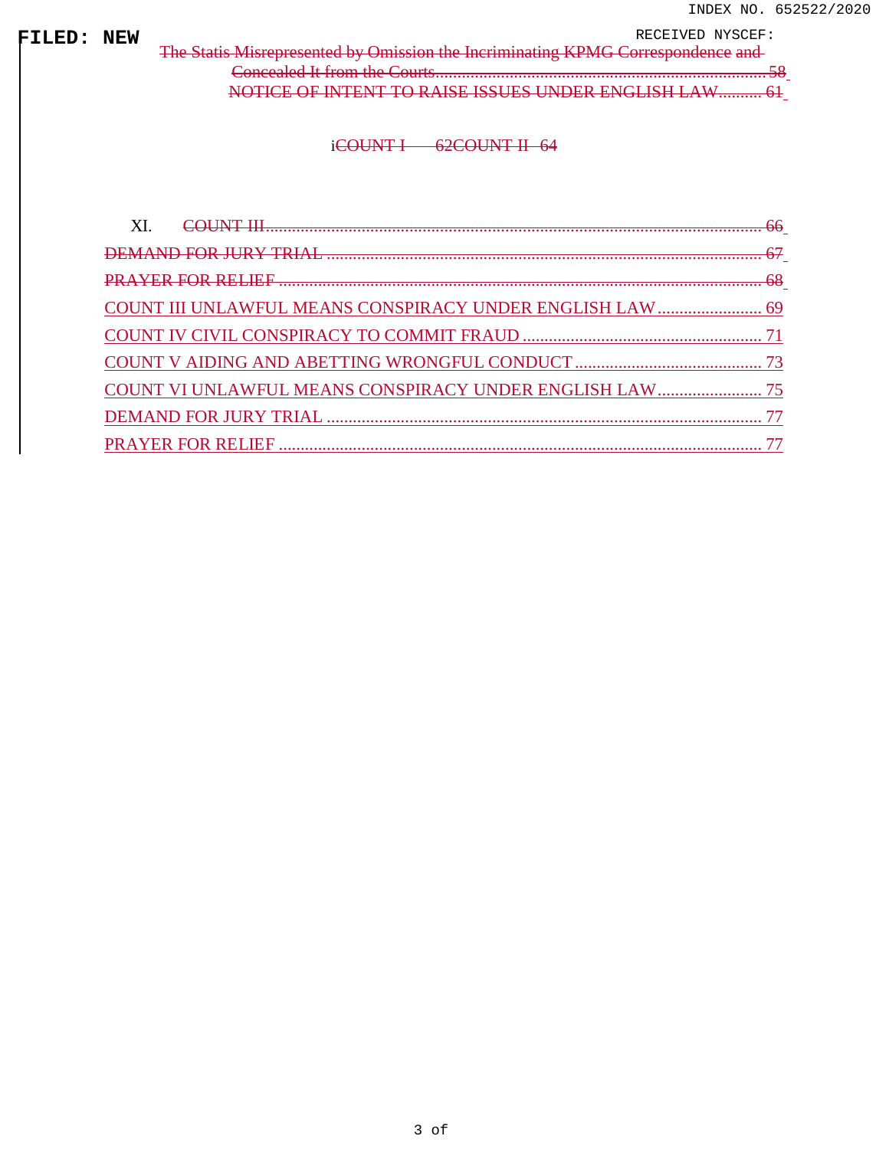**FILED: NEW**<br>| [The Statis Misrepresented by Omission the Incriminating KPMG Correspondence](#page-0-2) and [Concealed It from the Courts............................................................................](#page-0-2) 58 [NOTICE OF INTENT TO RAISE ISSUES UNDER ENGLISH LAW..........](#page-0-3) 61

### [iCOUNT I](#page-0-0) 6[2COUNT II](#page-0-0) 64

| COUNT III UNLAWFUL MEANS CONSPIRACY UNDER ENGLISH LAW  69 |  |
|-----------------------------------------------------------|--|
|                                                           |  |
|                                                           |  |
| COUNT VI UNLAWFUL MEANS CONSPIRACY UNDER ENGLISH LAW  75  |  |
|                                                           |  |
|                                                           |  |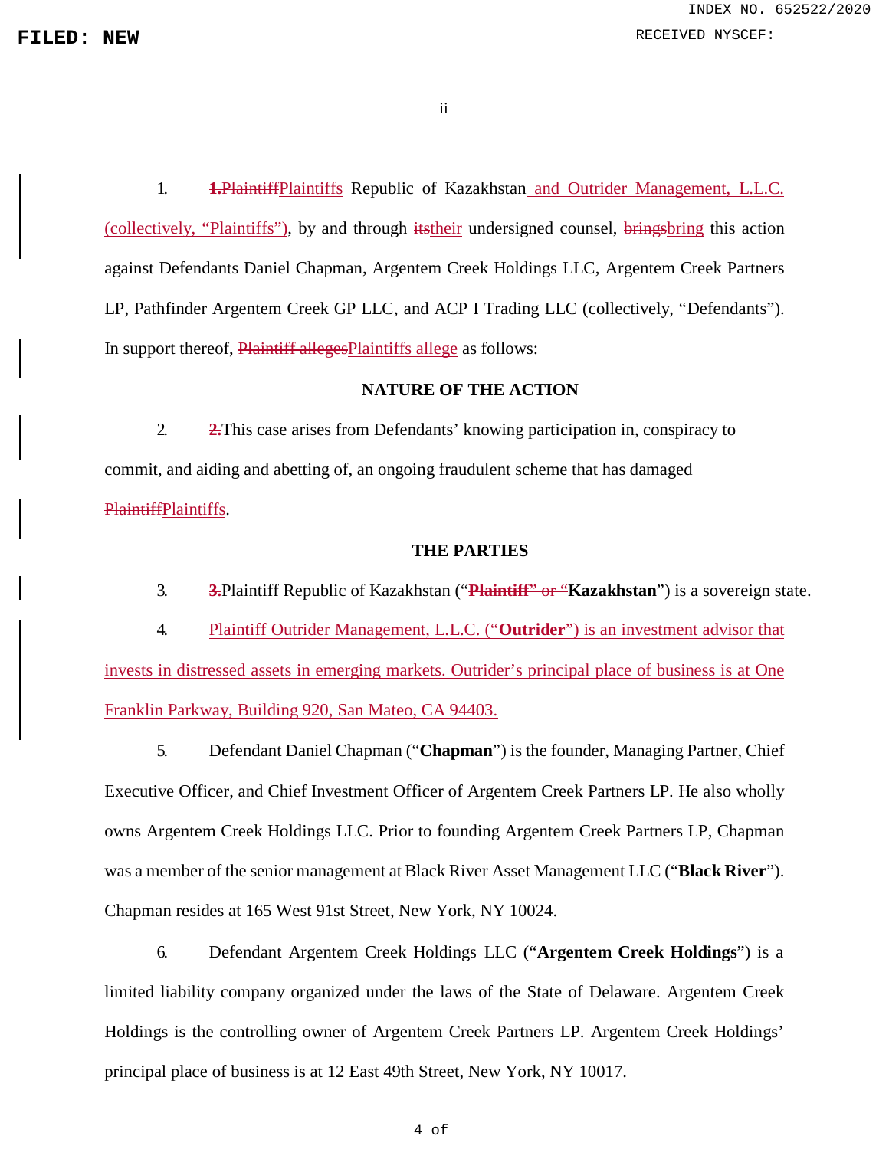ii

1. **1.**PlaintiffPlaintiffs Republic of Kazakhstan and Outrider Management, L.L.C. (collectively, "Plaintiffs"), by and through itstheir undersigned counsel, bringsbring this action against Defendants Daniel Chapman, Argentem Creek Holdings LLC, Argentem Creek Partners LP, Pathfinder Argentem Creek GP LLC, and ACP I Trading LLC (collectively, "Defendants"). In support thereof, Plaintiff alleges Plaintiffs allege as follows:

### **NATURE OF THE ACTION**

2. **2.**This case arises from Defendants' knowing participation in, conspiracy to commit, and aiding and abetting of, an ongoing fraudulent scheme that has damaged PlaintiffPlaintiffs.

### **THE PARTIES**

3. **3.**Plaintiff Republic of Kazakhstan ("**Plaintiff**" or "**Kazakhstan**") is a sovereign state.

4. Plaintiff Outrider Management, L.L.C. ("**Outrider**") is an investment advisor that invests in distressed assets in emerging markets. Outrider's principal place of business is at One Franklin Parkway, Building 920, San Mateo, CA 94403.

5. Defendant Daniel Chapman ("**Chapman**") is the founder, Managing Partner, Chief Executive Officer, and Chief Investment Officer of Argentem Creek Partners LP. He also wholly owns Argentem Creek Holdings LLC. Prior to founding Argentem Creek Partners LP, Chapman was a member of the senior management at Black River Asset Management LLC ("**Black River**"). Chapman resides at 165 West 91st Street, New York, NY 10024.

6. Defendant Argentem Creek Holdings LLC ("**Argentem Creek Holdings**") is a limited liability company organized under the laws of the State of Delaware. Argentem Creek Holdings is the controlling owner of Argentem Creek Partners LP. Argentem Creek Holdings' principal place of business is at 12 East 49th Street, New York, NY 10017.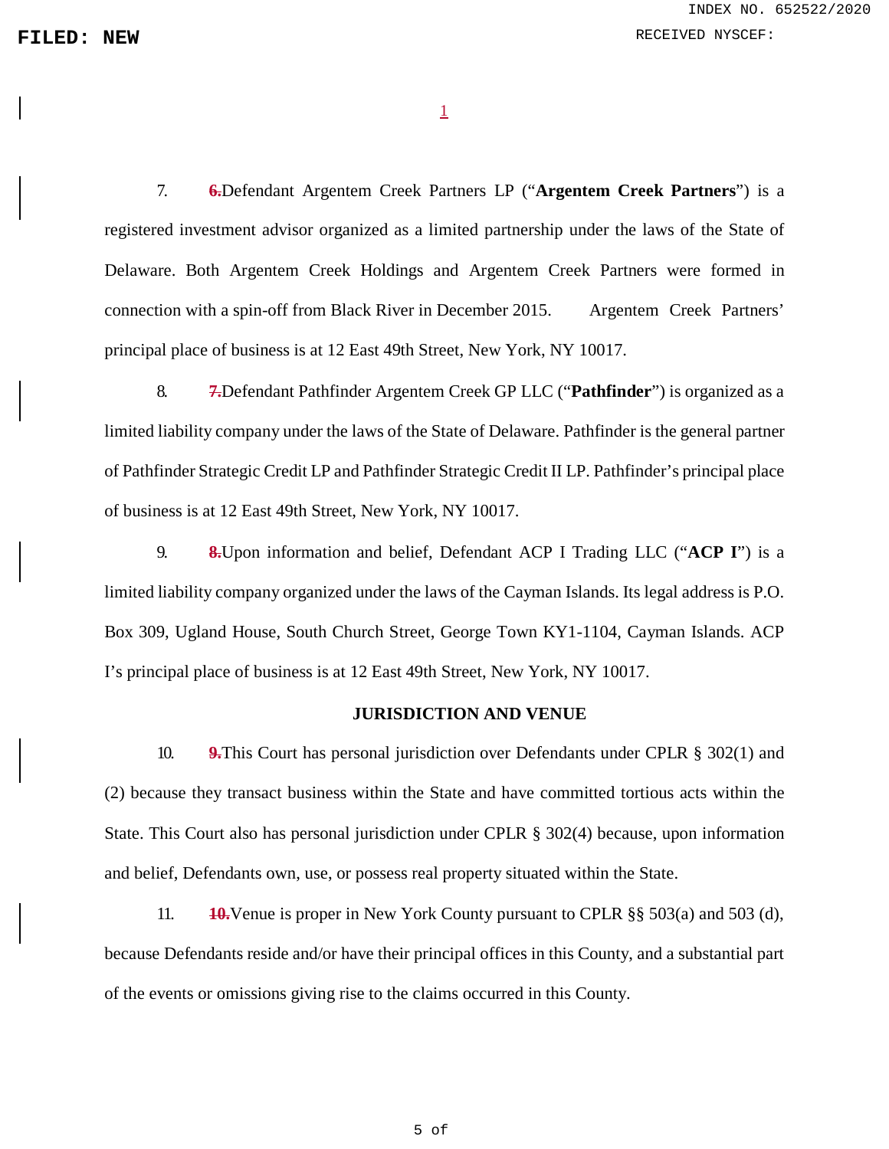1

7. **6.**Defendant Argentem Creek Partners LP ("**Argentem Creek Partners**") is a registered investment advisor organized as a limited partnership under the laws of the State of Delaware. Both Argentem Creek Holdings and Argentem Creek Partners were formed in connection with a spin-off from Black River in December 2015. Argentem Creek Partners' principal place of business is at 12 East 49th Street, New York, NY 10017.

8. **7.**Defendant Pathfinder Argentem Creek GP LLC ("**Pathfinder**") is organized as a limited liability company under the laws of the State of Delaware. Pathfinder is the general partner of Pathfinder Strategic Credit LP and Pathfinder Strategic Credit II LP. Pathfinder's principal place of business is at 12 East 49th Street, New York, NY 10017.

9. **8.**Upon information and belief, Defendant ACP I Trading LLC ("**ACP I**") is a limited liability company organized under the laws of the Cayman Islands. Its legal address is P.O. Box 309, Ugland House, South Church Street, George Town KY1-1104, Cayman Islands. ACP I's principal place of business is at 12 East 49th Street, New York, NY 10017.

### **JURISDICTION AND VENUE**

10. **9.**This Court has personal jurisdiction over Defendants under CPLR § 302(1) and (2) because they transact business within the State and have committed tortious acts within the State. This Court also has personal jurisdiction under CPLR § 302(4) because, upon information and belief, Defendants own, use, or possess real property situated within the State.

11. **10.**Venue is proper in New York County pursuant to CPLR §§ 503(a) and 503 (d), because Defendants reside and/or have their principal offices in this County, and a substantial part of the events or omissions giving rise to the claims occurred in this County.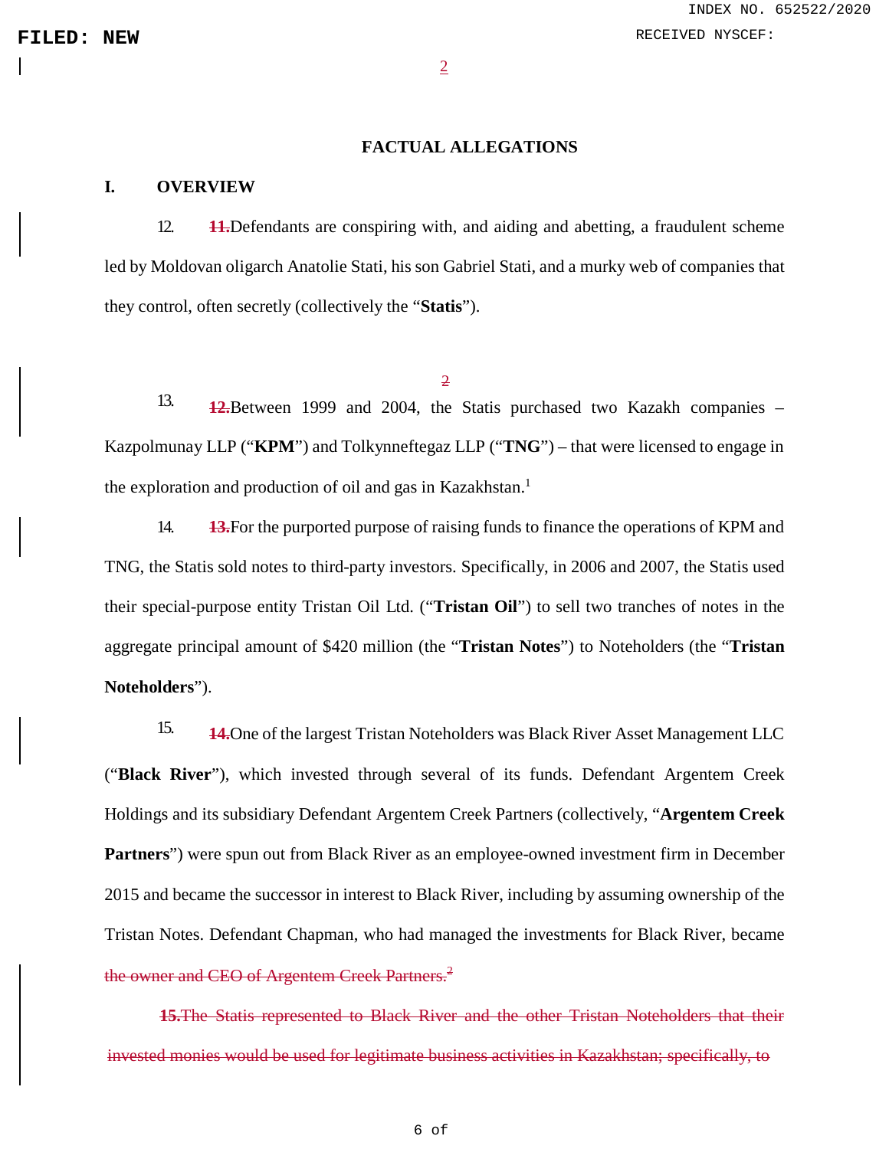2

### **FACTUAL ALLEGATIONS**

### **I. OVERVIEW**

12. **11.**Defendants are conspiring with, and aiding and abetting, a fraudulent scheme led by Moldovan oligarch Anatolie Stati, his son Gabriel Stati, and a murky web of companies that they control, often secretly (collectively the "**Statis**").

### 2

13. **12.**Between 1999 and 2004, the Statis purchased two Kazakh companies – Kazpolmunay LLP ("**KPM**") and Tolkynneftegaz LLP ("**TNG**") – that were licensed to engage in the exploration and production of oil and gas in Kazakhstan.<sup>[1](#page-0-2)</sup>

14. **13.**For the purported purpose of raising funds to finance the operations of KPM and TNG, the Statis sold notes to third-party investors. Specifically, in 2006 and 2007, the Statis used their special-purpose entity Tristan Oil Ltd. ("**Tristan Oil**") to sell two tranches of notes in the aggregate principal amount of \$420 million (the "**Tristan Notes**") to Noteholders (the "**Tristan Noteholders**").

15. **14.**One of the largest Tristan Noteholders was Black River Asset Management LLC ("**Black River**"), which invested through several of its funds. Defendant Argentem Creek Holdings and its subsidiary Defendant Argentem Creek Partners (collectively, "**Argentem Creek Partners**") were spun out from Black River as an employee-owned investment firm in December 2015 and became the successor in interest to Black River, including by assuming ownership of the Tristan Notes. Defendant Chapman, who had managed the investments for Black River, became the owner and CEO of Argentem Creek Partners.<sup>[2](#page-0-2)</sup>

**15.**The Statis represented to Black River and the other Tristan Noteholders that their invested monies would be used for legitimate business activities in Kazakhstan; specifically, to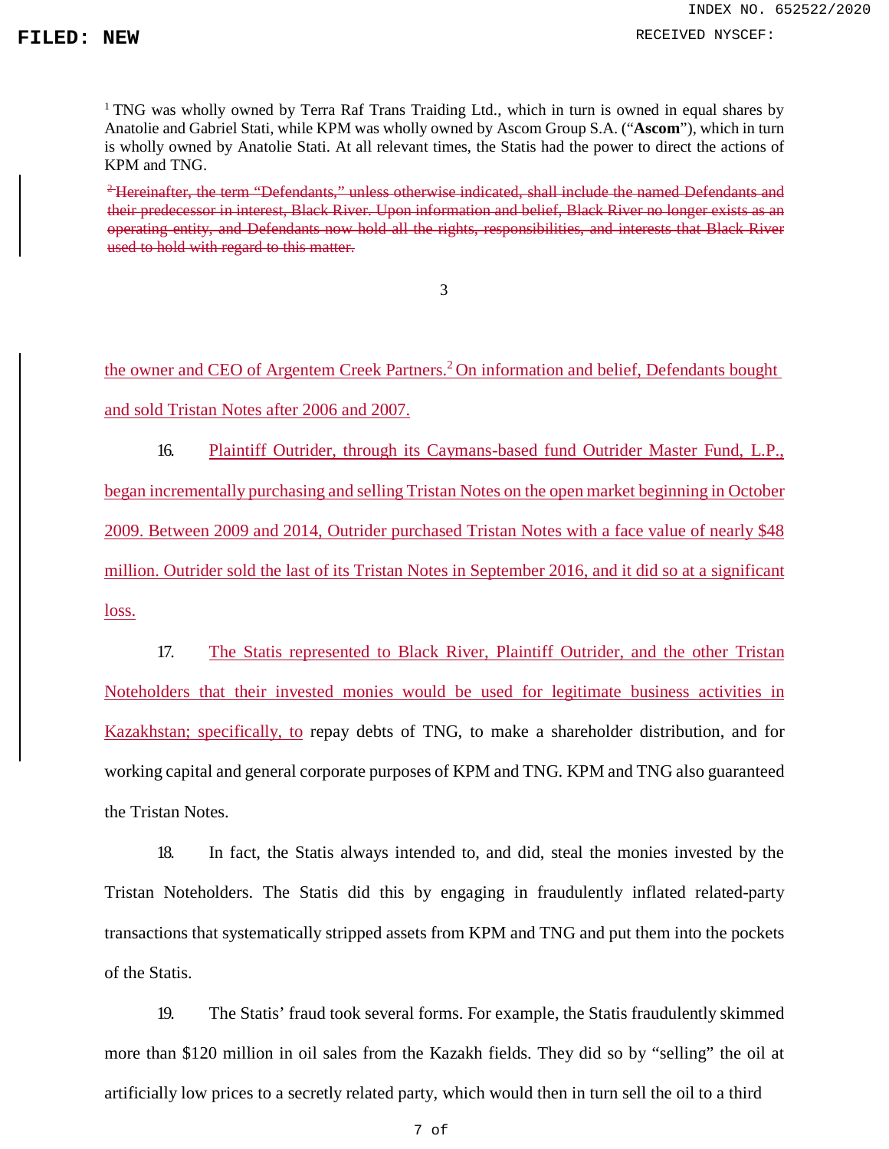**FILED:** NEW RECEIVED NYSCEF:

<sup>1</sup> TNG was wholly owned by Terra Raf Trans Traiding Ltd., which in turn is owned in equal shares by Anatolie and Gabriel Stati, while KPM was wholly owned by Ascom Group S.A. ("**Ascom**"), which in turn is wholly owned by Anatolie Stati. At all relevant times, the Statis had the power to direct the actions of KPM and TNG.

<sup>2</sup>Hereinafter, the term "Defendants," unless otherwise indicated, shall include the named Defendants and their predecessor in interest, Black River. Upon information and belief, Black River no longer exists as an operating entity, and Defendants now hold all the rights, responsibilities, and interests that Black River used to hold with regard to this matter.

3

the owner and CEO of Argentem Creek Partners.<sup>[2](#page-0-2)</sup> On information and belief, Defendants bought and sold Tristan Notes after 2006 and 2007.

16. Plaintiff Outrider, through its Caymans-based fund Outrider Master Fund, L.P., began incrementally purchasing and selling Tristan Notes on the open market beginning in October 2009. Between 2009 and 2014, Outrider purchased Tristan Notes with a face value of nearly \$48 million. Outrider sold the last of its Tristan Notes in September 2016, and it did so at a significant loss.

17. The Statis represented to Black River, Plaintiff Outrider, and the other Tristan Noteholders that their invested monies would be used for legitimate business activities in Kazakhstan; specifically, to repay debts of TNG, to make a shareholder distribution, and for working capital and general corporate purposes of KPM and TNG. KPM and TNG also guaranteed the Tristan Notes.

18. In fact, the Statis always intended to, and did, steal the monies invested by the Tristan Noteholders. The Statis did this by engaging in fraudulently inflated related-party transactions that systematically stripped assets from KPM and TNG and put them into the pockets of the Statis.

19. The Statis' fraud took several forms. For example, the Statis fraudulently skimmed more than \$120 million in oil sales from the Kazakh fields. They did so by "selling" the oil at artificially low prices to a secretly related party, which would then in turn sell the oil to a third

7 of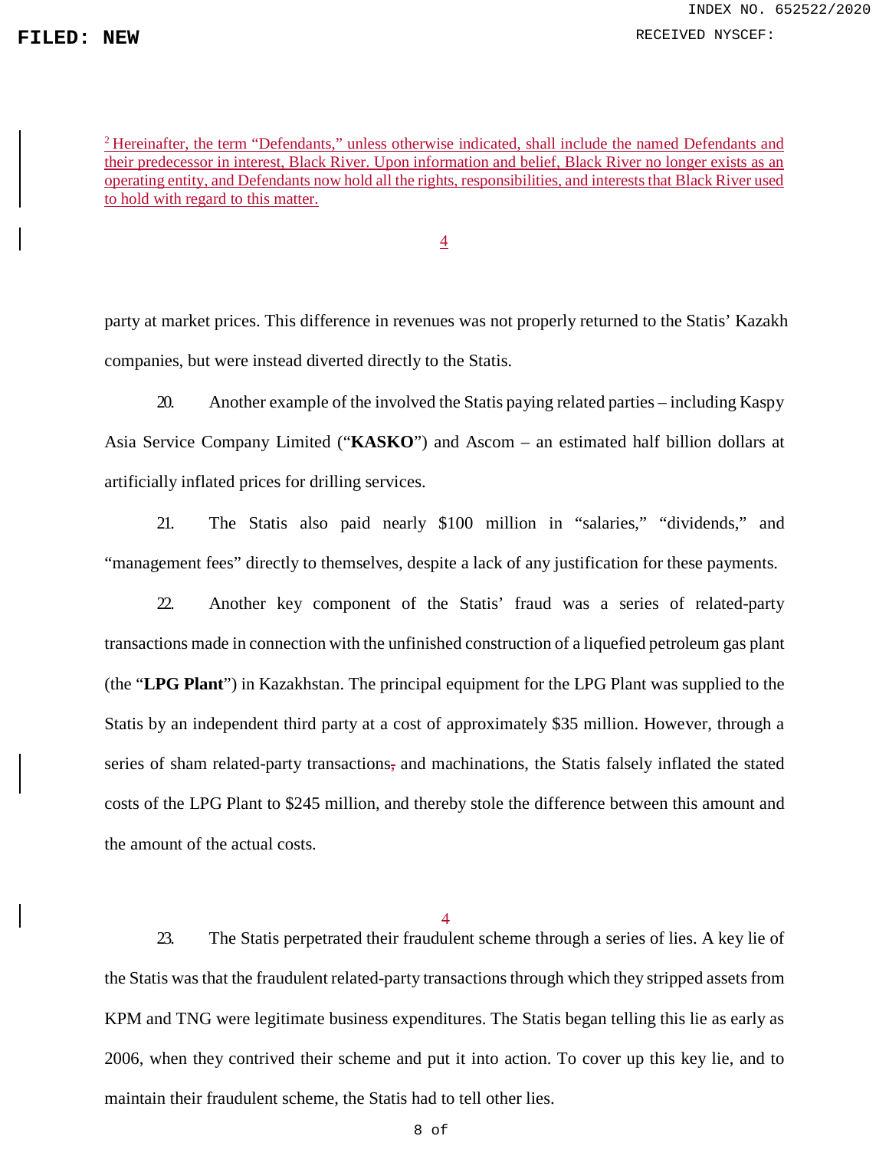**FILED:** NEW RECEIVED NYSCEF:

<sup>2</sup> Hereinafter, the term "Defendants," unless otherwise indicated, shall include the named Defendants and their predecessor in interest, Black River. Upon information and belief, Black River no longer exists as an operating entity, and Defendants now hold all the rights, responsibilities, and interests that Black River used to hold with regard to this matter.

4

party at market prices. This difference in revenues was not properly returned to the Statis' Kazakh companies, but were instead diverted directly to the Statis.

20. Another example of the involved the Statis paying related parties – including Kaspy Asia Service Company Limited ("**KASKO**") and Ascom – an estimated half billion dollars at artificially inflated prices for drilling services.

21. The Statis also paid nearly \$100 million in "salaries," "dividends," and "management fees" directly to themselves, despite a lack of any justification for these payments.

22. Another key component of the Statis' fraud was a series of related-party transactions made in connection with the unfinished construction of a liquefied petroleum gas plant (the "**LPG Plant**") in Kazakhstan. The principal equipment for the LPG Plant was supplied to the Statis by an independent third party at a cost of approximately \$35 million. However, through a series of sham related-party transactions, and machinations, the Statis falsely inflated the stated costs of the LPG Plant to \$245 million, and thereby stole the difference between this amount and the amount of the actual costs.

4

23. The Statis perpetrated their fraudulent scheme through a series of lies. A key lie of the Statis was that the fraudulent related-party transactions through which they stripped assets from KPM and TNG were legitimate business expenditures. The Statis began telling this lie as early as 2006, when they contrived their scheme and put it into action. To cover up this key lie, and to maintain their fraudulent scheme, the Statis had to tell other lies.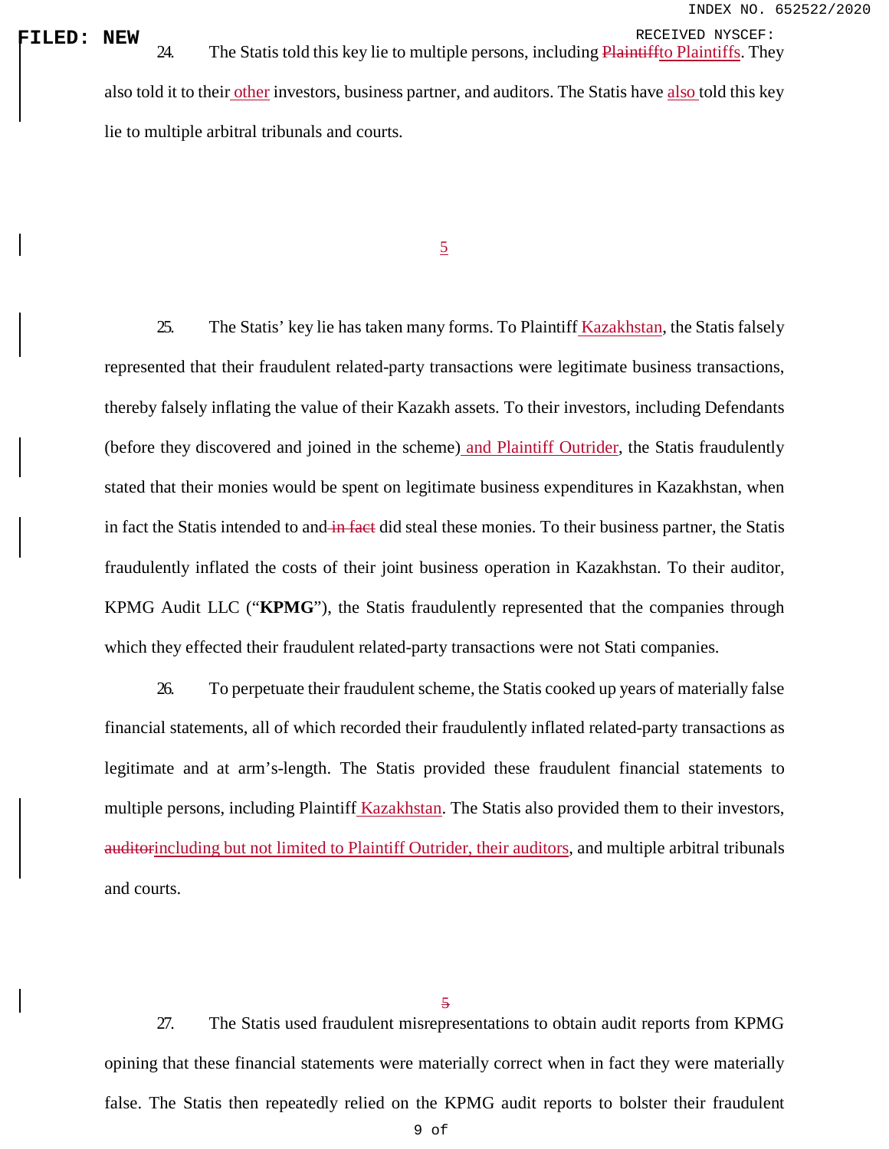**FILED: NEW**<br>| RECEIVED NYSCEF:<br>| 24. The Statis told this key lie to multiple persons, including *Plaintiffto Plaintiffs*. They also told it to their other investors, business partner, and auditors. The Statis have also told this key lie to multiple arbitral tribunals and courts.

5

25. The Statis' key lie has taken many forms. To Plaintiff Kazakhstan, the Statis falsely represented that their fraudulent related-party transactions were legitimate business transactions, thereby falsely inflating the value of their Kazakh assets. To their investors, including Defendants (before they discovered and joined in the scheme) and Plaintiff Outrider, the Statis fraudulently stated that their monies would be spent on legitimate business expenditures in Kazakhstan, when in fact the Statis intended to and in fact did steal these monies. To their business partner, the Statis fraudulently inflated the costs of their joint business operation in Kazakhstan. To their auditor, KPMG Audit LLC ("**KPMG**"), the Statis fraudulently represented that the companies through which they effected their fraudulent related-party transactions were not Stati companies.

26. To perpetuate their fraudulent scheme, the Statis cooked up years of materially false financial statements, all of which recorded their fraudulently inflated related-party transactions as legitimate and at arm's-length. The Statis provided these fraudulent financial statements to multiple persons, including Plaintiff Kazakhstan. The Statis also provided them to their investors, auditorincluding but not limited to Plaintiff Outrider, their auditors, and multiple arbitral tribunals and courts.

27. The Statis used fraudulent misrepresentations to obtain audit reports from KPMG opining that these financial statements were materially correct when in fact they were materially false. The Statis then repeatedly relied on the KPMG audit reports to bolster their fraudulent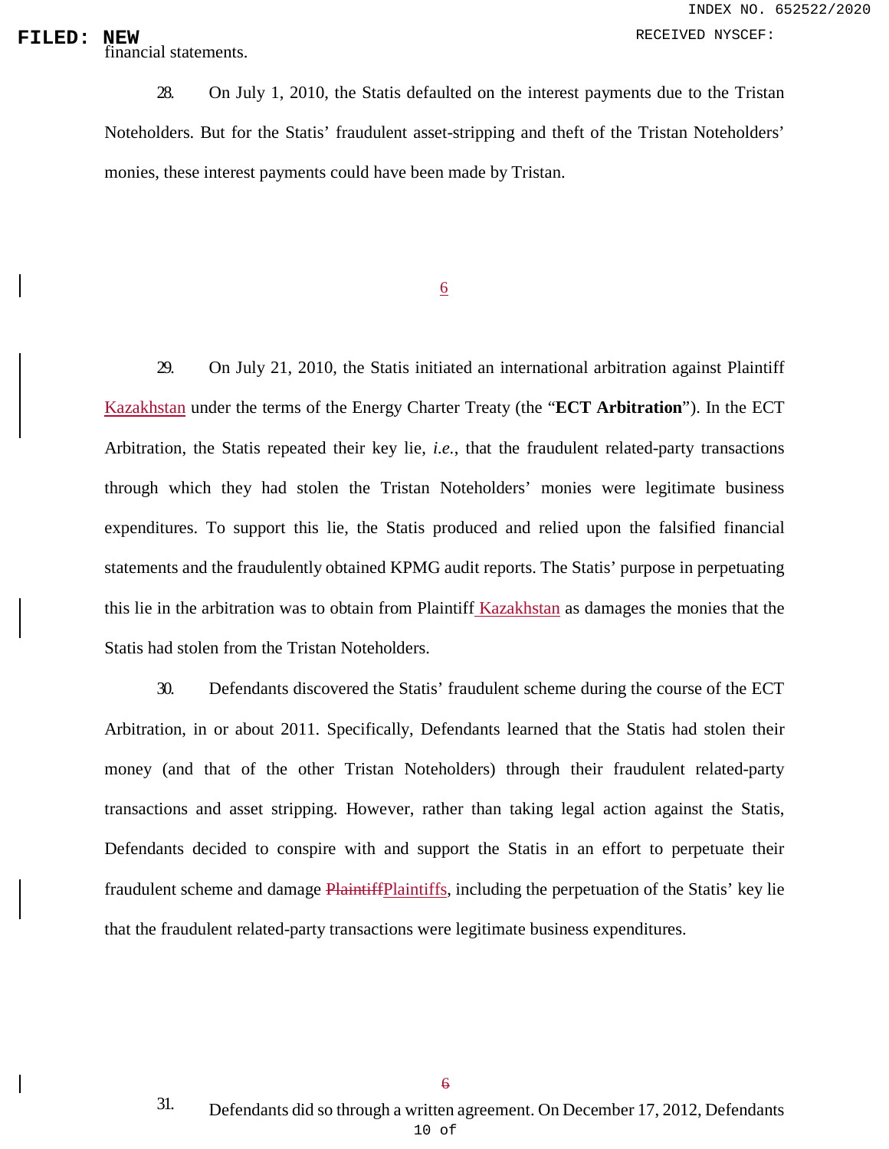### **FILED:** NEW RECEIVED NYSCEF:

NEW<br>financial statements.

28. On July 1, 2010, the Statis defaulted on the interest payments due to the Tristan Noteholders. But for the Statis' fraudulent asset-stripping and theft of the Tristan Noteholders' monies, these interest payments could have been made by Tristan.

6

29. On July 21, 2010, the Statis initiated an international arbitration against Plaintiff Kazakhstan under the terms of the Energy Charter Treaty (the "**ECT Arbitration**"). In the ECT Arbitration, the Statis repeated their key lie, *i.e.*, that the fraudulent related-party transactions through which they had stolen the Tristan Noteholders' monies were legitimate business expenditures. To support this lie, the Statis produced and relied upon the falsified financial statements and the fraudulently obtained KPMG audit reports. The Statis' purpose in perpetuating this lie in the arbitration was to obtain from Plaintiff Kazakhstan as damages the monies that the Statis had stolen from the Tristan Noteholders.

30. Defendants discovered the Statis' fraudulent scheme during the course of the ECT Arbitration, in or about 2011. Specifically, Defendants learned that the Statis had stolen their money (and that of the other Tristan Noteholders) through their fraudulent related-party transactions and asset stripping. However, rather than taking legal action against the Statis, Defendants decided to conspire with and support the Statis in an effort to perpetuate their fraudulent scheme and damage PlaintiffPlaintiffs, including the perpetuation of the Statis' key lie that the fraudulent related-party transactions were legitimate business expenditures.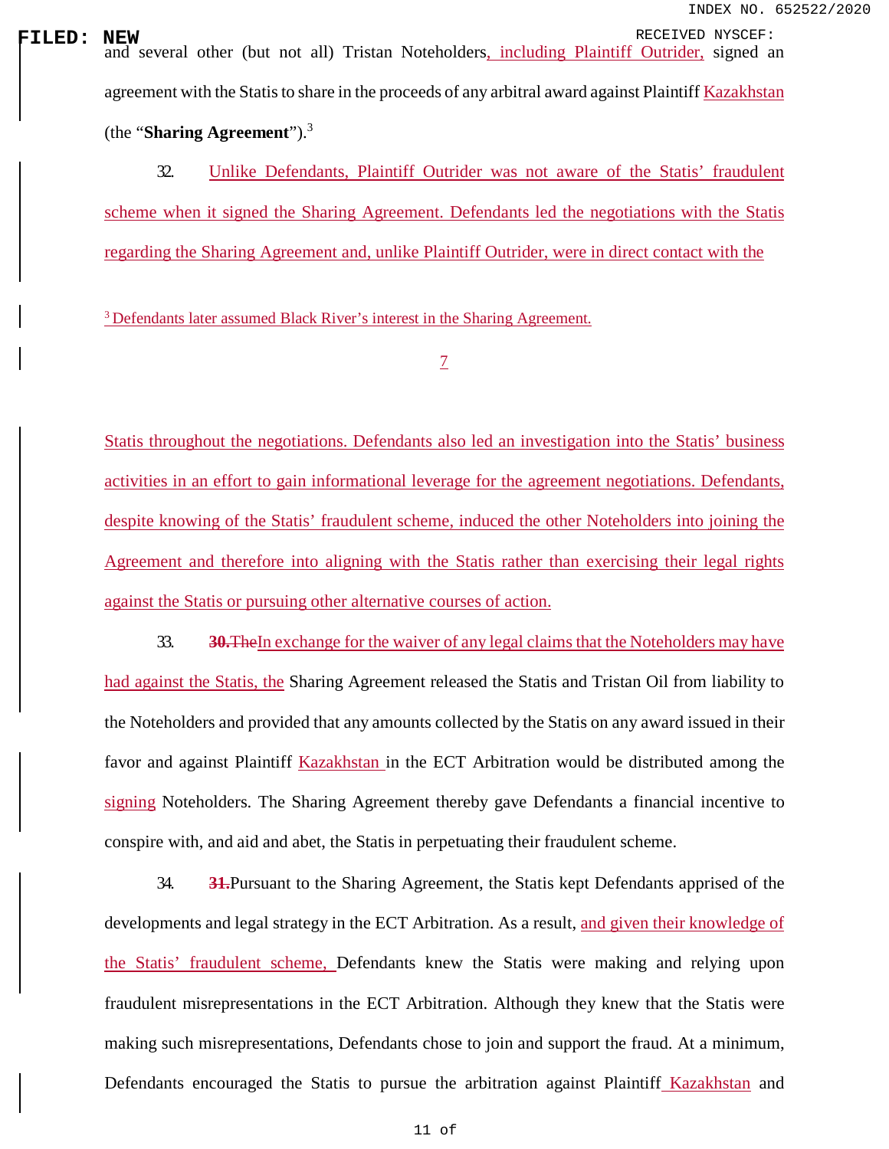**FILED: NEW**<br>| and several other (but not all) Tristan Noteholders<u>, including Plaintiff Outrider</u>, signed an agreement with the Statis to share in the proceeds of any arbitral award against Plaintiff Kazakhstan (the "**Sharing Agreement**").[3](#page-0-2)

> 32. Unlike Defendants, Plaintiff Outrider was not aware of the Statis' fraudulent scheme when it signed the Sharing Agreement. Defendants led the negotiations with the Statis regarding the Sharing Agreement and, unlike Plaintiff Outrider, were in direct contact with the

<sup>3</sup> Defendants later assumed Black River's interest in the Sharing Agreement.

Statis throughout the negotiations. Defendants also led an investigation into the Statis' business activities in an effort to gain informational leverage for the agreement negotiations. Defendants, despite knowing of the Statis' fraudulent scheme, induced the other Noteholders into joining the Agreement and therefore into aligning with the Statis rather than exercising their legal rights against the Statis or pursuing other alternative courses of action.

33. **30.**TheIn exchange for the waiver of any legal claims that the Noteholders may have had against the Statis, the Sharing Agreement released the Statis and Tristan Oil from liability to the Noteholders and provided that any amounts collected by the Statis on any award issued in their favor and against Plaintiff Kazakhstan in the ECT Arbitration would be distributed among the signing Noteholders. The Sharing Agreement thereby gave Defendants a financial incentive to conspire with, and aid and abet, the Statis in perpetuating their fraudulent scheme.

34. **31.**Pursuant to the Sharing Agreement, the Statis kept Defendants apprised of the developments and legal strategy in the ECT Arbitration. As a result, and given their knowledge of the Statis' fraudulent scheme, Defendants knew the Statis were making and relying upon fraudulent misrepresentations in the ECT Arbitration. Although they knew that the Statis were making such misrepresentations, Defendants chose to join and support the fraud. At a minimum, Defendants encouraged the Statis to pursue the arbitration against Plaintiff Kazakhstan and

<sup>7</sup>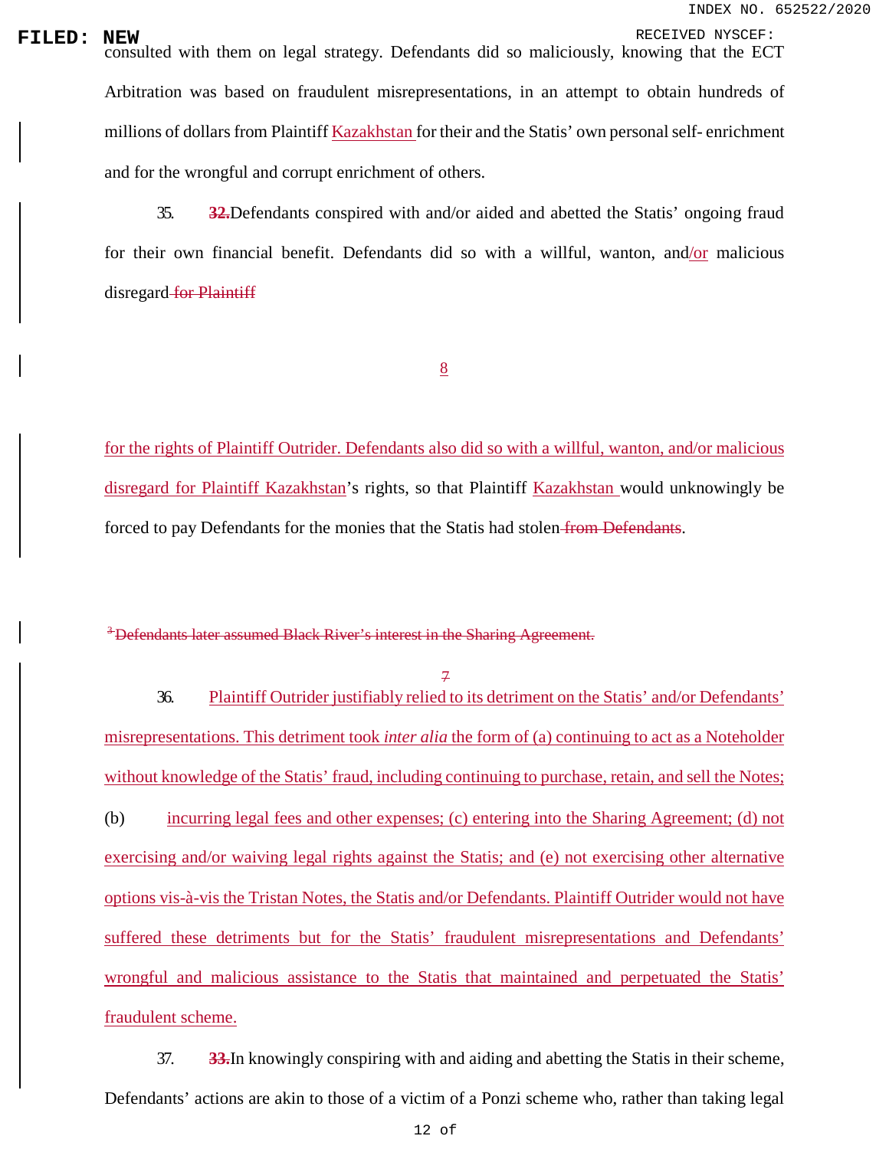**FILED: NEW**<br>consulted with them on legal strategy. Defendants did so maliciously, knowing that the ECT Arbitration was based on fraudulent misrepresentations, in an attempt to obtain hundreds of millions of dollars from Plaintiff Kazakhstan for their and the Statis' own personal self- enrichment and for the wrongful and corrupt enrichment of others.

> 35. **32.**Defendants conspired with and/or aided and abetted the Statis' ongoing fraud for their own financial benefit. Defendants did so with a willful, wanton, and/or malicious disregard for Plaintiff

> > 8

for the rights of Plaintiff Outrider. Defendants also did so with a willful, wanton, and/or malicious disregard for Plaintiff Kazakhstan's rights, so that Plaintiff Kazakhstan would unknowingly be forced to pay Defendants for the monies that the Statis had stolen from Defendants.

### <sup>3</sup> Defendants later assumed Black River's interest in the Sharing Agreement.

7

36. Plaintiff Outrider justifiably relied to its detriment on the Statis' and/or Defendants' misrepresentations. This detriment took *inter alia* the form of (a) continuing to act as a Noteholder without knowledge of the Statis' fraud, including continuing to purchase, retain, and sell the Notes; (b) incurring legal fees and other expenses; (c) entering into the Sharing Agreement; (d) not exercising and/or waiving legal rights against the Statis; and (e) not exercising other alternative options vis-à-vis the Tristan Notes, the Statis and/or Defendants. Plaintiff Outrider would not have suffered these detriments but for the Statis' fraudulent misrepresentations and Defendants' wrongful and malicious assistance to the Statis that maintained and perpetuated the Statis' fraudulent scheme.

37. **33.**In knowingly conspiring with and aiding and abetting the Statis in their scheme, Defendants' actions are akin to those of a victim of a Ponzi scheme who, rather than taking legal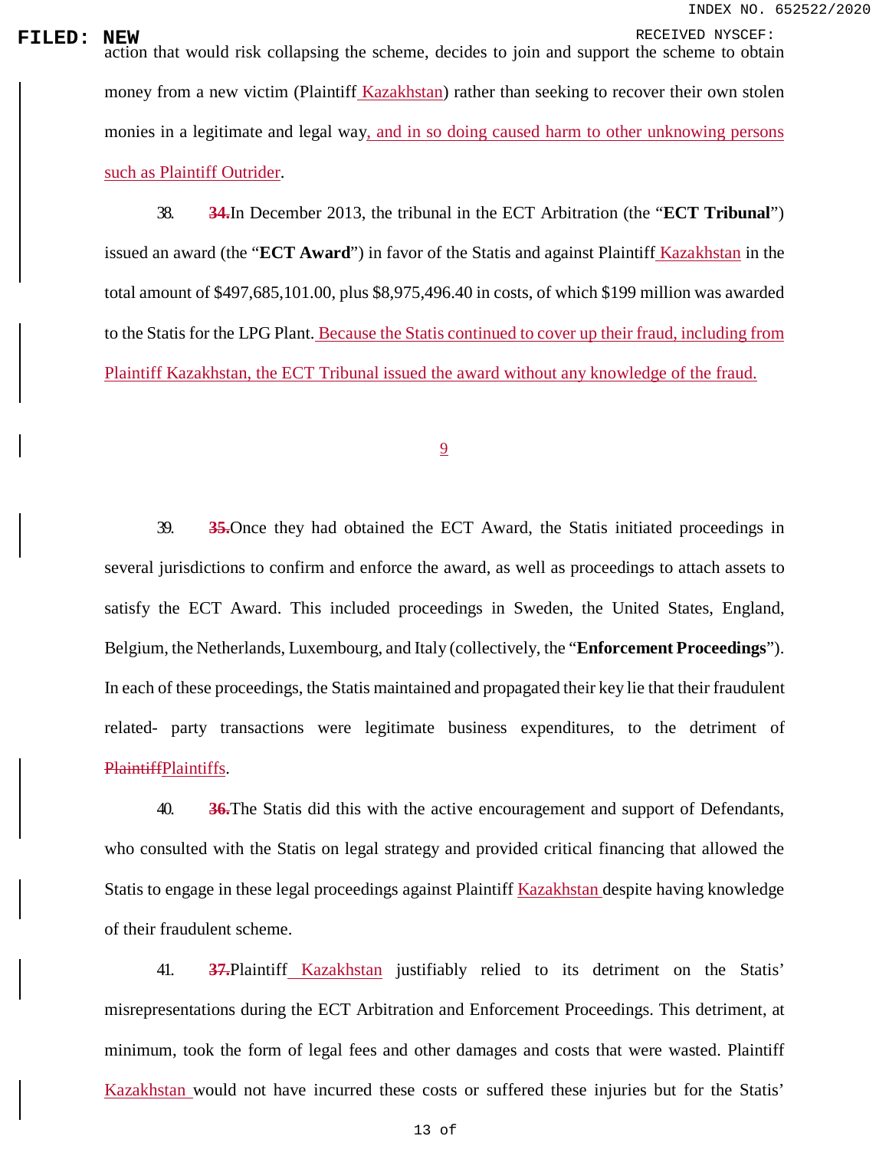**FILED:** NEW RECEIVED NYSCEF:<br>action that would risk collapsing the scheme, decides to join and support the scheme to obtain money from a new victim (Plaintiff Kazakhstan) rather than seeking to recover their own stolen monies in a legitimate and legal way, and in so doing caused harm to other unknowing persons such as Plaintiff Outrider.

> 38. **34.**In December 2013, the tribunal in the ECT Arbitration (the "**ECT Tribunal**") issued an award (the "**ECT Award**") in favor of the Statis and against Plaintiff Kazakhstan in the total amount of \$497,685,101.00, plus \$8,975,496.40 in costs, of which \$199 million was awarded to the Statis for the LPG Plant. Because the Statis continued to cover up their fraud, including from Plaintiff Kazakhstan, the ECT Tribunal issued the award without any knowledge of the fraud.

> > 9

39. **35.**Once they had obtained the ECT Award, the Statis initiated proceedings in several jurisdictions to confirm and enforce the award, as well as proceedings to attach assets to satisfy the ECT Award. This included proceedings in Sweden, the United States, England, Belgium, the Netherlands, Luxembourg, and Italy (collectively, the "**Enforcement Proceedings**"). In each of these proceedings, the Statis maintained and propagated their key lie that their fraudulent related- party transactions were legitimate business expenditures, to the detriment of PlaintiffPlaintiffs.

40. **36.**The Statis did this with the active encouragement and support of Defendants, who consulted with the Statis on legal strategy and provided critical financing that allowed the Statis to engage in these legal proceedings against Plaintiff Kazakhstan despite having knowledge of their fraudulent scheme.

41. **37.**Plaintiff Kazakhstan justifiably relied to its detriment on the Statis' misrepresentations during the ECT Arbitration and Enforcement Proceedings. This detriment, at minimum, took the form of legal fees and other damages and costs that were wasted. Plaintiff Kazakhstan would not have incurred these costs or suffered these injuries but for the Statis'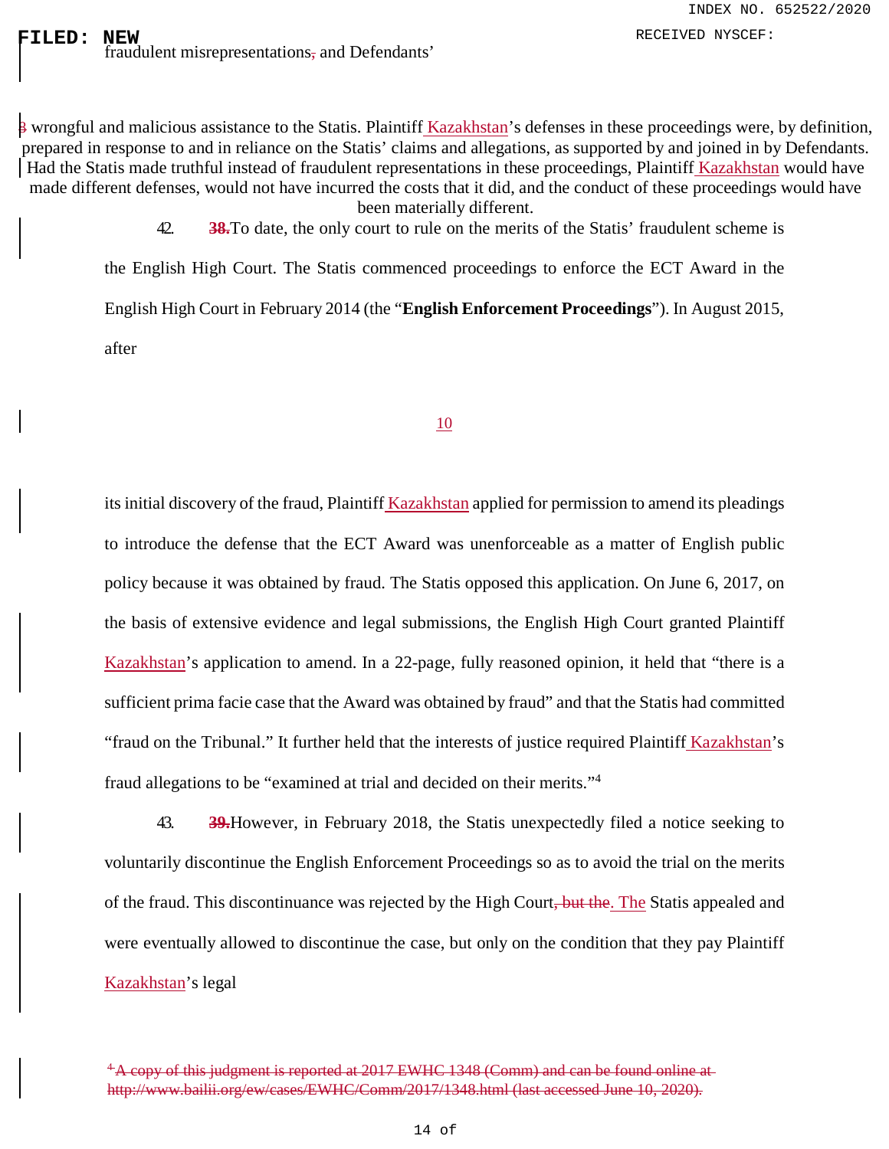prepared in response to and in reliance on the Statis' claims and allegations, as supported by and joined in by Defendants. 8 wrongful and malicious assistance to the Statis. Plaintiff Kazakhstan's defenses in these proceedings were, by definition, Had the Statis made truthful instead of fraudulent representations in these proceedings, Plaintiff Kazakhstan would have made different defenses, would not have incurred the costs that it did, and the conduct of these proceedings would have been materially different.

> 42. **38.**To date, the only court to rule on the merits of the Statis' fraudulent scheme is the English High Court. The Statis commenced proceedings to enforce the ECT Award in the English High Court in February 2014 (the "**English Enforcement Proceedings**"). In August 2015, after

### 10

its initial discovery of the fraud, Plaintiff Kazakhstan applied for permission to amend its pleadings to introduce the defense that the ECT Award was unenforceable as a matter of English public policy because it was obtained by fraud. The Statis opposed this application. On June 6, 2017, on the basis of extensive evidence and legal submissions, the English High Court granted Plaintiff Kazakhstan's application to amend. In a 22-page, fully reasoned opinion, it held that "there is a sufficient prima facie case that the Award was obtained by fraud" and that the Statis had committed "fraud on the Tribunal." It further held that the interests of justice required Plaintiff Kazakhstan's fraud allegations to be "examined at trial and decided on their merits."[4](#page-0-2)

43. **39.**However, in February 2018, the Statis unexpectedly filed a notice seeking to voluntarily discontinue the English Enforcement Proceedings so as to avoid the trial on the merits of the fraud. This discontinuance was rejected by the High Court, but the. The Statis appealed and were eventually allowed to discontinue the case, but only on the condition that they pay Plaintiff Kazakhstan's legal

<sup>&</sup>lt;sup>4</sup> A copy of this judgment is reported at 2017 EWHC 1348 (Comm) and can be found online at <http://www.bailii.org/ew/cases/EWHC/Comm/2017/1348.html> (last accessed June 10, 2020).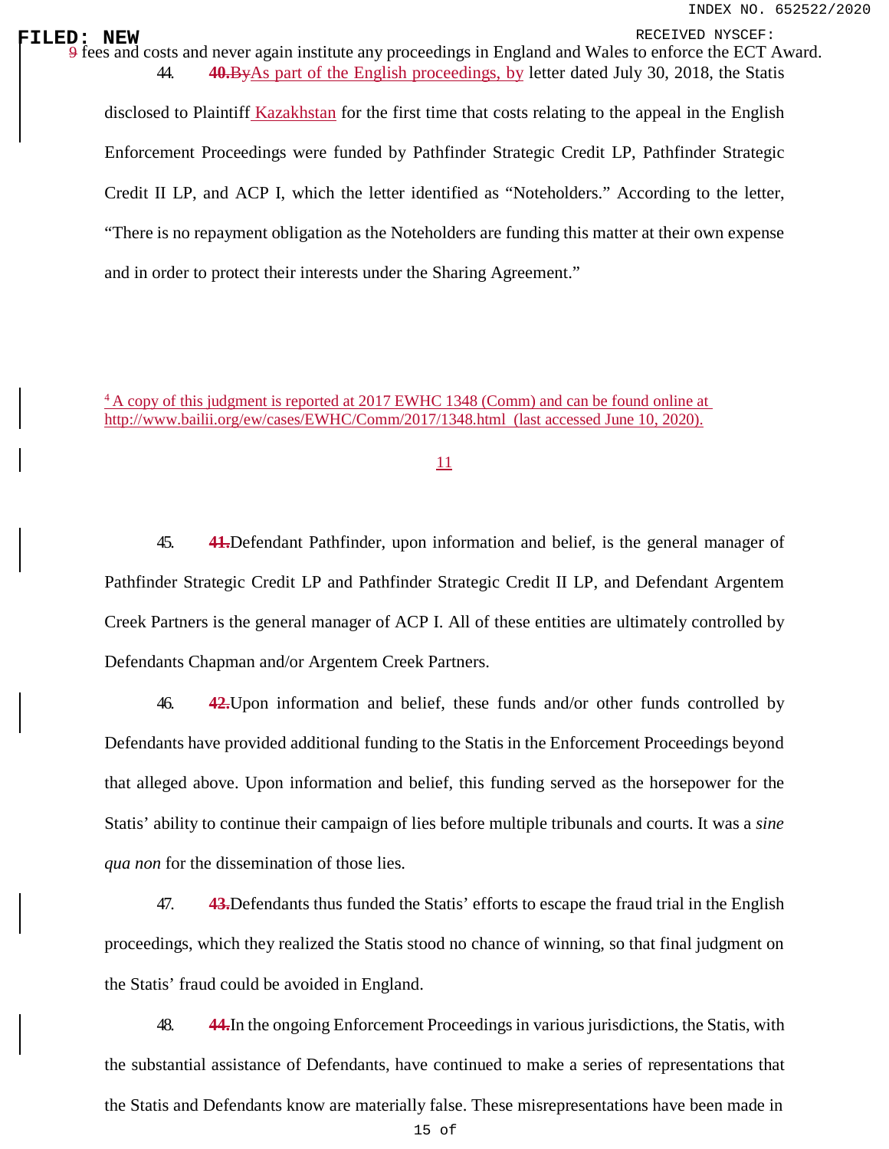**FILED: NEW** RECEIVED NYSCEF: 9 fees and costs and never again institute any proceedings in England and Wales to enforce the ECT Award.<br>
4 **40 ByAs part of the English proceedings** by letter dated July 30, 2018, the Statis 44. **40.**ByAs part of the English proceedings, by letter dated July 30, 2018, the Statis

> disclosed to Plaintiff Kazakhstan for the first time that costs relating to the appeal in the English Enforcement Proceedings were funded by Pathfinder Strategic Credit LP, Pathfinder Strategic Credit II LP, and ACP I, which the letter identified as "Noteholders." According to the letter, "There is no repayment obligation as the Noteholders are funding this matter at their own expense and in order to protect their interests under the Sharing Agreement."

4 A copy of this judgment is reported at 2017 EWHC 1348 (Comm) and can be found online at http://www.bailii.org/ew/cases/EWHC/Comm/2017/1348.html (last accessed June 10, 2020).

11

45. **41.**Defendant Pathfinder, upon information and belief, is the general manager of Pathfinder Strategic Credit LP and Pathfinder Strategic Credit II LP, and Defendant Argentem Creek Partners is the general manager of ACP I. All of these entities are ultimately controlled by Defendants Chapman and/or Argentem Creek Partners.

46. **42.**Upon information and belief, these funds and/or other funds controlled by Defendants have provided additional funding to the Statis in the Enforcement Proceedings beyond that alleged above. Upon information and belief, this funding served as the horsepower for the Statis' ability to continue their campaign of lies before multiple tribunals and courts. It was a *sine qua non* for the dissemination of those lies.

47. **43.**Defendants thus funded the Statis' efforts to escape the fraud trial in the English proceedings, which they realized the Statis stood no chance of winning, so that final judgment on the Statis' fraud could be avoided in England.

48. **44.**In the ongoing Enforcement Proceedings in various jurisdictions, the Statis, with the substantial assistance of Defendants, have continued to make a series of representations that the Statis and Defendants know are materially false. These misrepresentations have been made in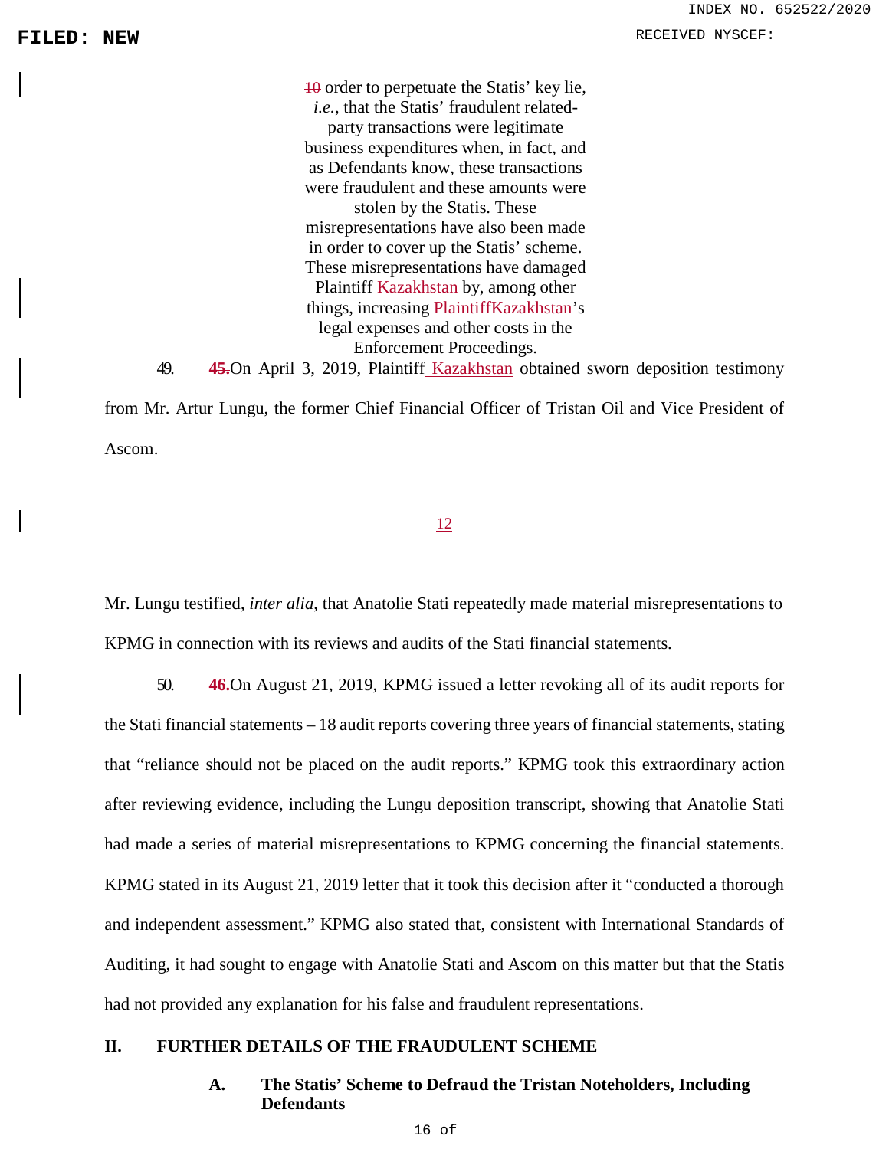10 order to perpetuate the Statis' key lie, *i.e.*, that the Statis' fraudulent relatedparty transactions were legitimate business expenditures when, in fact, and as Defendants know, these transactions were fraudulent and these amounts were stolen by the Statis. These misrepresentations have also been made in order to cover up the Statis' scheme. These misrepresentations have damaged Plaintiff Kazakhstan by, among other things, increasing PlaintiffKazakhstan's legal expenses and other costs in the Enforcement Proceedings.

49. **45.**On April 3, 2019, Plaintiff Kazakhstan obtained sworn deposition testimony

from Mr. Artur Lungu, the former Chief Financial Officer of Tristan Oil and Vice President of Ascom.

### 12

Mr. Lungu testified, *inter alia*, that Anatolie Stati repeatedly made material misrepresentations to KPMG in connection with its reviews and audits of the Stati financial statements.

50. **46.**On August 21, 2019, KPMG issued a letter revoking all of its audit reports for the Stati financial statements – 18 audit reports covering three years of financial statements, stating that "reliance should not be placed on the audit reports." KPMG took this extraordinary action after reviewing evidence, including the Lungu deposition transcript, showing that Anatolie Stati had made a series of material misrepresentations to KPMG concerning the financial statements. KPMG stated in its August 21, 2019 letter that it took this decision after it "conducted a thorough and independent assessment." KPMG also stated that, consistent with International Standards of Auditing, it had sought to engage with Anatolie Stati and Ascom on this matter but that the Statis had not provided any explanation for his false and fraudulent representations.

### **II. FURTHER DETAILS OF THE FRAUDULENT SCHEME**

### **A. The Statis' Scheme to Defraud the Tristan Noteholders, Including Defendants**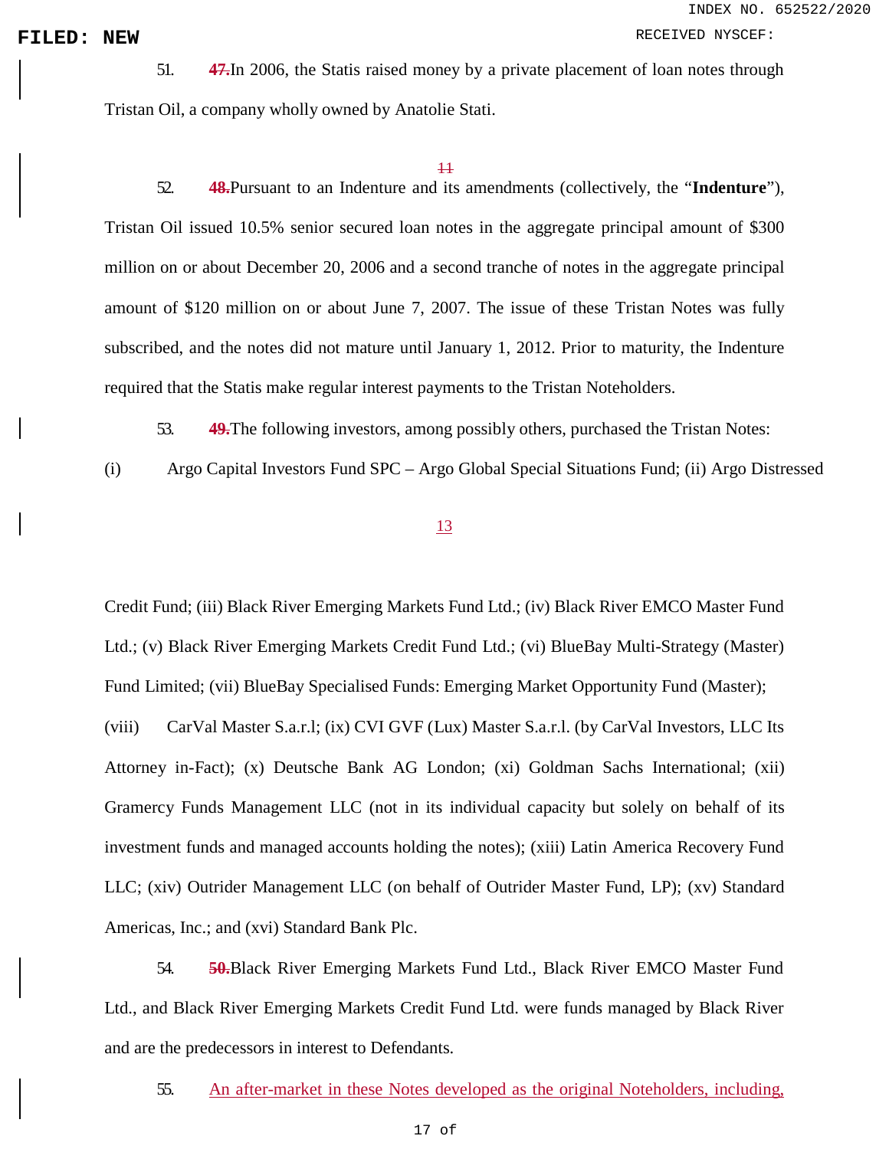INDEX NO. 652522/2020

FILED: NEW **FILED:** NEW **RECEIVED** NYSCEF:

51. **47.**In 2006, the Statis raised money by a private placement of loan notes through Tristan Oil, a company wholly owned by Anatolie Stati.

### 11

52. **48.**Pursuant to an Indenture and its amendments (collectively, the "**Indenture**"), Tristan Oil issued 10.5% senior secured loan notes in the aggregate principal amount of \$300 million on or about December 20, 2006 and a second tranche of notes in the aggregate principal amount of \$120 million on or about June 7, 2007. The issue of these Tristan Notes was fully subscribed, and the notes did not mature until January 1, 2012. Prior to maturity, the Indenture required that the Statis make regular interest payments to the Tristan Noteholders.

- 53. **49.**The following investors, among possibly others, purchased the Tristan Notes:
- (i) Argo Capital Investors Fund SPC Argo Global Special Situations Fund; (ii) Argo Distressed

### 13

Credit Fund; (iii) Black River Emerging Markets Fund Ltd.; (iv) Black River EMCO Master Fund Ltd.; (v) Black River Emerging Markets Credit Fund Ltd.; (vi) BlueBay Multi-Strategy (Master) Fund Limited; (vii) BlueBay Specialised Funds: Emerging Market Opportunity Fund (Master);

(viii) CarVal Master S.a.r.l; (ix) CVI GVF (Lux) Master S.a.r.l. (by CarVal Investors, LLC Its Attorney in-Fact); (x) Deutsche Bank AG London; (xi) Goldman Sachs International; (xii) Gramercy Funds Management LLC (not in its individual capacity but solely on behalf of its investment funds and managed accounts holding the notes); (xiii) Latin America Recovery Fund LLC; (xiv) Outrider Management LLC (on behalf of Outrider Master Fund, LP); (xv) Standard Americas, Inc.; and (xvi) Standard Bank Plc.

54. **50.**Black River Emerging Markets Fund Ltd., Black River EMCO Master Fund Ltd., and Black River Emerging Markets Credit Fund Ltd. were funds managed by Black River and are the predecessors in interest to Defendants.

55. An after-market in these Notes developed as the original Noteholders, including,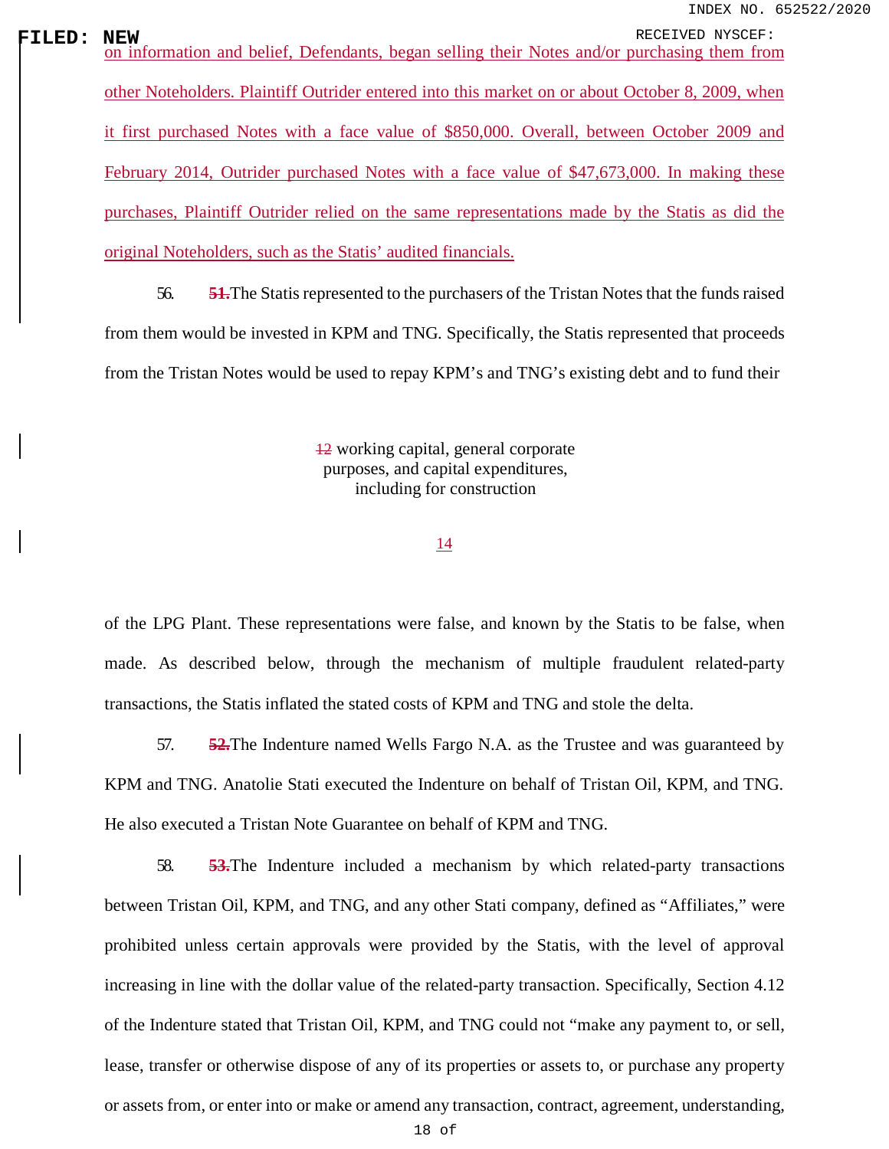**FILED:** NEW RECEIVED NYSCEF:<br>
<u>Information and belief, Defendants, began selling their Notes and/or purchasing them from</u> other Noteholders. Plaintiff Outrider entered into this market on or about October 8, 2009, when it first purchased Notes with a face value of \$850,000. Overall, between October 2009 and February 2014, Outrider purchased Notes with a face value of \$47,673,000. In making these purchases, Plaintiff Outrider relied on the same representations made by the Statis as did the original Noteholders, such as the Statis' audited financials.

> 56. **51.**The Statis represented to the purchasers of the Tristan Notes that the funds raised from them would be invested in KPM and TNG. Specifically, the Statis represented that proceeds from the Tristan Notes would be used to repay KPM's and TNG's existing debt and to fund their

> > 12 working capital, general corporate purposes, and capital expenditures, including for construction

### 14

of the LPG Plant. These representations were false, and known by the Statis to be false, when made. As described below, through the mechanism of multiple fraudulent related-party transactions, the Statis inflated the stated costs of KPM and TNG and stole the delta.

57. **52.**The Indenture named Wells Fargo N.A. as the Trustee and was guaranteed by KPM and TNG. Anatolie Stati executed the Indenture on behalf of Tristan Oil, KPM, and TNG. He also executed a Tristan Note Guarantee on behalf of KPM and TNG.

58. **53.**The Indenture included a mechanism by which related-party transactions between Tristan Oil, KPM, and TNG, and any other Stati company, defined as "Affiliates," were prohibited unless certain approvals were provided by the Statis, with the level of approval increasing in line with the dollar value of the related-party transaction. Specifically, Section 4.12 of the Indenture stated that Tristan Oil, KPM, and TNG could not "make any payment to, or sell, lease, transfer or otherwise dispose of any of its properties or assets to, or purchase any property or assets from, or enter into or make or amend any transaction, contract, agreement, understanding,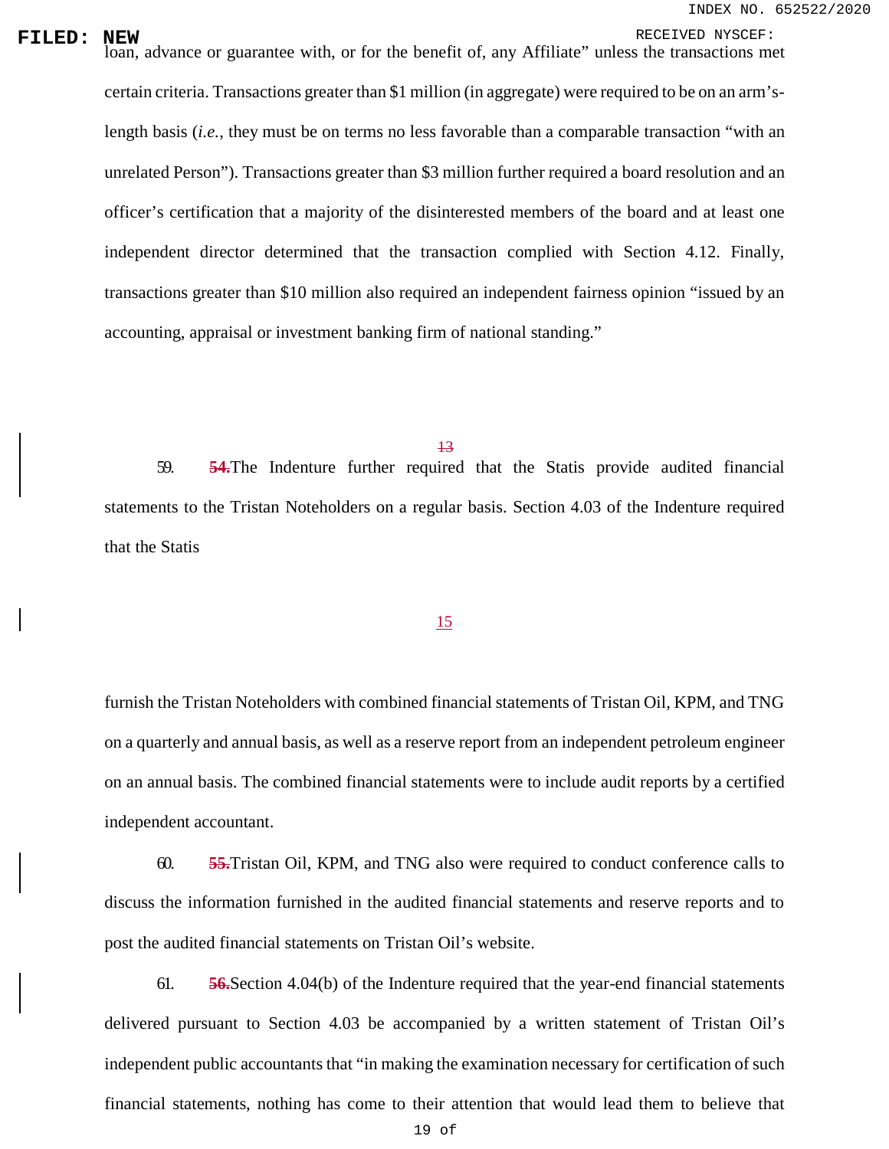**FILED:** NEW<br>loan, advance or guarantee with, or for the benefit of, any Affiliate" unless the transactions met certain criteria. Transactions greater than \$1 million (in aggregate) were required to be on an arm'slength basis (*i.e.*, they must be on terms no less favorable than a comparable transaction "with an unrelated Person"). Transactions greater than \$3 million further required a board resolution and an officer's certification that a majority of the disinterested members of the board and at least one independent director determined that the transaction complied with Section 4.12. Finally, transactions greater than \$10 million also required an independent fairness opinion "issued by an accounting, appraisal or investment banking firm of national standing."

59. **54.**The Indenture further required that the Statis provide audited financial statements to the Tristan Noteholders on a regular basis. Section 4.03 of the Indenture required that the Statis

### 15

furnish the Tristan Noteholders with combined financial statements of Tristan Oil, KPM, and TNG on a quarterly and annual basis, as well as a reserve report from an independent petroleum engineer on an annual basis. The combined financial statements were to include audit reports by a certified independent accountant.

60. **55.**Tristan Oil, KPM, and TNG also were required to conduct conference calls to discuss the information furnished in the audited financial statements and reserve reports and to post the audited financial statements on Tristan Oil's website.

61. **56.**Section 4.04(b) of the Indenture required that the year-end financial statements delivered pursuant to Section 4.03 be accompanied by a written statement of Tristan Oil's independent public accountants that "in making the examination necessary for certification of such financial statements, nothing has come to their attention that would lead them to believe that

<sup>13</sup>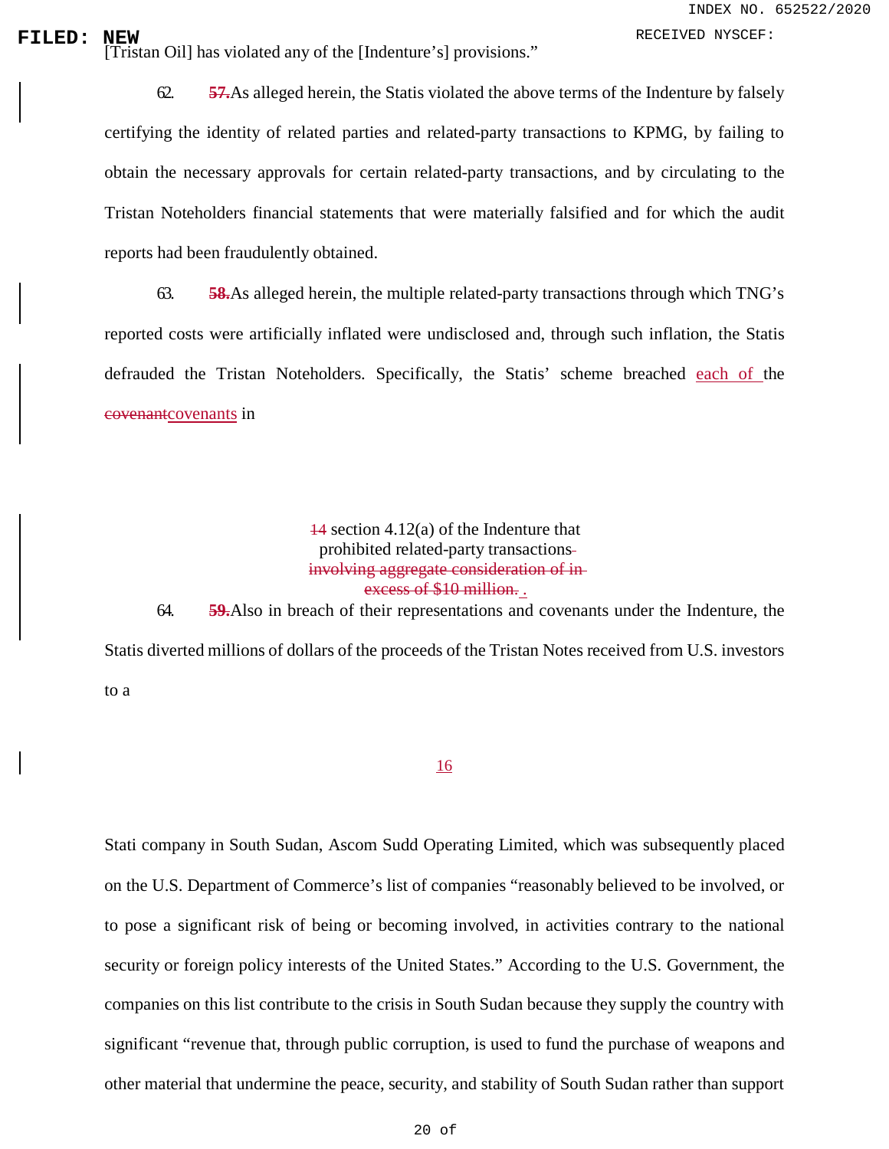**FILED:** NEW RECEIVED NYSCEF:<br>
[Tristan Oil] has violated any of the [Indenture's] provisions."

62. **57.**As alleged herein, the Statis violated the above terms of the Indenture by falsely certifying the identity of related parties and related-party transactions to KPMG, by failing to obtain the necessary approvals for certain related-party transactions, and by circulating to the Tristan Noteholders financial statements that were materially falsified and for which the audit reports had been fraudulently obtained.

63. **58.**As alleged herein, the multiple related-party transactions through which TNG's reported costs were artificially inflated were undisclosed and, through such inflation, the Statis defrauded the Tristan Noteholders. Specifically, the Statis' scheme breached each of the covenantcovenants in

> 14 section 4.12(a) of the Indenture that prohibited related-party transactions involving aggregate consideration of in excess of \$10 million. .

64. **59.**Also in breach of their representations and covenants under the Indenture, the Statis diverted millions of dollars of the proceeds of the Tristan Notes received from U.S. investors to a

### 16

Stati company in South Sudan, Ascom Sudd Operating Limited, which was subsequently placed on the U.S. Department of Commerce's list of companies "reasonably believed to be involved, or to pose a significant risk of being or becoming involved, in activities contrary to the national security or foreign policy interests of the United States." According to the U.S. Government, the companies on this list contribute to the crisis in South Sudan because they supply the country with significant "revenue that, through public corruption, is used to fund the purchase of weapons and other material that undermine the peace, security, and stability of South Sudan rather than support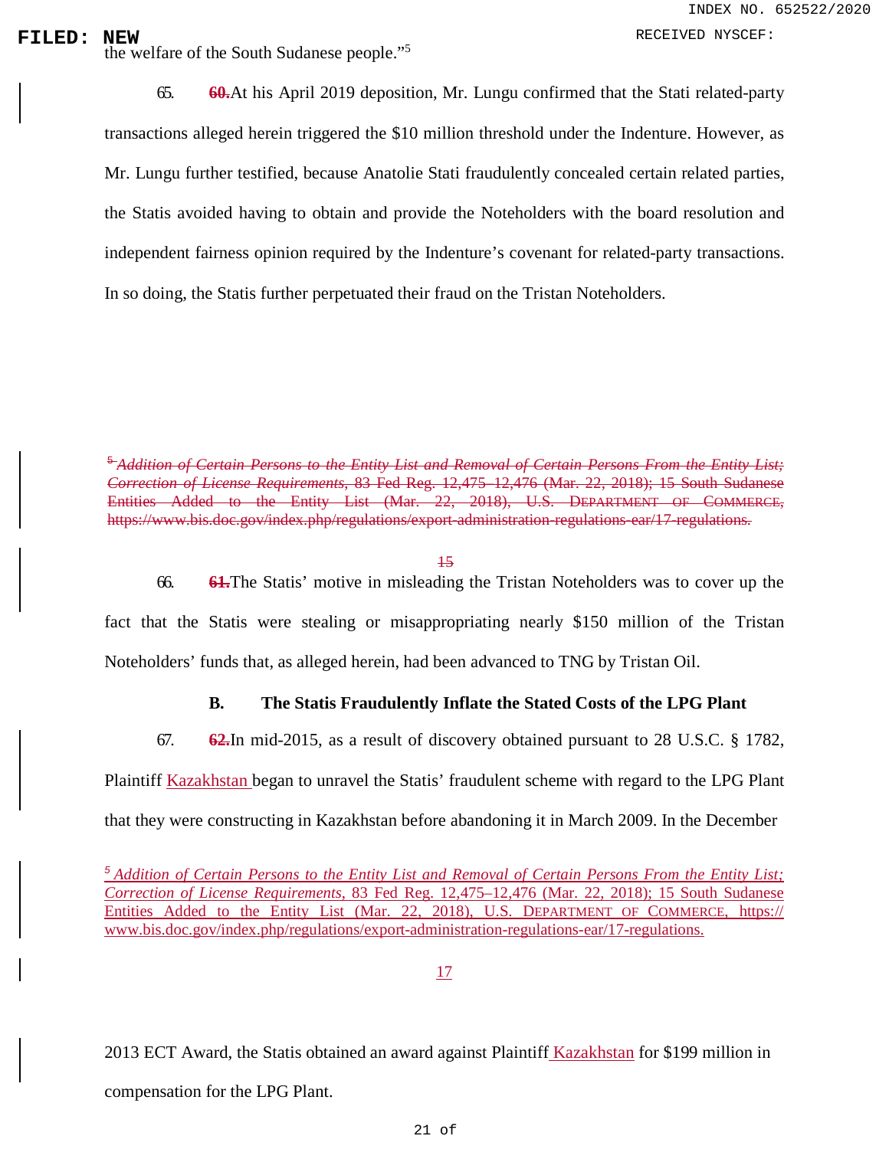**FILED:** NEW RECEIVED NYSCEF:<br>
the welfare of the South Sudanese people."<sup>[5](#page-0-2)</sup>

65. **60.**At his April 2019 deposition, Mr. Lungu confirmed that the Stati related-party transactions alleged herein triggered the \$10 million threshold under the Indenture. However, as Mr. Lungu further testified, because Anatolie Stati fraudulently concealed certain related parties, the Statis avoided having to obtain and provide the Noteholders with the board resolution and independent fairness opinion required by the Indenture's covenant for related-party transactions. In so doing, the Statis further perpetuated their fraud on the Tristan Noteholders.

<sup>5</sup>*Addition of Certain Persons to the Entity List and Removal of Certain Persons From the Entity List; Correction of License Requirements*, 83 Fed Reg. 12,475–12,476 (Mar. 22, 2018); 15 South Sudanese Entities Added to the Entity List (Mar. 22, 2018), U.S. DEPARTMENT OF COMMERCE, https:/[/www.bis.doc.gov/index.php/regulations/export-administration-regulations-ear/17-regulations.](http://www.bis.doc.gov/index.php/regulations/export-administration-regulations-ear/17-regulations)

15

66. **61.**The Statis' motive in misleading the Tristan Noteholders was to cover up the fact that the Statis were stealing or misappropriating nearly \$150 million of the Tristan Noteholders' funds that, as alleged herein, had been advanced to TNG by Tristan Oil.

### **B. The Statis Fraudulently Inflate the Stated Costs of the LPG Plant**

67. **62.**In mid-2015, as a result of discovery obtained pursuant to 28 U.S.C. § 1782, Plaintiff Kazakhstan began to unravel the Statis' fraudulent scheme with regard to the LPG Plant that they were constructing in Kazakhstan before abandoning it in March 2009. In the December

*<sup>5</sup>Addition of Certain Persons to the Entity List and Removal of Certain Persons From the Entity List; Correction of License Requirements*, 83 Fed Reg. 12,475–12,476 (Mar. 22, 2018); 15 South Sudanese Entities Added to the Entity List (Mar. 22, 2018), U.S. DEPARTMENT OF COMMERCE, https:// www.bis.doc.gov/index.php/regulations/export-administration-regulations-ear/17-regulations.

17

2013 ECT Award, the Statis obtained an award against Plaintiff Kazakhstan for \$199 million in compensation for the LPG Plant.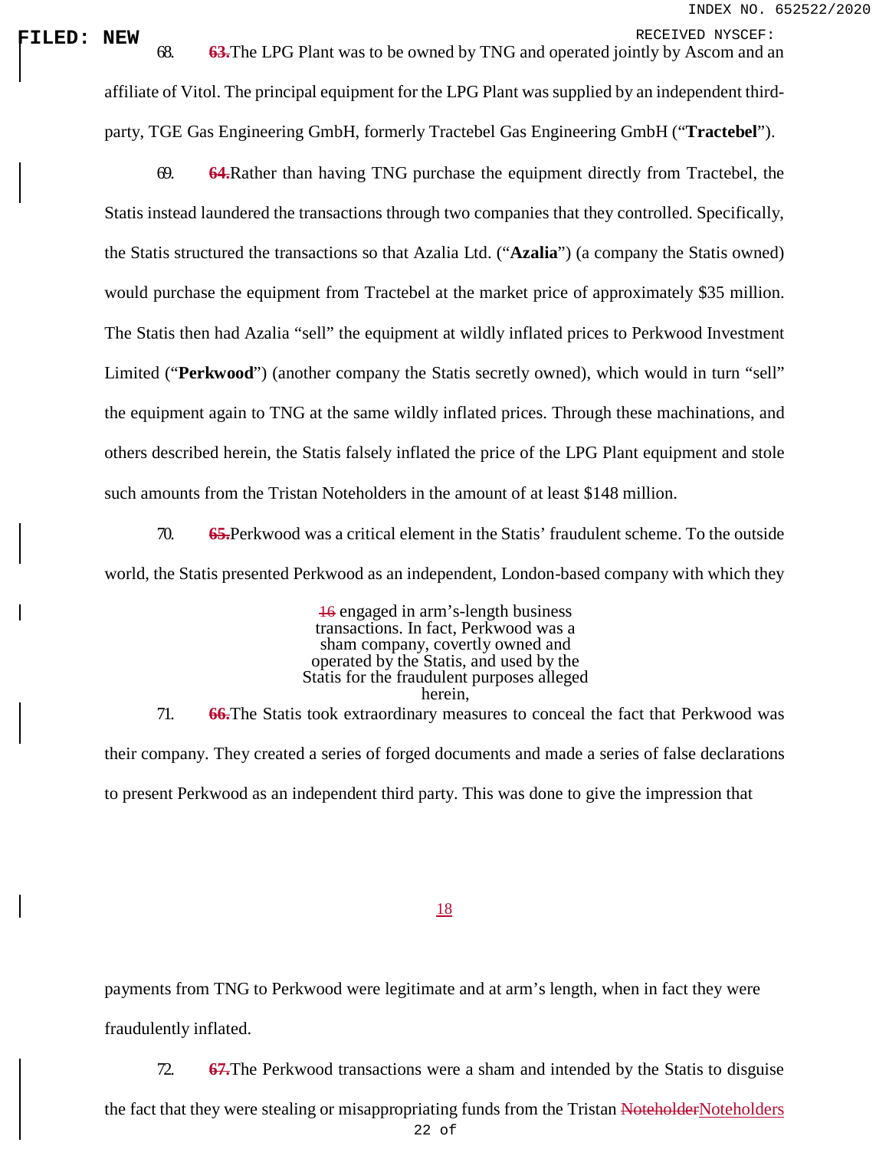**FILED: NEW**<br>
68. **63.**The LPG Plant was to be owned by TNG and operated jointly by Ascom and an affiliate of Vitol. The principal equipment for the LPG Plant was supplied by an independent thirdparty, TGE Gas Engineering GmbH, formerly Tractebel Gas Engineering GmbH ("**Tractebel**").

> 69. **64.**Rather than having TNG purchase the equipment directly from Tractebel, the Statis instead laundered the transactions through two companies that they controlled. Specifically, the Statis structured the transactions so that Azalia Ltd. ("**Azalia**") (a company the Statis owned) would purchase the equipment from Tractebel at the market price of approximately \$35 million. The Statis then had Azalia "sell" the equipment at wildly inflated prices to Perkwood Investment Limited ("**Perkwood**") (another company the Statis secretly owned), which would in turn "sell" the equipment again to TNG at the same wildly inflated prices. Through these machinations, and others described herein, the Statis falsely inflated the price of the LPG Plant equipment and stole such amounts from the Tristan Noteholders in the amount of at least \$148 million.

> 70. **65.**Perkwood was a critical element in the Statis' fraudulent scheme. To the outside world, the Statis presented Perkwood as an independent, London-based company with which they

> 16 engaged in arm's-length business transactions. In fact, Perkwood was a sham company, covertly owned and operated by the Statis, and used by the Statis for the fraudulent purposes alleged herein, 71. **66.**The Statis took extraordinary measures to conceal the fact that Perkwood was their company. They created a series of forged documents and made a series of false declarations to present Perkwood as an independent third party. This was done to give the impression that

### 18

payments from TNG to Perkwood were legitimate and at arm's length, when in fact they were fraudulently inflated.

72. **67.**The Perkwood transactions were a sham and intended by the Statis to disguise

the fact that they were stealing or misappropriating funds from the Tristan NoteholderNoteholders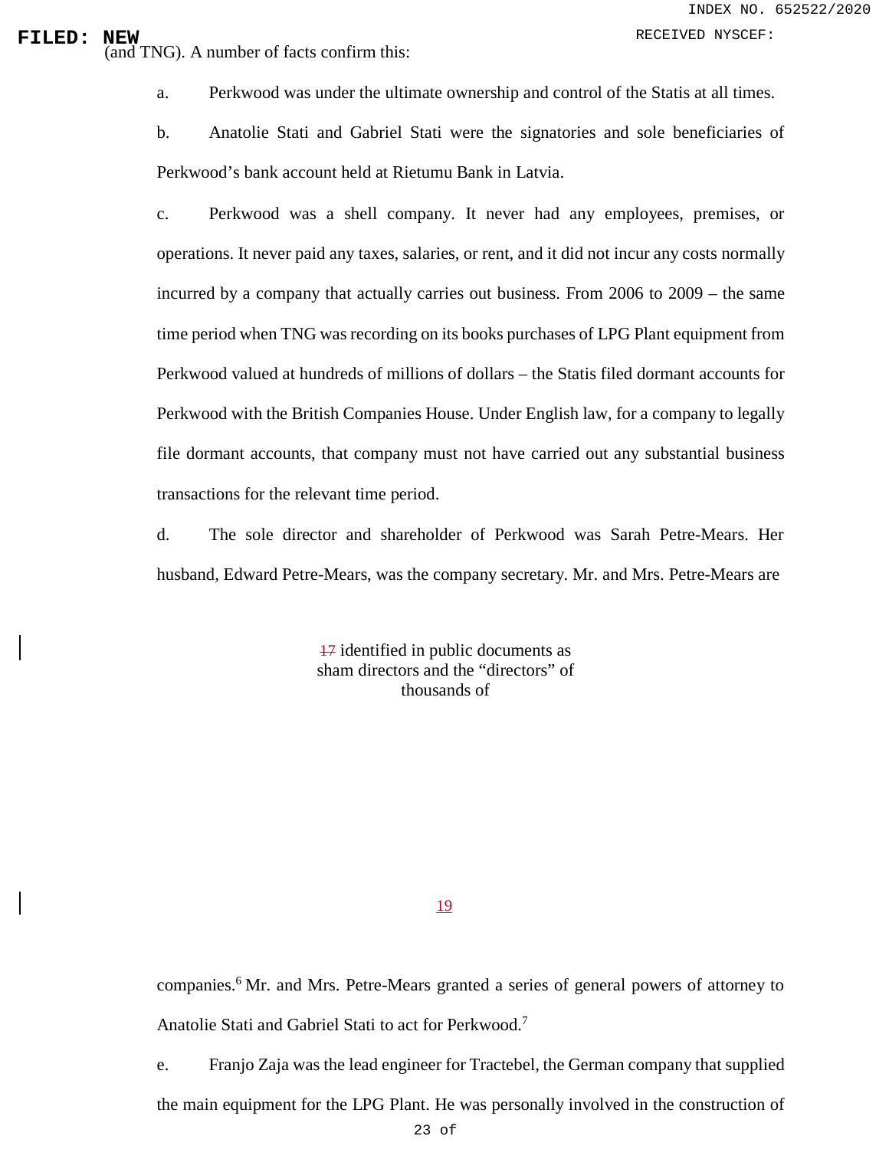# **FILED:** NEW RECEIVED NYSCEF:<br>
(and TNG). A number of facts confirm this:

a. Perkwood was under the ultimate ownership and control of the Statis at all times.

b. Anatolie Stati and Gabriel Stati were the signatories and sole beneficiaries of Perkwood's bank account held at Rietumu Bank in Latvia.

c. Perkwood was a shell company. It never had any employees, premises, or operations. It never paid any taxes, salaries, or rent, and it did not incur any costs normally incurred by a company that actually carries out business. From 2006 to 2009 – the same time period when TNG was recording on its books purchases of LPG Plant equipment from Perkwood valued at hundreds of millions of dollars – the Statis filed dormant accounts for Perkwood with the British Companies House. Under English law, for a company to legally file dormant accounts, that company must not have carried out any substantial business transactions for the relevant time period.

d. The sole director and shareholder of Perkwood was Sarah Petre-Mears. Her husband, Edward Petre-Mears, was the company secretary. Mr. and Mrs. Petre-Mears are

> 17 identified in public documents as sham directors and the "directors" of thousands of

> > 19

companies.<sup>[6](#page-0-2)</sup> Mr. and Mrs. Petre-Mears granted a series of general powers of attorney to Anatolie Stati and Gabriel Stati to act for Perkwood.<sup>7</sup>

e. Franjo Zaja was the lead engineer for Tractebel, the German company that supplied

the main equipment for the LPG Plant. He was personally involved in the construction of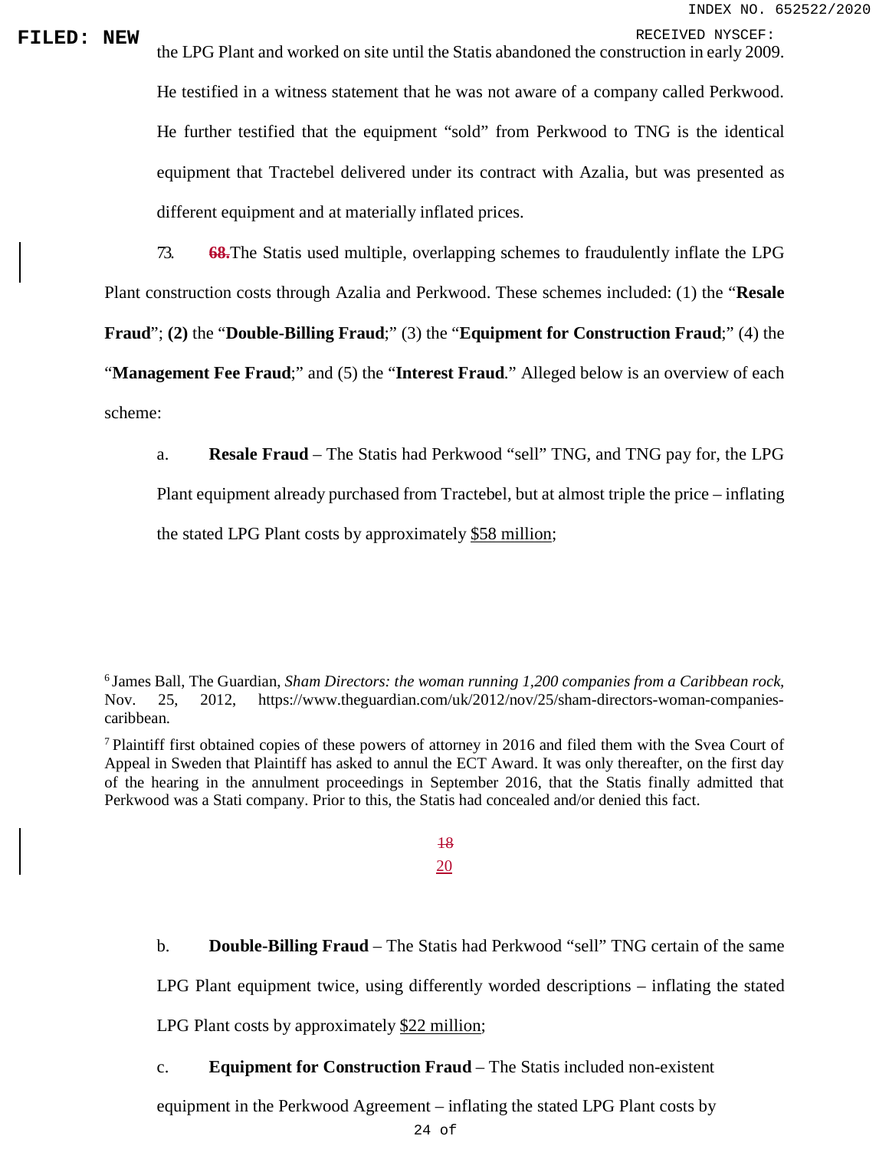**FILED:** NEW the LPG Plant and worked on site until the Statis abandoned the construction in early 2009. He testified in a witness statement that he was not aware of a company called Perkwood. He further testified that the equipment "sold" from Perkwood to TNG is the identical equipment that Tractebel delivered under its contract with Azalia, but was presented as different equipment and at materially inflated prices.

73. **68.**The Statis used multiple, overlapping schemes to fraudulently inflate the LPG

Plant construction costs through Azalia and Perkwood. These schemes included: (1) the "**Resale** 

**Fraud**"; **(2)** the "**Double-Billing Fraud**;" (3) the "**Equipment for Construction Fraud**;" (4) the

"**Management Fee Fraud**;" and (5) the "**Interest Fraud**." Alleged below is an overview of each scheme:

a. **Resale Fraud** – The Statis had Perkwood "sell" TNG, and TNG pay for, the LPG

Plant equipment already purchased from Tractebel, but at almost triple the price – inflating

the stated LPG Plant costs by approximately \$58 million;

6 James Ball, The Guardian, *Sham Directors: the woman running 1,200 companies from a Caribbean rock,*  Nov. 25, 2012, [https://www.theguardian.com/uk/2012/nov/25/sham-directors-woman-companies](https://www.theguardian.com/uk/2012/nov/25/sham-directors-woman-companies-caribbean)[caribbean.](https://www.theguardian.com/uk/2012/nov/25/sham-directors-woman-companies-caribbean)

7 Plaintiff first obtained copies of these powers of attorney in 2016 and filed them with the Svea Court of Appeal in Sweden that Plaintiff has asked to annul the ECT Award. It was only thereafter, on the first day of the hearing in the annulment proceedings in September 2016, that the Statis finally admitted that Perkwood was a Stati company. Prior to this, the Statis had concealed and/or denied this fact.

> 18 20

b. **Double-Billing Fraud** – The Statis had Perkwood "sell" TNG certain of the same

LPG Plant equipment twice, using differently worded descriptions – inflating the stated

LPG Plant costs by approximately \$22 million;

### c. **Equipment for Construction Fraud** – The Statis included non-existent

equipment in the Perkwood Agreement – inflating the stated LPG Plant costs by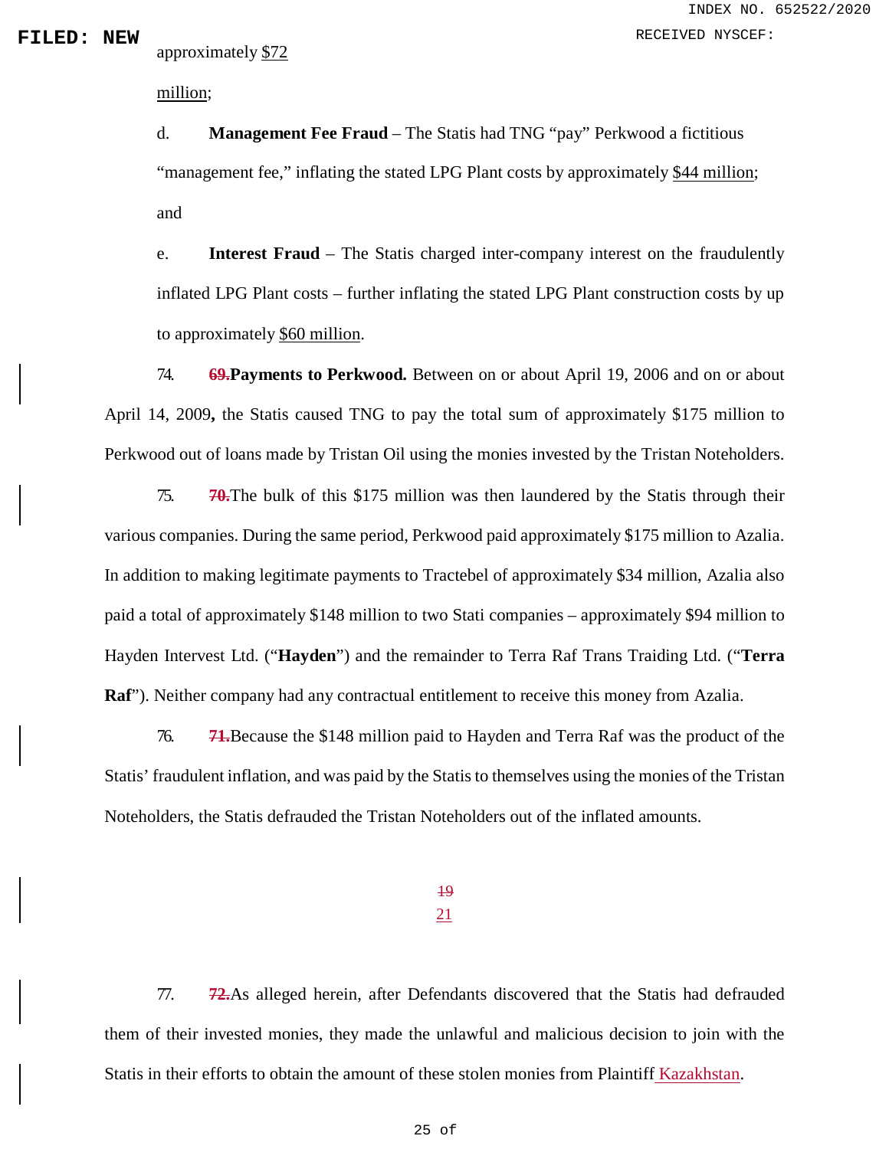approximately \$72

million;

d. **Management Fee Fraud** – The Statis had TNG "pay" Perkwood a fictitious "management fee," inflating the stated LPG Plant costs by approximately \$44 million; and

e. **Interest Fraud** – The Statis charged inter-company interest on the fraudulently inflated LPG Plant costs – further inflating the stated LPG Plant construction costs by up to approximately \$60 million.

74. **69.Payments to Perkwood.** Between on or about April 19, 2006 and on or about April 14, 2009**,** the Statis caused TNG to pay the total sum of approximately \$175 million to Perkwood out of loans made by Tristan Oil using the monies invested by the Tristan Noteholders.

75. **70.**The bulk of this \$175 million was then laundered by the Statis through their various companies. During the same period, Perkwood paid approximately \$175 million to Azalia. In addition to making legitimate payments to Tractebel of approximately \$34 million, Azalia also paid a total of approximately \$148 million to two Stati companies – approximately \$94 million to Hayden Intervest Ltd. ("**Hayden**") and the remainder to Terra Raf Trans Traiding Ltd. ("**Terra Raf**"). Neither company had any contractual entitlement to receive this money from Azalia.

76. **71.**Because the \$148 million paid to Hayden and Terra Raf was the product of the Statis' fraudulent inflation, and was paid by the Statis to themselves using the monies of the Tristan Noteholders, the Statis defrauded the Tristan Noteholders out of the inflated amounts.

> 19 21

77. **72.**As alleged herein, after Defendants discovered that the Statis had defrauded them of their invested monies, they made the unlawful and malicious decision to join with the Statis in their efforts to obtain the amount of these stolen monies from Plaintiff Kazakhstan.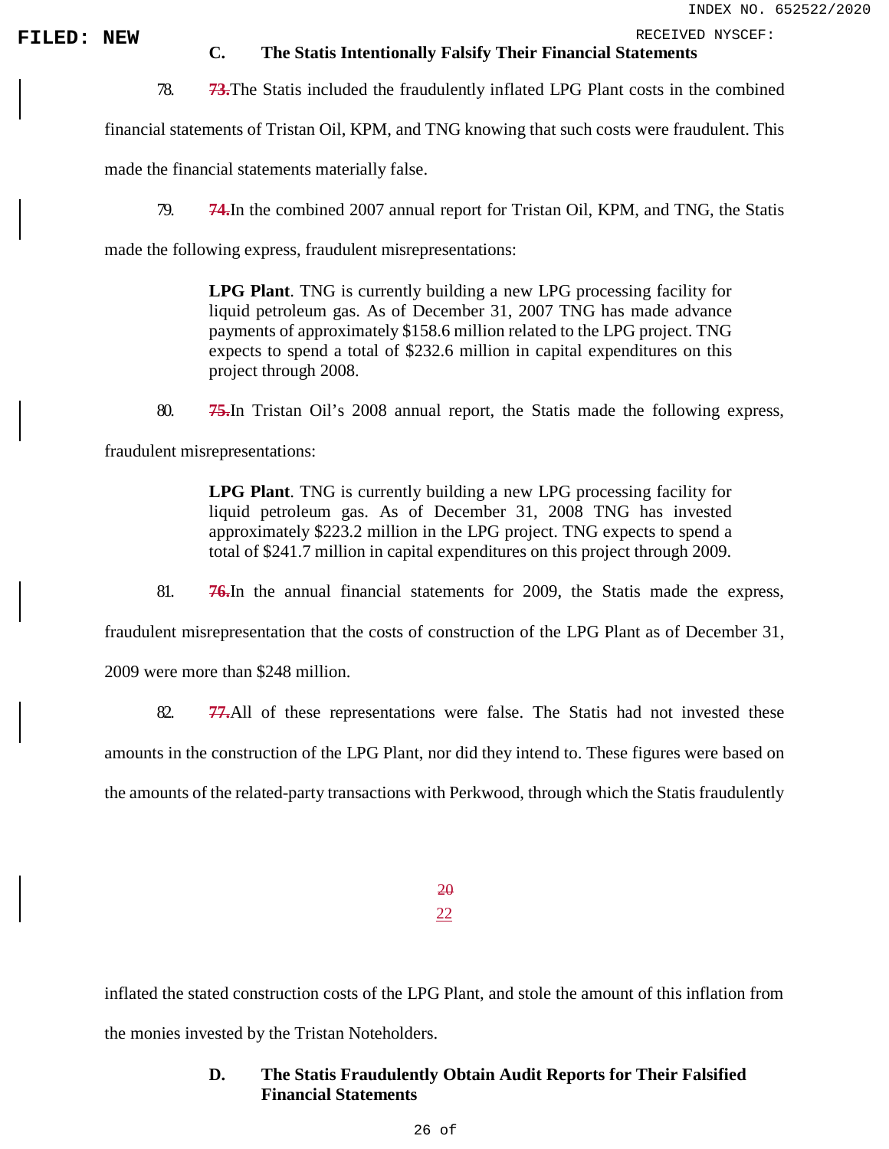# **FILED:** NEW **C.** The Statis Intentionally Falsify Their Financial Statements **C.** The Statis Intentionally Falsify Their Financial Statements

78. **73.**The Statis included the fraudulently inflated LPG Plant costs in the combined

financial statements of Tristan Oil, KPM, and TNG knowing that such costs were fraudulent. This

made the financial statements materially false.

79. **74.**In the combined 2007 annual report for Tristan Oil, KPM, and TNG, the Statis

made the following express, fraudulent misrepresentations:

**LPG Plant**. TNG is currently building a new LPG processing facility for liquid petroleum gas. As of December 31, 2007 TNG has made advance payments of approximately \$158.6 million related to the LPG project. TNG expects to spend a total of \$232.6 million in capital expenditures on this project through 2008.

80. **75.**In Tristan Oil's 2008 annual report, the Statis made the following express,

fraudulent misrepresentations:

**LPG Plant**. TNG is currently building a new LPG processing facility for liquid petroleum gas. As of December 31, 2008 TNG has invested approximately \$223.2 million in the LPG project. TNG expects to spend a total of \$241.7 million in capital expenditures on this project through 2009.

81. **76.**In the annual financial statements for 2009, the Statis made the express,

fraudulent misrepresentation that the costs of construction of the LPG Plant as of December 31,

2009 were more than \$248 million.

82. **77.**All of these representations were false. The Statis had not invested these

amounts in the construction of the LPG Plant, nor did they intend to. These figures were based on

the amounts of the related-party transactions with Perkwood, through which the Statis fraudulently

20 22

inflated the stated construction costs of the LPG Plant, and stole the amount of this inflation from the monies invested by the Tristan Noteholders.

### **D. The Statis Fraudulently Obtain Audit Reports for Their Falsified Financial Statements**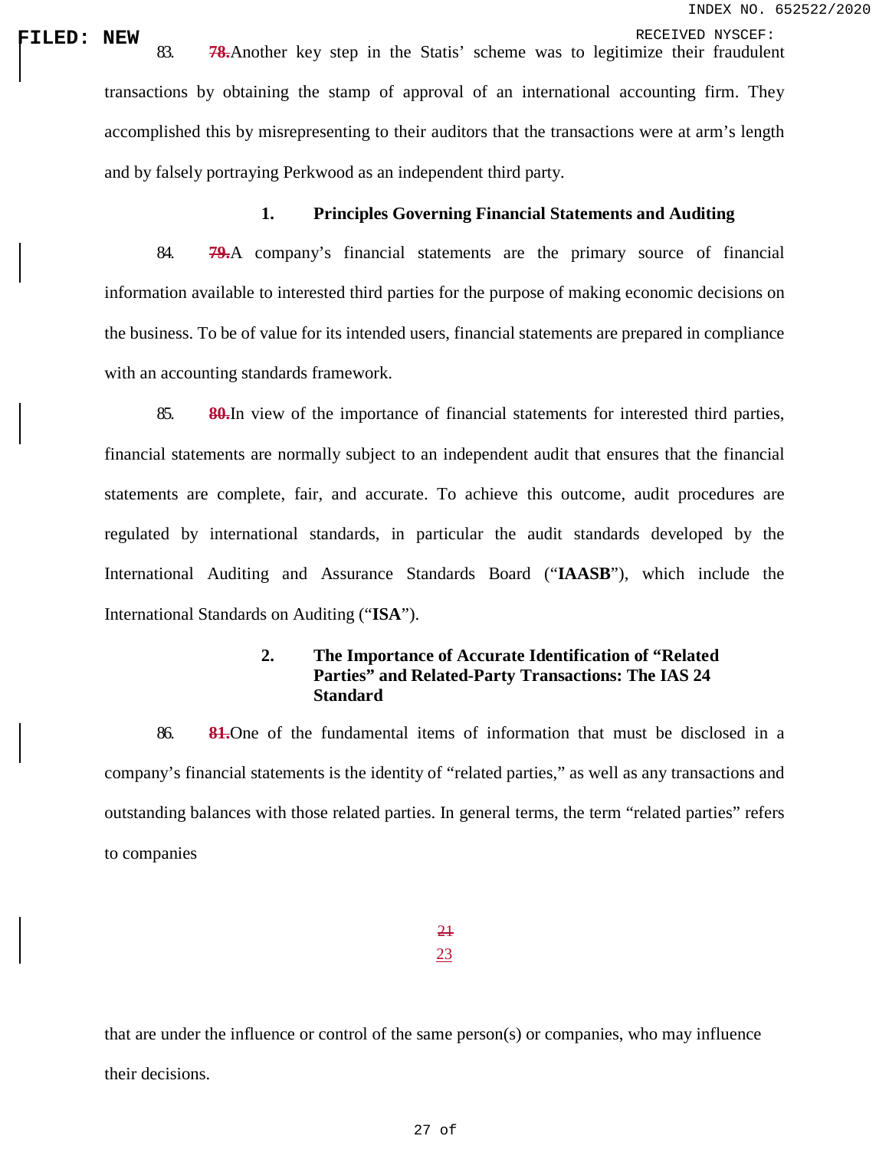**FILED: NEW**<br>| RECEIVED NYSCEF:<br>| 83. **78.**Another key step in the Statis' scheme was to legitimize their fraudulent transactions by obtaining the stamp of approval of an international accounting firm. They accomplished this by misrepresenting to their auditors that the transactions were at arm's length and by falsely portraying Perkwood as an independent third party.

### **1. Principles Governing Financial Statements and Auditing**

84. **79.**A company's financial statements are the primary source of financial information available to interested third parties for the purpose of making economic decisions on the business. To be of value for its intended users, financial statements are prepared in compliance with an accounting standards framework.

85. **80.**In view of the importance of financial statements for interested third parties, financial statements are normally subject to an independent audit that ensures that the financial statements are complete, fair, and accurate. To achieve this outcome, audit procedures are regulated by international standards, in particular the audit standards developed by the International Auditing and Assurance Standards Board ("**IAASB**"), which include the International Standards on Auditing ("**ISA**").

### **2. The Importance of Accurate Identification of "Related Parties" and Related-Party Transactions: The IAS 24 Standard**

86. **81.**One of the fundamental items of information that must be disclosed in a company's financial statements is the identity of "related parties," as well as any transactions and outstanding balances with those related parties. In general terms, the term "related parties" refers to companies

> 21 23

that are under the influence or control of the same person(s) or companies, who may influence their decisions.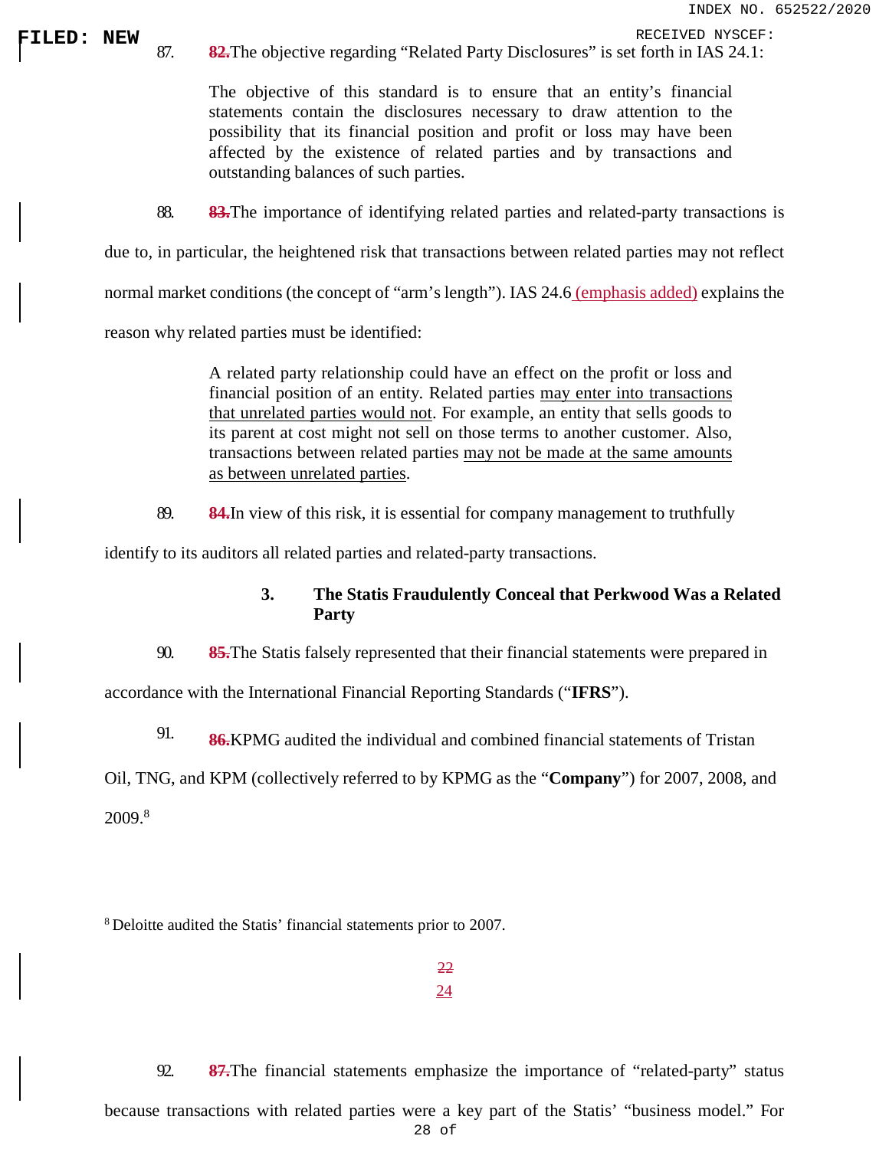**FILED: NEW** 87. **82.**The objective regarding "Related Party Disclosures" is set forth in IAS 24.1:

The objective of this standard is to ensure that an entity's financial statements contain the disclosures necessary to draw attention to the possibility that its financial position and profit or loss may have been affected by the existence of related parties and by transactions and outstanding balances of such parties.

88. **83.**The importance of identifying related parties and related-party transactions is

due to, in particular, the heightened risk that transactions between related parties may not reflect

normal market conditions (the concept of "arm's length"). IAS 24.6 (emphasis added) explains the

reason why related parties must be identified:

A related party relationship could have an effect on the profit or loss and financial position of an entity. Related parties may enter into transactions that unrelated parties would not. For example, an entity that sells goods to its parent at cost might not sell on those terms to another customer. Also, transactions between related parties may not be made at the same amounts as between unrelated parties.

89. **84.**In view of this risk, it is essential for company management to truthfully

identify to its auditors all related parties and related-party transactions.

### **3. The Statis Fraudulently Conceal that Perkwood Was a Related Party**

90. **85.**The Statis falsely represented that their financial statements were prepared in

accordance with the International Financial Reporting Standards ("**IFRS**").

91. **86.**KPMG audited the individual and combined financial statements of Tristan

Oil, TNG, and KPM (collectively referred to by KPMG as the "**Company**") for 2007, 2008, and 2009<sup>8</sup>

8 Deloitte audited the Statis' financial statements prior to 2007.

22 24

28 of 92. **87.**The financial statements emphasize the importance of "related-party" status because transactions with related parties were a key part of the Statis' "business model." For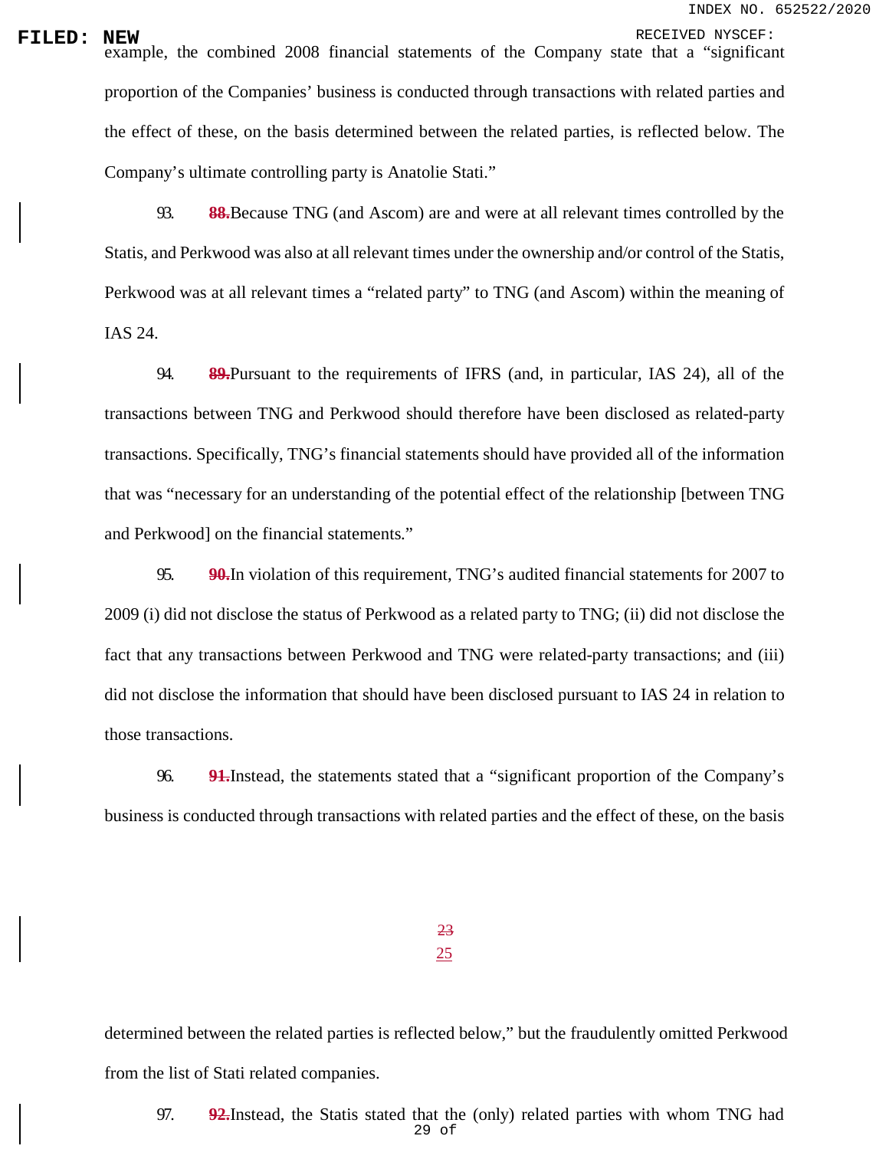**FILED: NEW**<br>example, the combined 2008 financial statements of the Company state that a "significant proportion of the Companies' business is conducted through transactions with related parties and the effect of these, on the basis determined between the related parties, is reflected below. The Company's ultimate controlling party is Anatolie Stati."

> 93. **88.**Because TNG (and Ascom) are and were at all relevant times controlled by the Statis, and Perkwood was also at all relevant times under the ownership and/or control of the Statis, Perkwood was at all relevant times a "related party" to TNG (and Ascom) within the meaning of IAS 24.

> 94. **89.**Pursuant to the requirements of IFRS (and, in particular, IAS 24), all of the transactions between TNG and Perkwood should therefore have been disclosed as related-party transactions. Specifically, TNG's financial statements should have provided all of the information that was "necessary for an understanding of the potential effect of the relationship [between TNG and Perkwood] on the financial statements."

> 95. **90.**In violation of this requirement, TNG's audited financial statements for 2007 to 2009 (i) did not disclose the status of Perkwood as a related party to TNG; (ii) did not disclose the fact that any transactions between Perkwood and TNG were related-party transactions; and (iii) did not disclose the information that should have been disclosed pursuant to IAS 24 in relation to those transactions.

> 96. **91.**Instead, the statements stated that a "significant proportion of the Company's business is conducted through transactions with related parties and the effect of these, on the basis

> > 23 25

determined between the related parties is reflected below," but the fraudulently omitted Perkwood from the list of Stati related companies.

29 of 97. **92.**Instead, the Statis stated that the (only) related parties with whom TNG had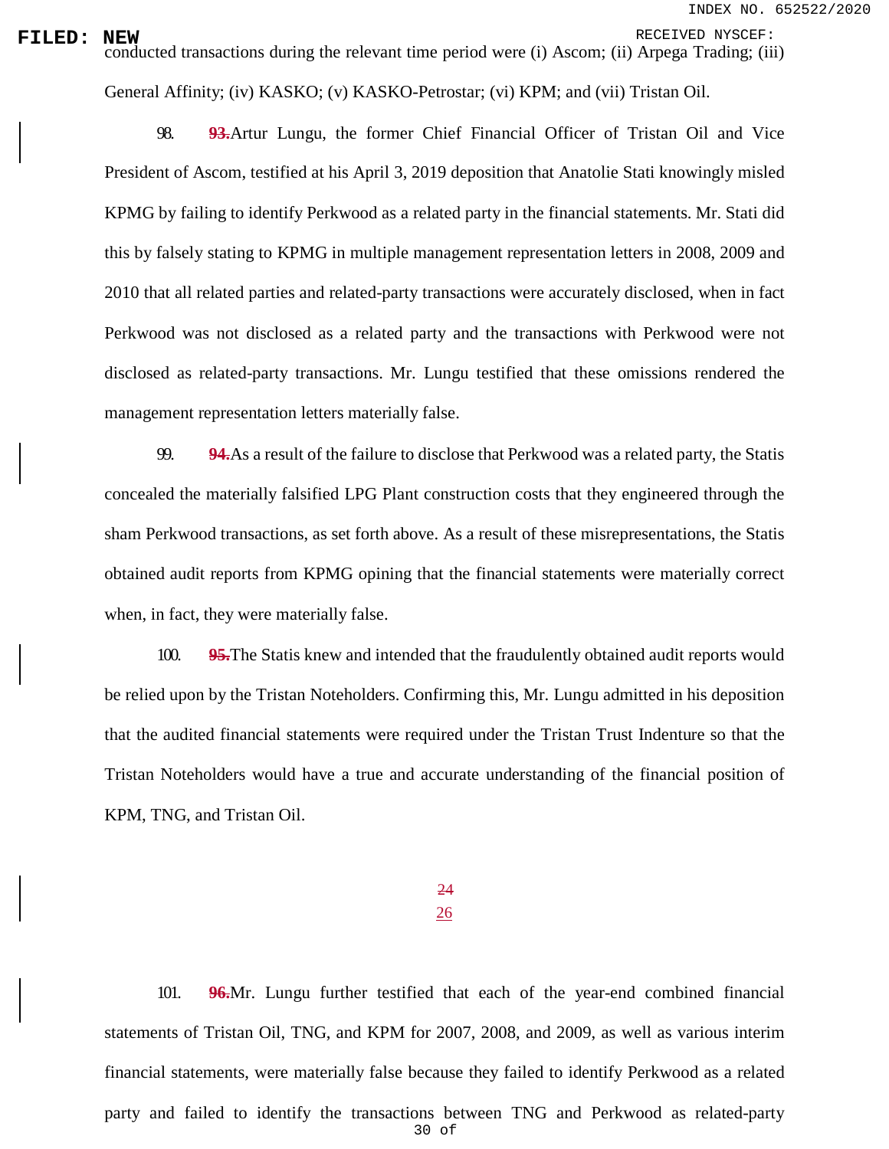**FILED:** NEW RECEIVED NYSCEF:<br>conducted transactions during the relevant time period were (i) Ascom; (ii) Arpega Trading; (iii)

General Affinity; (iv) KASKO; (v) KASKO-Petrostar; (vi) KPM; and (vii) Tristan Oil.

98. **93.**Artur Lungu, the former Chief Financial Officer of Tristan Oil and Vice President of Ascom, testified at his April 3, 2019 deposition that Anatolie Stati knowingly misled KPMG by failing to identify Perkwood as a related party in the financial statements. Mr. Stati did this by falsely stating to KPMG in multiple management representation letters in 2008, 2009 and 2010 that all related parties and related-party transactions were accurately disclosed, when in fact Perkwood was not disclosed as a related party and the transactions with Perkwood were not disclosed as related-party transactions. Mr. Lungu testified that these omissions rendered the management representation letters materially false.

99. **94.**As a result of the failure to disclose that Perkwood was a related party, the Statis concealed the materially falsified LPG Plant construction costs that they engineered through the sham Perkwood transactions, as set forth above. As a result of these misrepresentations, the Statis obtained audit reports from KPMG opining that the financial statements were materially correct when, in fact, they were materially false.

100. **95.**The Statis knew and intended that the fraudulently obtained audit reports would be relied upon by the Tristan Noteholders. Confirming this, Mr. Lungu admitted in his deposition that the audited financial statements were required under the Tristan Trust Indenture so that the Tristan Noteholders would have a true and accurate understanding of the financial position of KPM, TNG, and Tristan Oil.

> 24 26

30 of 101. **96.**Mr. Lungu further testified that each of the year-end combined financial statements of Tristan Oil, TNG, and KPM for 2007, 2008, and 2009, as well as various interim financial statements, were materially false because they failed to identify Perkwood as a related party and failed to identify the transactions between TNG and Perkwood as related-party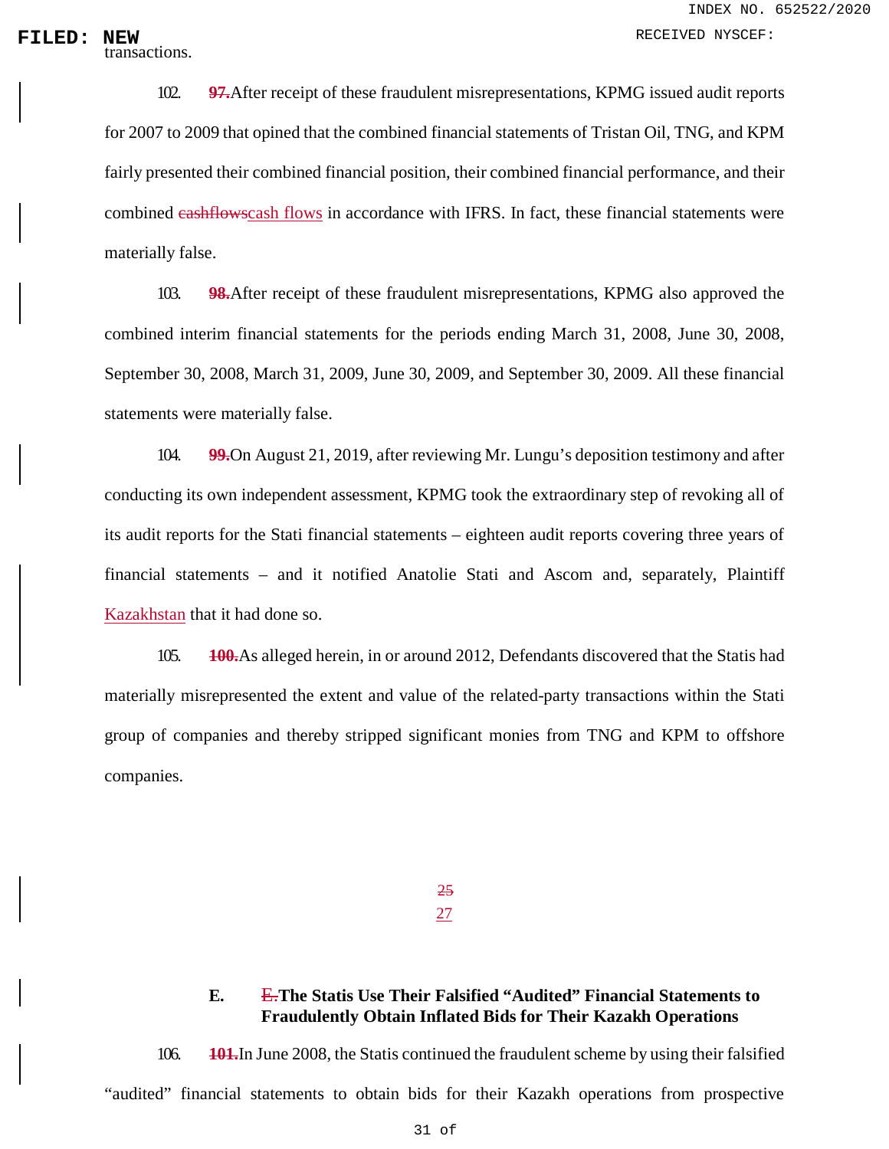transactions.

102. **97.**After receipt of these fraudulent misrepresentations, KPMG issued audit reports for 2007 to 2009 that opined that the combined financial statements of Tristan Oil, TNG, and KPM fairly presented their combined financial position, their combined financial performance, and their combined cashflowscash flows in accordance with IFRS. In fact, these financial statements were materially false.

103. **98.**After receipt of these fraudulent misrepresentations, KPMG also approved the combined interim financial statements for the periods ending March 31, 2008, June 30, 2008, September 30, 2008, March 31, 2009, June 30, 2009, and September 30, 2009. All these financial statements were materially false.

104. **99.**On August 21, 2019, after reviewing Mr. Lungu's deposition testimony and after conducting its own independent assessment, KPMG took the extraordinary step of revoking all of its audit reports for the Stati financial statements – eighteen audit reports covering three years of financial statements – and it notified Anatolie Stati and Ascom and, separately, Plaintiff Kazakhstan that it had done so.

105. **100.**As alleged herein, in or around 2012, Defendants discovered that the Statis had materially misrepresented the extent and value of the related-party transactions within the Stati group of companies and thereby stripped significant monies from TNG and KPM to offshore companies.

> 25 27

### **E.** E.**The Statis Use Their Falsified "Audited" Financial Statements to Fraudulently Obtain Inflated Bids for Their Kazakh Operations**

106. **101.**In June 2008, the Statis continued the fraudulent scheme by using their falsified "audited" financial statements to obtain bids for their Kazakh operations from prospective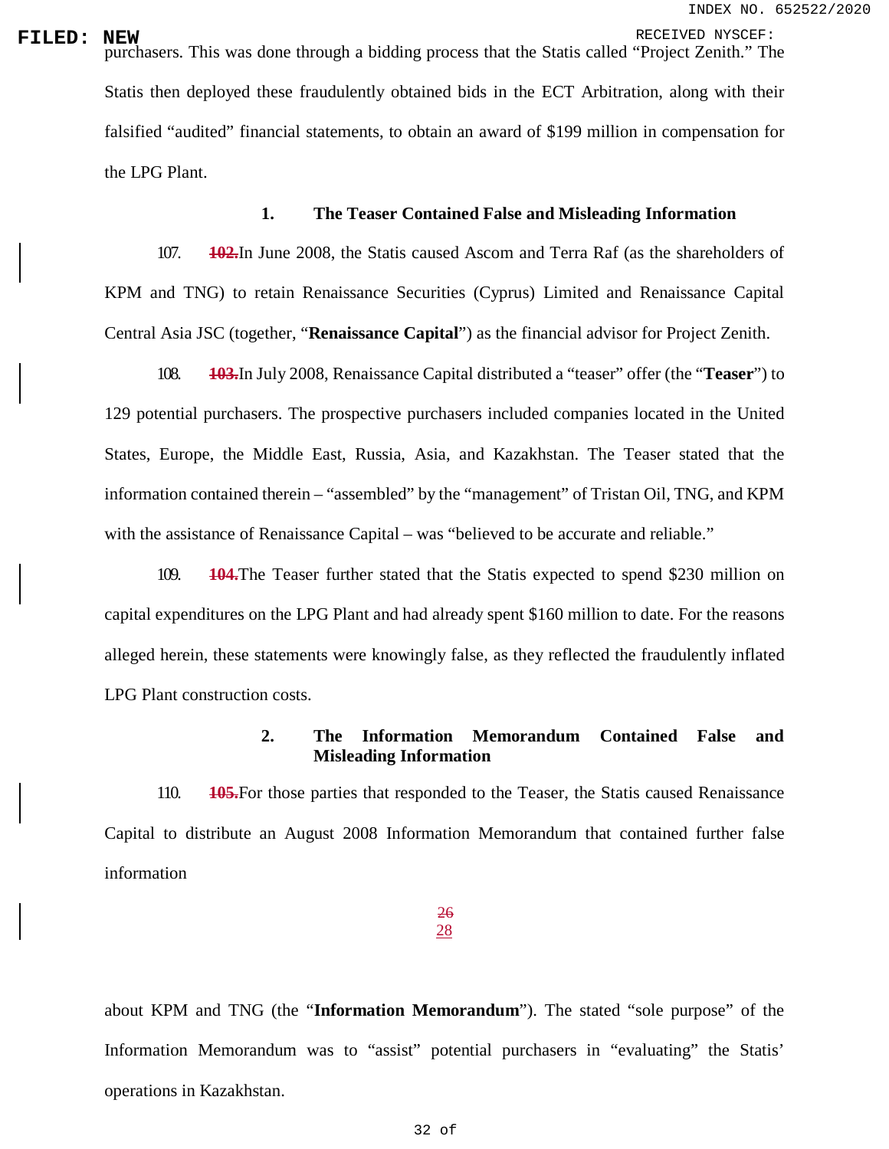**FILED: NEW**<br>purchasers. This was done through a bidding process that the Statis called "Project Zenith." The Statis then deployed these fraudulently obtained bids in the ECT Arbitration, along with their falsified "audited" financial statements, to obtain an award of \$199 million in compensation for the LPG Plant.

### **1. The Teaser Contained False and Misleading Information**

107. **102.**In June 2008, the Statis caused Ascom and Terra Raf (as the shareholders of KPM and TNG) to retain Renaissance Securities (Cyprus) Limited and Renaissance Capital Central Asia JSC (together, "**Renaissance Capital**") as the financial advisor for Project Zenith.

108. **103.**In July 2008, Renaissance Capital distributed a "teaser" offer (the "**Teaser**") to 129 potential purchasers. The prospective purchasers included companies located in the United States, Europe, the Middle East, Russia, Asia, and Kazakhstan. The Teaser stated that the information contained therein – "assembled" by the "management" of Tristan Oil, TNG, and KPM with the assistance of Renaissance Capital – was "believed to be accurate and reliable."

109. **104.**The Teaser further stated that the Statis expected to spend \$230 million on capital expenditures on the LPG Plant and had already spent \$160 million to date. For the reasons alleged herein, these statements were knowingly false, as they reflected the fraudulently inflated LPG Plant construction costs.

### **2. The Information Memorandum Contained False and Misleading Information**

110. **105.**For those parties that responded to the Teaser, the Statis caused Renaissance Capital to distribute an August 2008 Information Memorandum that contained further false information

### 26 28

about KPM and TNG (the "**Information Memorandum**"). The stated "sole purpose" of the Information Memorandum was to "assist" potential purchasers in "evaluating" the Statis' operations in Kazakhstan.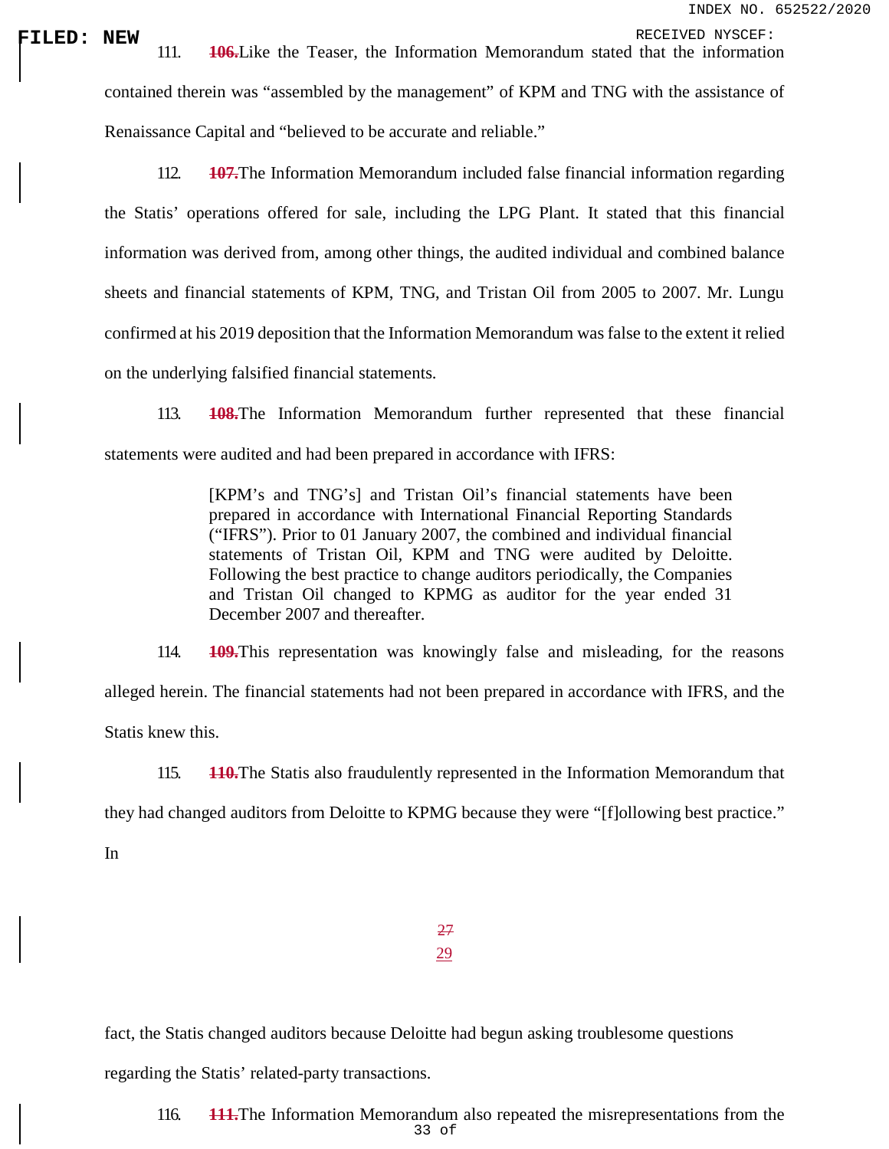**FILED: NEW** 111. **106.**Like the Teaser, the Information Memorandum stated that the information contained therein was "assembled by the management" of KPM and TNG with the assistance of Renaissance Capital and "believed to be accurate and reliable."

> 112. **107.**The Information Memorandum included false financial information regarding the Statis' operations offered for sale, including the LPG Plant. It stated that this financial information was derived from, among other things, the audited individual and combined balance sheets and financial statements of KPM, TNG, and Tristan Oil from 2005 to 2007. Mr. Lungu confirmed at his 2019 deposition that the Information Memorandum was false to the extent it relied on the underlying falsified financial statements.

> 113. **108.**The Information Memorandum further represented that these financial statements were audited and had been prepared in accordance with IFRS:

> > [KPM's and TNG's] and Tristan Oil's financial statements have been prepared in accordance with International Financial Reporting Standards ("IFRS"). Prior to 01 January 2007, the combined and individual financial statements of Tristan Oil, KPM and TNG were audited by Deloitte. Following the best practice to change auditors periodically, the Companies and Tristan Oil changed to KPMG as auditor for the year ended 31 December 2007 and thereafter.

114. **109.**This representation was knowingly false and misleading, for the reasons alleged herein. The financial statements had not been prepared in accordance with IFRS, and the Statis knew this.

115. **110.**The Statis also fraudulently represented in the Information Memorandum that they had changed auditors from Deloitte to KPMG because they were "[f]ollowing best practice."

In

27 29

fact, the Statis changed auditors because Deloitte had begun asking troublesome questions

regarding the Statis' related-party transactions.

33 of 116. **111.**The Information Memorandum also repeated the misrepresentations from the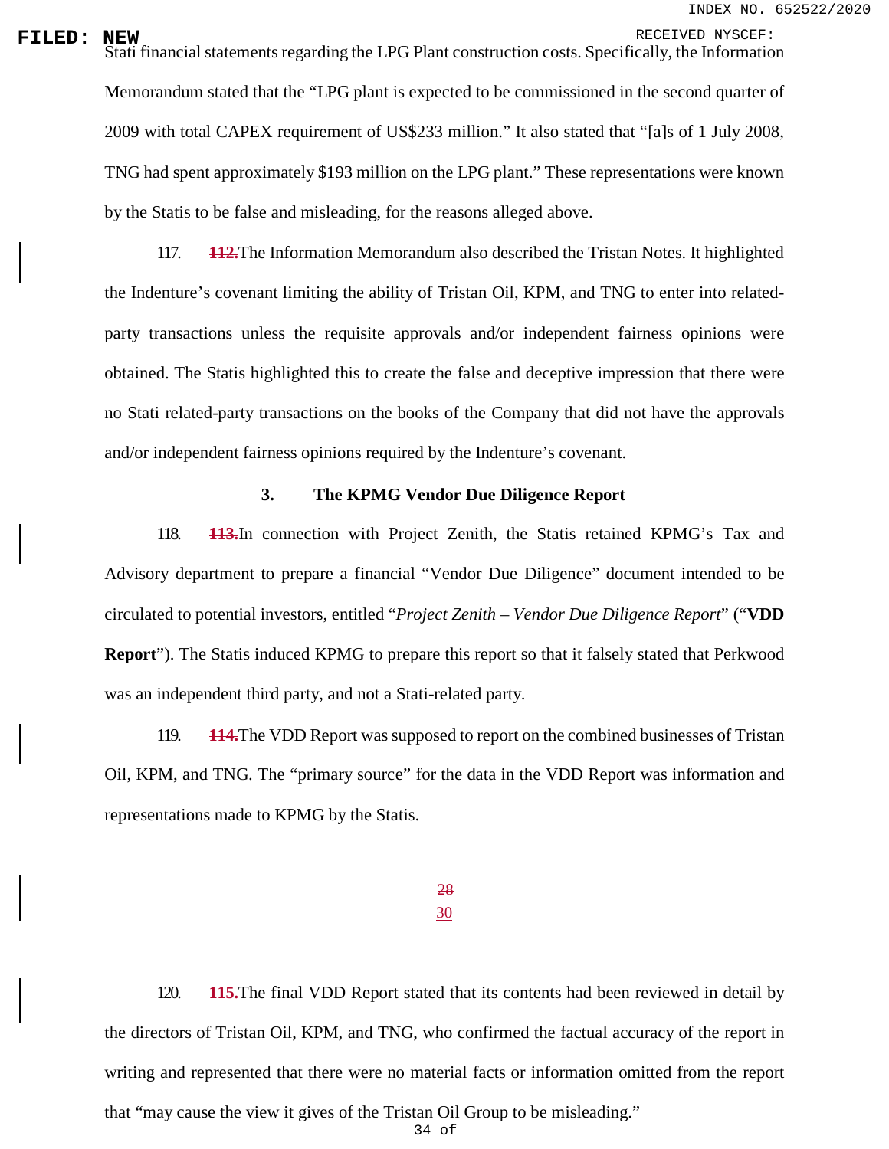**FILED:** NEW RECEIVED NYSCEF:<br>Stati financial statements regarding the LPG Plant construction costs. Specifically, the Information Memorandum stated that the "LPG plant is expected to be commissioned in the second quarter of 2009 with total CAPEX requirement of US\$233 million." It also stated that "[a]s of 1 July 2008, TNG had spent approximately \$193 million on the LPG plant." These representations were known by the Statis to be false and misleading, for the reasons alleged above.

> 117. **112.**The Information Memorandum also described the Tristan Notes. It highlighted the Indenture's covenant limiting the ability of Tristan Oil, KPM, and TNG to enter into relatedparty transactions unless the requisite approvals and/or independent fairness opinions were obtained. The Statis highlighted this to create the false and deceptive impression that there were no Stati related-party transactions on the books of the Company that did not have the approvals and/or independent fairness opinions required by the Indenture's covenant.

### **3. The KPMG Vendor Due Diligence Report**

118. **113.**In connection with Project Zenith, the Statis retained KPMG's Tax and Advisory department to prepare a financial "Vendor Due Diligence" document intended to be circulated to potential investors, entitled "*Project Zenith – Vendor Due Diligence Report*" ("**VDD Report**"). The Statis induced KPMG to prepare this report so that it falsely stated that Perkwood was an independent third party, and not a Stati-related party.

119. **114.**The VDD Report was supposed to report on the combined businesses of Tristan Oil, KPM, and TNG. The "primary source" for the data in the VDD Report was information and representations made to KPMG by the Statis.

> 28 30

120. **115.**The final VDD Report stated that its contents had been reviewed in detail by the directors of Tristan Oil, KPM, and TNG, who confirmed the factual accuracy of the report in writing and represented that there were no material facts or information omitted from the report that "may cause the view it gives of the Tristan Oil Group to be misleading."

34 of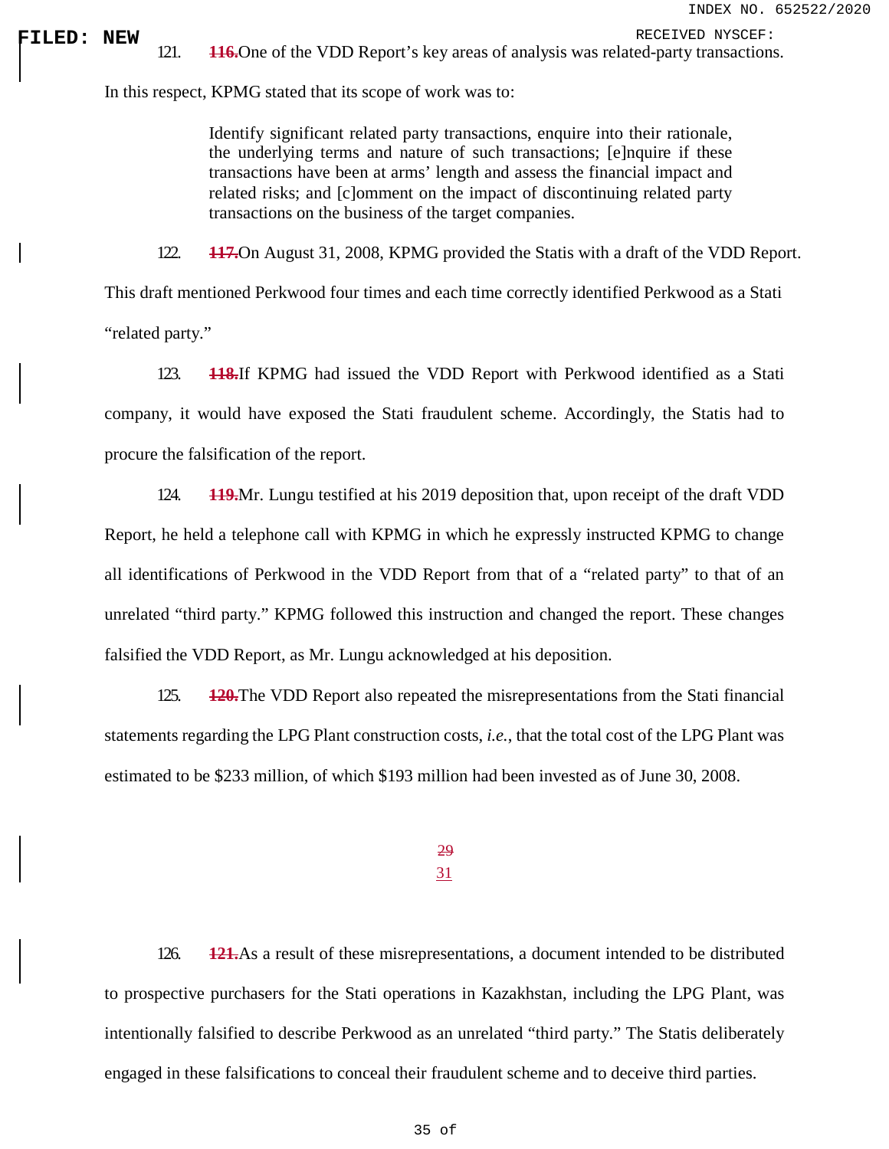**FILED: NEW** 121. **116.**One of the VDD Report's key areas of analysis was related-party transactions.

In this respect, KPMG stated that its scope of work was to:

Identify significant related party transactions, enquire into their rationale, the underlying terms and nature of such transactions; [e]nquire if these transactions have been at arms' length and assess the financial impact and related risks; and [c]omment on the impact of discontinuing related party transactions on the business of the target companies.

122. **117.**On August 31, 2008, KPMG provided the Statis with a draft of the VDD Report.

This draft mentioned Perkwood four times and each time correctly identified Perkwood as a Stati "related party."

123. **118.**If KPMG had issued the VDD Report with Perkwood identified as a Stati company, it would have exposed the Stati fraudulent scheme. Accordingly, the Statis had to procure the falsification of the report.

124. **119.**Mr. Lungu testified at his 2019 deposition that, upon receipt of the draft VDD Report, he held a telephone call with KPMG in which he expressly instructed KPMG to change all identifications of Perkwood in the VDD Report from that of a "related party" to that of an unrelated "third party." KPMG followed this instruction and changed the report. These changes falsified the VDD Report, as Mr. Lungu acknowledged at his deposition.

125. **120.**The VDD Report also repeated the misrepresentations from the Stati financial statements regarding the LPG Plant construction costs, *i.e.*, that the total cost of the LPG Plant was estimated to be \$233 million, of which \$193 million had been invested as of June 30, 2008.

## 29

### 31

126. **121.**As a result of these misrepresentations, a document intended to be distributed to prospective purchasers for the Stati operations in Kazakhstan, including the LPG Plant, was intentionally falsified to describe Perkwood as an unrelated "third party." The Statis deliberately engaged in these falsifications to conceal their fraudulent scheme and to deceive third parties.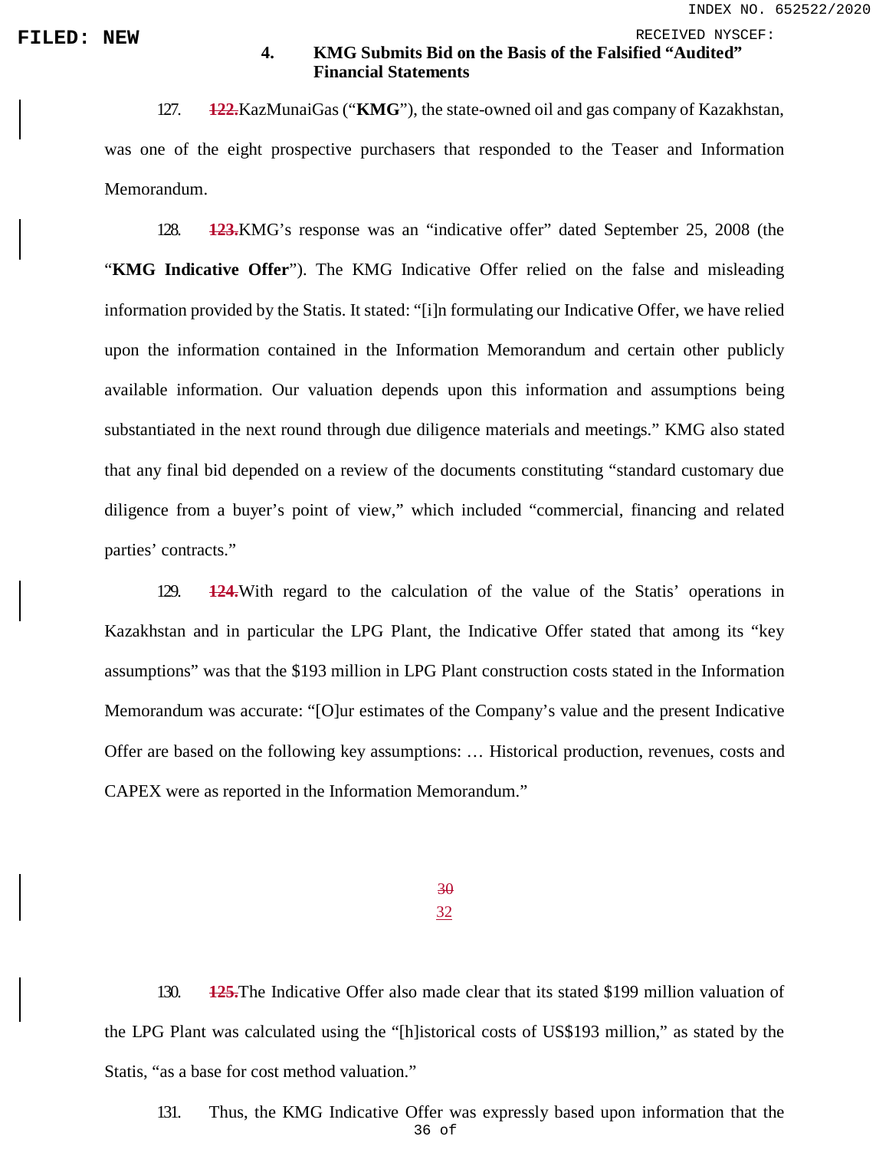## **FILED:** NEW **4. KMG Submits Bid on the Basis of the Falsified "Audited" 4. KMG Submits Bid on the Basis of the Falsified "Audited" Financial Statements**

127. **122.**KazMunaiGas ("**KMG**"), the state-owned oil and gas company of Kazakhstan, was one of the eight prospective purchasers that responded to the Teaser and Information Memorandum.

128. **123.**KMG's response was an "indicative offer" dated September 25, 2008 (the "**KMG Indicative Offer**"). The KMG Indicative Offer relied on the false and misleading information provided by the Statis. It stated: "[i]n formulating our Indicative Offer, we have relied upon the information contained in the Information Memorandum and certain other publicly available information. Our valuation depends upon this information and assumptions being substantiated in the next round through due diligence materials and meetings." KMG also stated that any final bid depended on a review of the documents constituting "standard customary due diligence from a buyer's point of view," which included "commercial, financing and related parties' contracts."

129. **124.**With regard to the calculation of the value of the Statis' operations in Kazakhstan and in particular the LPG Plant, the Indicative Offer stated that among its "key assumptions" was that the \$193 million in LPG Plant construction costs stated in the Information Memorandum was accurate: "[O]ur estimates of the Company's value and the present Indicative Offer are based on the following key assumptions: … Historical production, revenues, costs and CAPEX were as reported in the Information Memorandum."

> 30 32

130. **125.**The Indicative Offer also made clear that its stated \$199 million valuation of the LPG Plant was calculated using the "[h]istorical costs of US\$193 million," as stated by the Statis, "as a base for cost method valuation."

36 of 131. Thus, the KMG Indicative Offer was expressly based upon information that the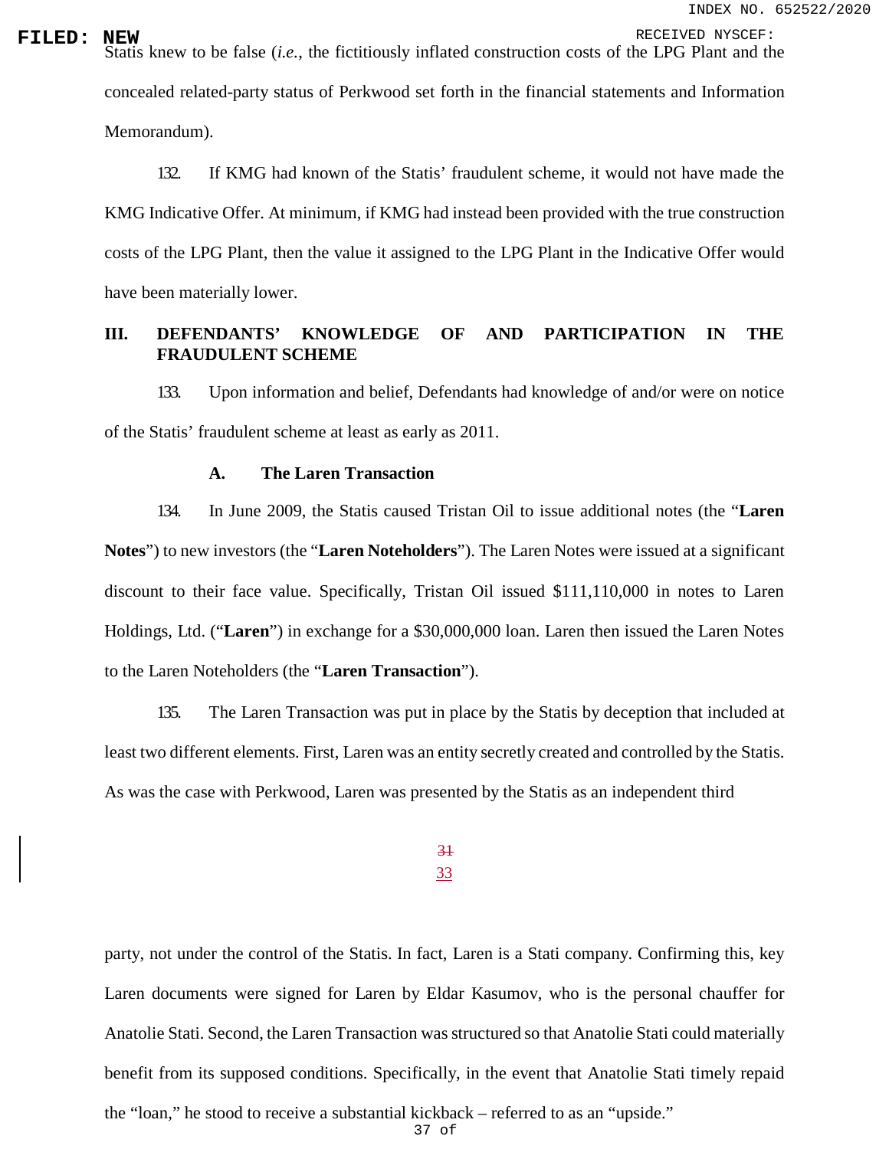**FILED:** NEW RECEIVED NYSCEF:<br>Statis knew to be false (*i.e.*, the fictitiously inflated construction costs of the LPG Plant and the concealed related-party status of Perkwood set forth in the financial statements and Information Memorandum).

> 132. If KMG had known of the Statis' fraudulent scheme, it would not have made the KMG Indicative Offer. At minimum, if KMG had instead been provided with the true construction costs of the LPG Plant, then the value it assigned to the LPG Plant in the Indicative Offer would have been materially lower.

# **III. DEFENDANTS' KNOWLEDGE OF AND PARTICIPATION IN THE FRAUDULENT SCHEME**

133. Upon information and belief, Defendants had knowledge of and/or were on notice of the Statis' fraudulent scheme at least as early as 2011.

### **A. The Laren Transaction**

134. In June 2009, the Statis caused Tristan Oil to issue additional notes (the "**Laren Notes**") to new investors (the "**Laren Noteholders**"). The Laren Notes were issued at a significant discount to their face value. Specifically, Tristan Oil issued \$111,110,000 in notes to Laren Holdings, Ltd. ("**Laren**") in exchange for a \$30,000,000 loan. Laren then issued the Laren Notes to the Laren Noteholders (the "**Laren Transaction**").

135. The Laren Transaction was put in place by the Statis by deception that included at least two different elements. First, Laren was an entity secretly created and controlled by the Statis. As was the case with Perkwood, Laren was presented by the Statis as an independent third

# 31 33

party, not under the control of the Statis. In fact, Laren is a Stati company. Confirming this, key Laren documents were signed for Laren by Eldar Kasumov, who is the personal chauffer for Anatolie Stati. Second, the Laren Transaction was structured so that Anatolie Stati could materially benefit from its supposed conditions. Specifically, in the event that Anatolie Stati timely repaid the "loan," he stood to receive a substantial kickback – referred to as an "upside."

37 of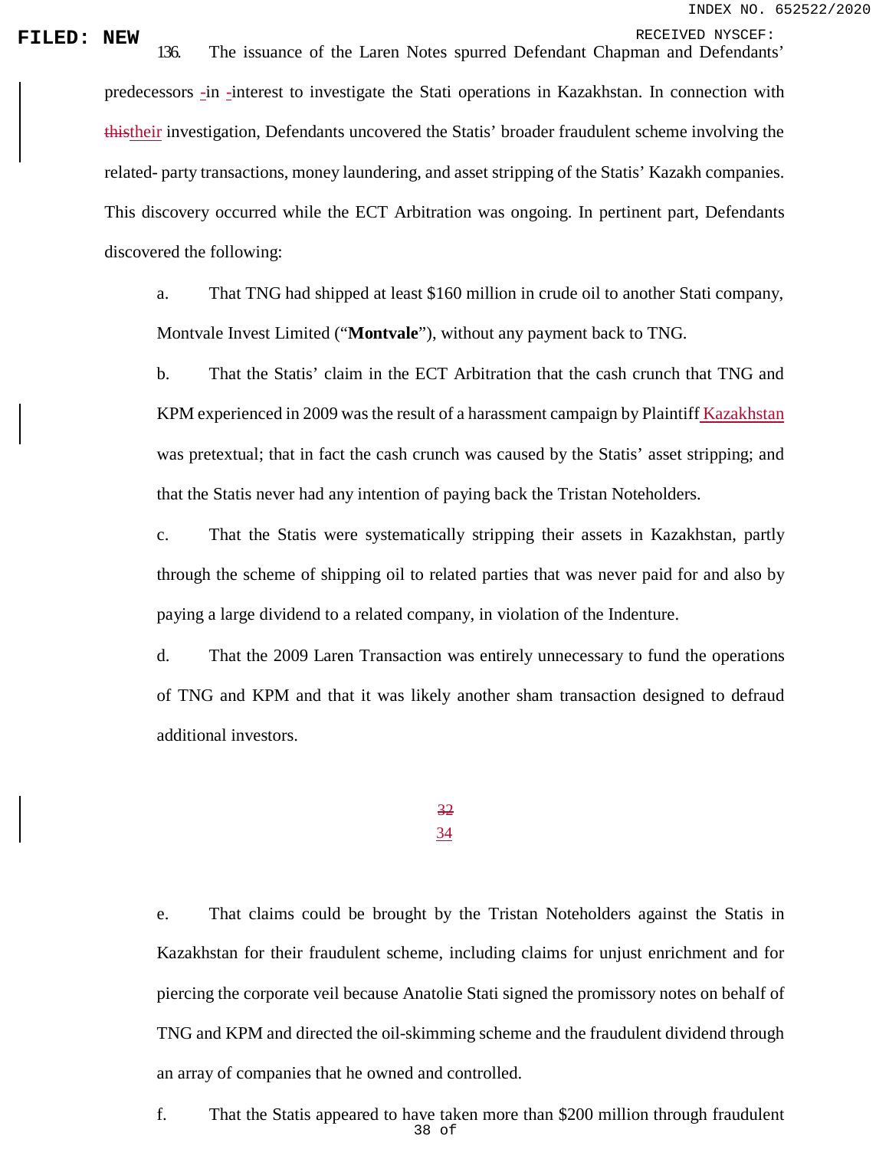**FILED: NEW** 136. The issuance of the Laren Notes spurred Defendant Chapman and Defendants' predecessors -in -interest to investigate the Stati operations in Kazakhstan. In connection with thistheir investigation, Defendants uncovered the Statis' broader fraudulent scheme involving the related- party transactions, money laundering, and asset stripping of the Statis' Kazakh companies. This discovery occurred while the ECT Arbitration was ongoing. In pertinent part, Defendants discovered the following:

> a. That TNG had shipped at least \$160 million in crude oil to another Stati company, Montvale Invest Limited ("**Montvale**"), without any payment back to TNG.

> b. That the Statis' claim in the ECT Arbitration that the cash crunch that TNG and KPM experienced in 2009 was the result of a harassment campaign by Plaintiff Kazakhstan was pretextual; that in fact the cash crunch was caused by the Statis' asset stripping; and that the Statis never had any intention of paying back the Tristan Noteholders.

> c. That the Statis were systematically stripping their assets in Kazakhstan, partly through the scheme of shipping oil to related parties that was never paid for and also by paying a large dividend to a related company, in violation of the Indenture.

> d. That the 2009 Laren Transaction was entirely unnecessary to fund the operations of TNG and KPM and that it was likely another sham transaction designed to defraud additional investors.

# 32 34

# e. That claims could be brought by the Tristan Noteholders against the Statis in Kazakhstan for their fraudulent scheme, including claims for unjust enrichment and for piercing the corporate veil because Anatolie Stati signed the promissory notes on behalf of TNG and KPM and directed the oil-skimming scheme and the fraudulent dividend through an array of companies that he owned and controlled.

38 of f. That the Statis appeared to have taken more than \$200 million through fraudulent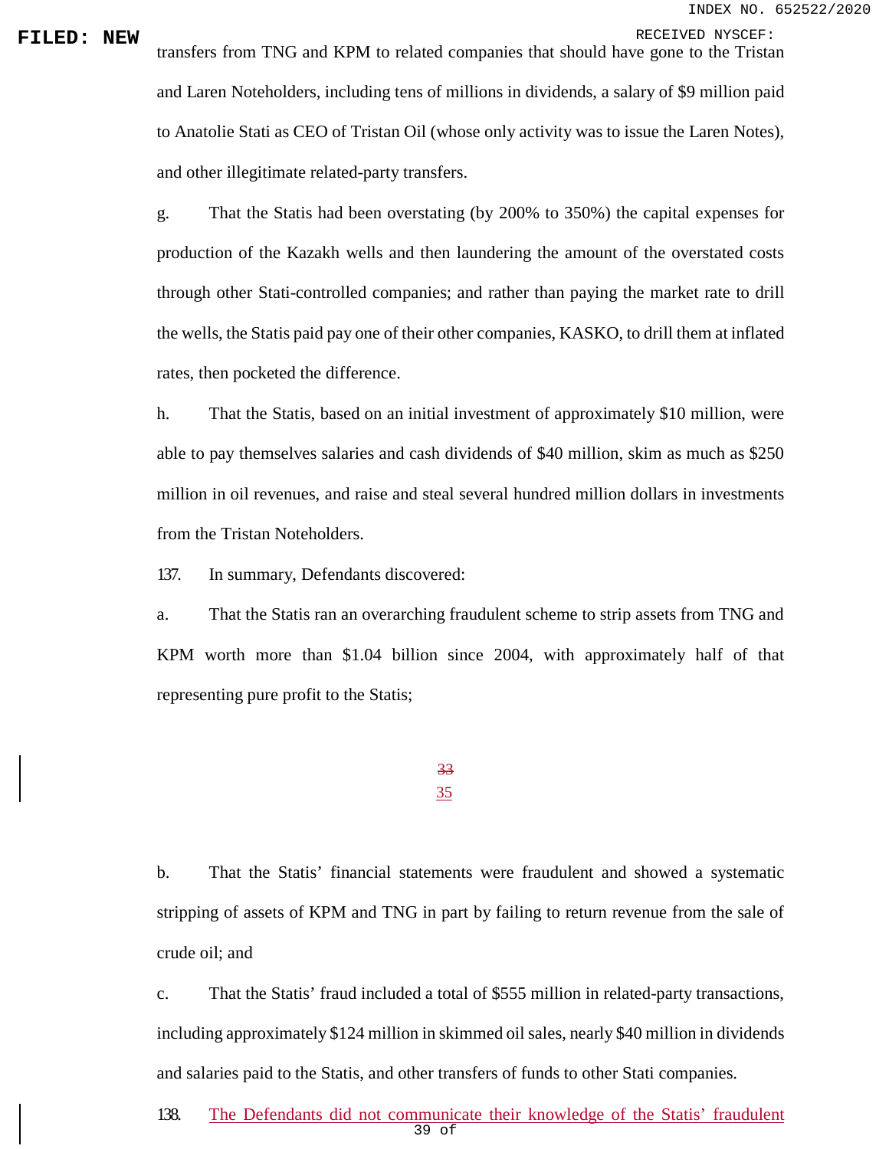**FILED: NEW** transfers from TNG and KPM to related companies that should have gone to the Tristan and Laren Noteholders, including tens of millions in dividends, a salary of \$9 million paid to Anatolie Stati as CEO of Tristan Oil (whose only activity was to issue the Laren Notes), and other illegitimate related-party transfers.

> g. That the Statis had been overstating (by 200% to 350%) the capital expenses for production of the Kazakh wells and then laundering the amount of the overstated costs through other Stati-controlled companies; and rather than paying the market rate to drill the wells, the Statis paid pay one of their other companies, KASKO, to drill them at inflated rates, then pocketed the difference.

> h. That the Statis, based on an initial investment of approximately \$10 million, were able to pay themselves salaries and cash dividends of \$40 million, skim as much as \$250 million in oil revenues, and raise and steal several hundred million dollars in investments from the Tristan Noteholders.

137. In summary, Defendants discovered:

a. That the Statis ran an overarching fraudulent scheme to strip assets from TNG and KPM worth more than \$1.04 billion since 2004, with approximately half of that representing pure profit to the Statis;

> 33 35

b. That the Statis' financial statements were fraudulent and showed a systematic stripping of assets of KPM and TNG in part by failing to return revenue from the sale of crude oil; and

c. That the Statis' fraud included a total of \$555 million in related-party transactions, including approximately \$124 million in skimmed oil sales, nearly \$40 million in dividends and salaries paid to the Statis, and other transfers of funds to other Stati companies.

39 of 138. The Defendants did not communicate their knowledge of the Statis' fraudulent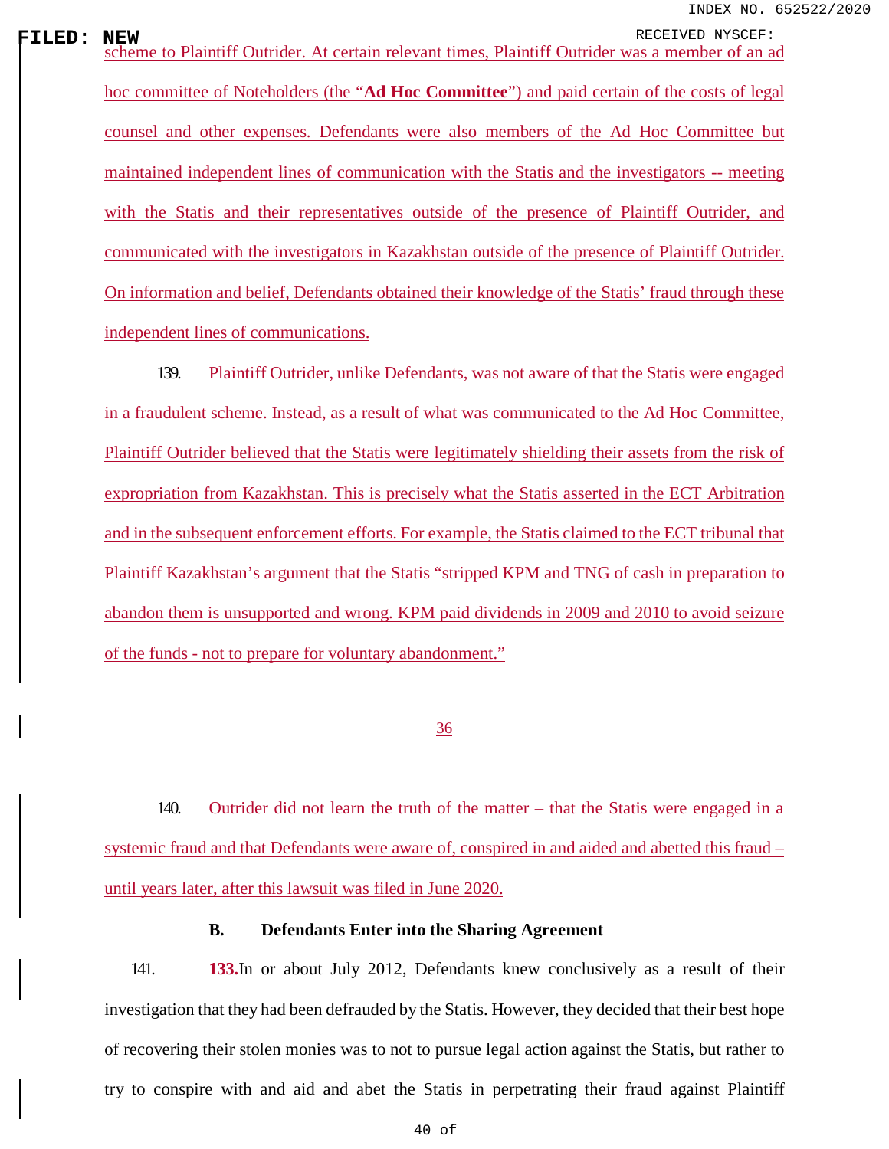**FILED:** NEW<br>| scheme to Plaintiff Outrider. At certain relevant times, Plaintiff Outrider was a member of an ad hoc committee of Noteholders (the "**Ad Hoc Committee**") and paid certain of the costs of legal counsel and other expenses. Defendants were also members of the Ad Hoc Committee but maintained independent lines of communication with the Statis and the investigators -- meeting with the Statis and their representatives outside of the presence of Plaintiff Outrider, and communicated with the investigators in Kazakhstan outside of the presence of Plaintiff Outrider. On information and belief, Defendants obtained their knowledge of the Statis' fraud through these independent lines of communications.

> 139. Plaintiff Outrider, unlike Defendants, was not aware of that the Statis were engaged in a fraudulent scheme. Instead, as a result of what was communicated to the Ad Hoc Committee, Plaintiff Outrider believed that the Statis were legitimately shielding their assets from the risk of expropriation from Kazakhstan. This is precisely what the Statis asserted in the ECT Arbitration and in the subsequent enforcement efforts. For example, the Statis claimed to the ECT tribunal that Plaintiff Kazakhstan's argument that the Statis "stripped KPM and TNG of cash in preparation to abandon them is unsupported and wrong. KPM paid dividends in 2009 and 2010 to avoid seizure of the funds - not to prepare for voluntary abandonment."

### 36

140. Outrider did not learn the truth of the matter – that the Statis were engaged in a systemic fraud and that Defendants were aware of, conspired in and aided and abetted this fraud – until years later, after this lawsuit was filed in June 2020.

# **B. Defendants Enter into the Sharing Agreement**

141. **133.**In or about July 2012, Defendants knew conclusively as a result of their investigation that they had been defrauded by the Statis. However, they decided that their best hope of recovering their stolen monies was to not to pursue legal action against the Statis, but rather to try to conspire with and aid and abet the Statis in perpetrating their fraud against Plaintiff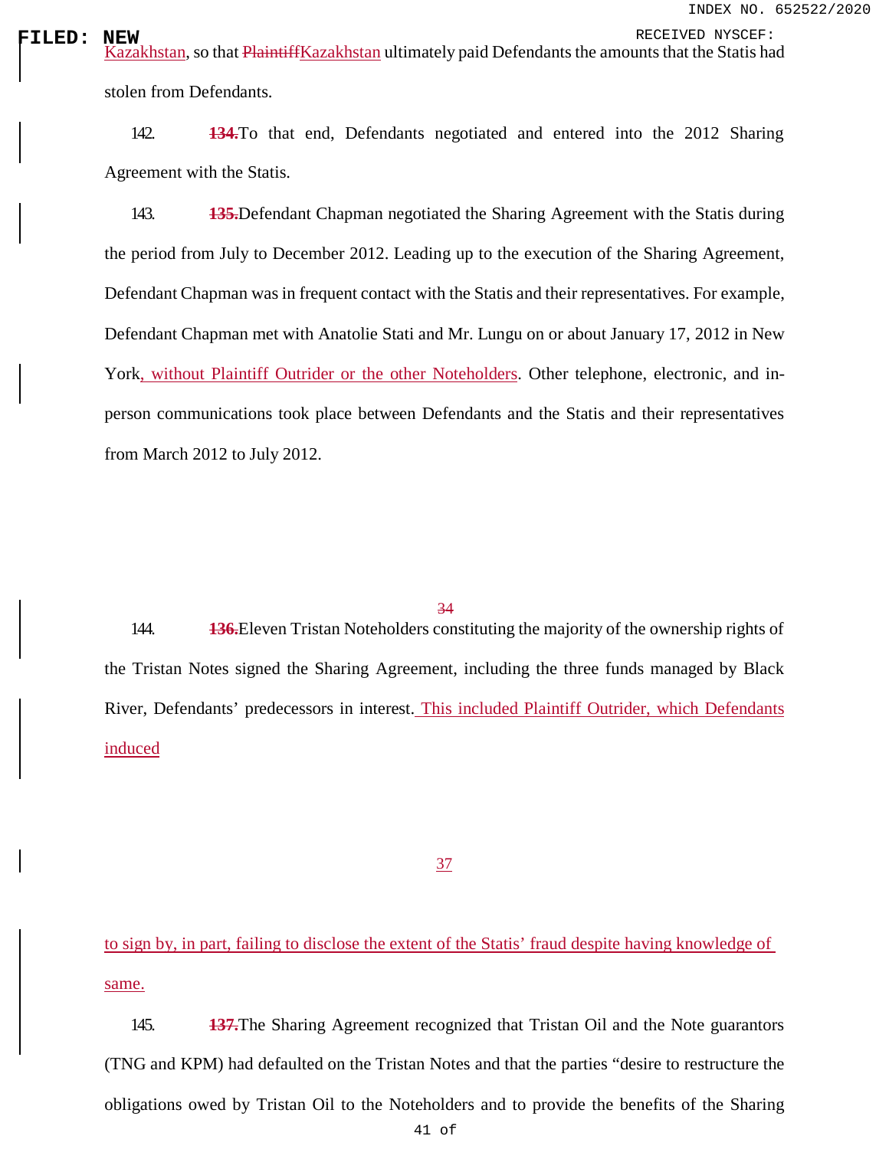RECEIVED **:** NEW RECEIVED NYSCEF:<br>| <u>Kazakhstan</u>, so that <del>PlaintiffKazakhstan</del> ultimately paid Defendants the amounts that the Statis had stolen from Defendants.

> 142. **134.**To that end, Defendants negotiated and entered into the 2012 Sharing Agreement with the Statis.

> 143. **135.**Defendant Chapman negotiated the Sharing Agreement with the Statis during the period from July to December 2012. Leading up to the execution of the Sharing Agreement, Defendant Chapman was in frequent contact with the Statis and their representatives. For example, Defendant Chapman met with Anatolie Stati and Mr. Lungu on or about January 17, 2012 in New York, without Plaintiff Outrider or the other Noteholders. Other telephone, electronic, and inperson communications took place between Defendants and the Statis and their representatives from March 2012 to July 2012.

#### 34

144. **136.**Eleven Tristan Noteholders constituting the majority of the ownership rights of the Tristan Notes signed the Sharing Agreement, including the three funds managed by Black River, Defendants' predecessors in interest. This included Plaintiff Outrider, which Defendants induced

37

to sign by, in part, failing to disclose the extent of the Statis' fraud despite having knowledge of same.

145. **137.**The Sharing Agreement recognized that Tristan Oil and the Note guarantors (TNG and KPM) had defaulted on the Tristan Notes and that the parties "desire to restructure the obligations owed by Tristan Oil to the Noteholders and to provide the benefits of the Sharing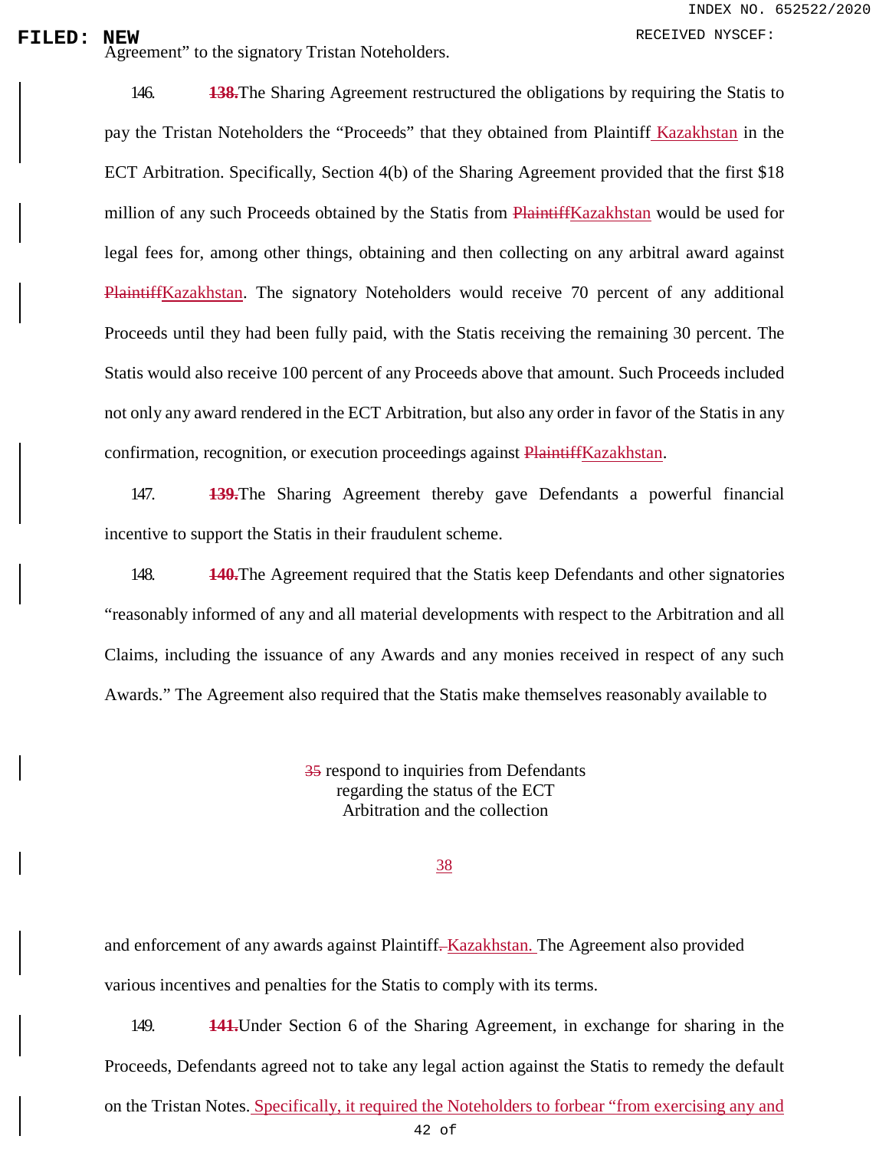**FILED:** NEW RECEIVED NYSCEF:<br>
Agreement" to the signatory Tristan Noteholders.

146. **138.**The Sharing Agreement restructured the obligations by requiring the Statis to pay the Tristan Noteholders the "Proceeds" that they obtained from Plaintiff Kazakhstan in the ECT Arbitration. Specifically, Section 4(b) of the Sharing Agreement provided that the first \$18 million of any such Proceeds obtained by the Statis from PlaintiffKazakhstan would be used for legal fees for, among other things, obtaining and then collecting on any arbitral award against PlaintiffKazakhstan. The signatory Noteholders would receive 70 percent of any additional Proceeds until they had been fully paid, with the Statis receiving the remaining 30 percent. The Statis would also receive 100 percent of any Proceeds above that amount. Such Proceeds included not only any award rendered in the ECT Arbitration, but also any order in favor of the Statis in any confirmation, recognition, or execution proceedings against PlaintiffKazakhstan.

147. **139.**The Sharing Agreement thereby gave Defendants a powerful financial incentive to support the Statis in their fraudulent scheme.

148. **140.**The Agreement required that the Statis keep Defendants and other signatories "reasonably informed of any and all material developments with respect to the Arbitration and all Claims, including the issuance of any Awards and any monies received in respect of any such Awards." The Agreement also required that the Statis make themselves reasonably available to

> 35 respond to inquiries from Defendants regarding the status of the ECT Arbitration and the collection

> > 38

and enforcement of any awards against Plaintiff. Kazakhstan. The Agreement also provided various incentives and penalties for the Statis to comply with its terms.

149. **141.**Under Section 6 of the Sharing Agreement, in exchange for sharing in the Proceeds, Defendants agreed not to take any legal action against the Statis to remedy the default on the Tristan Notes. Specifically, it required the Noteholders to forbear "from exercising any and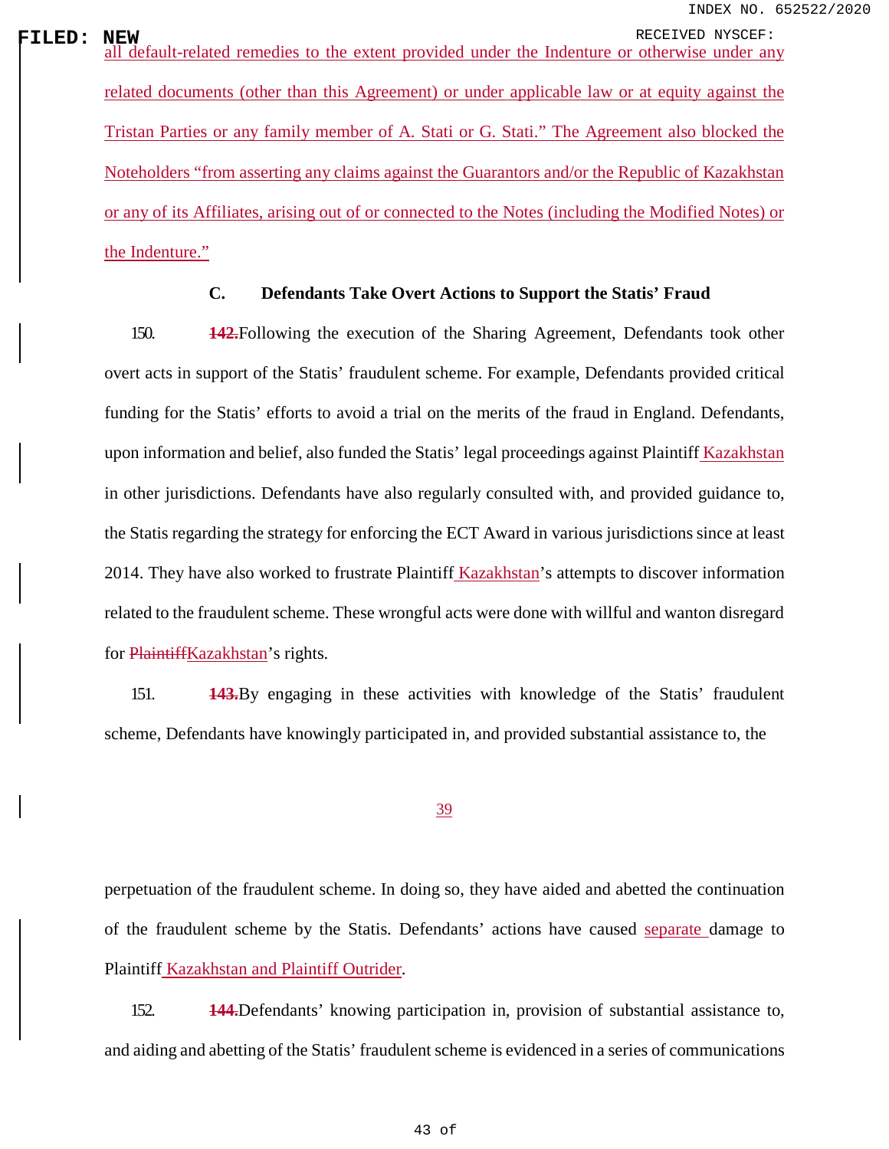**FILED:** NEW RECEIVED NYSCEF:<br>| all default-related remedies to the extent provided under the Indenture or otherwise under any related documents (other than this Agreement) or under applicable law or at equity against the Tristan Parties or any family member of A. Stati or G. Stati." The Agreement also blocked the Noteholders "from asserting any claims against the Guarantors and/or the Republic of Kazakhstan or any of its Affiliates, arising out of or connected to the Notes (including the Modified Notes) or the Indenture."

## **C. Defendants Take Overt Actions to Support the Statis' Fraud**

150. **142.**Following the execution of the Sharing Agreement, Defendants took other overt acts in support of the Statis' fraudulent scheme. For example, Defendants provided critical funding for the Statis' efforts to avoid a trial on the merits of the fraud in England. Defendants, upon information and belief, also funded the Statis' legal proceedings against Plaintiff Kazakhstan in other jurisdictions. Defendants have also regularly consulted with, and provided guidance to, the Statis regarding the strategy for enforcing the ECT Award in various jurisdictions since at least 2014. They have also worked to frustrate Plaintiff Kazakhstan's attempts to discover information related to the fraudulent scheme. These wrongful acts were done with willful and wanton disregard for PlaintiffKazakhstan's rights.

151. **143.**By engaging in these activities with knowledge of the Statis' fraudulent scheme, Defendants have knowingly participated in, and provided substantial assistance to, the

### 39

perpetuation of the fraudulent scheme. In doing so, they have aided and abetted the continuation of the fraudulent scheme by the Statis. Defendants' actions have caused separate damage to Plaintiff Kazakhstan and Plaintiff Outrider.

152. **144.**Defendants' knowing participation in, provision of substantial assistance to, and aiding and abetting of the Statis' fraudulent scheme is evidenced in a series of communications

43 of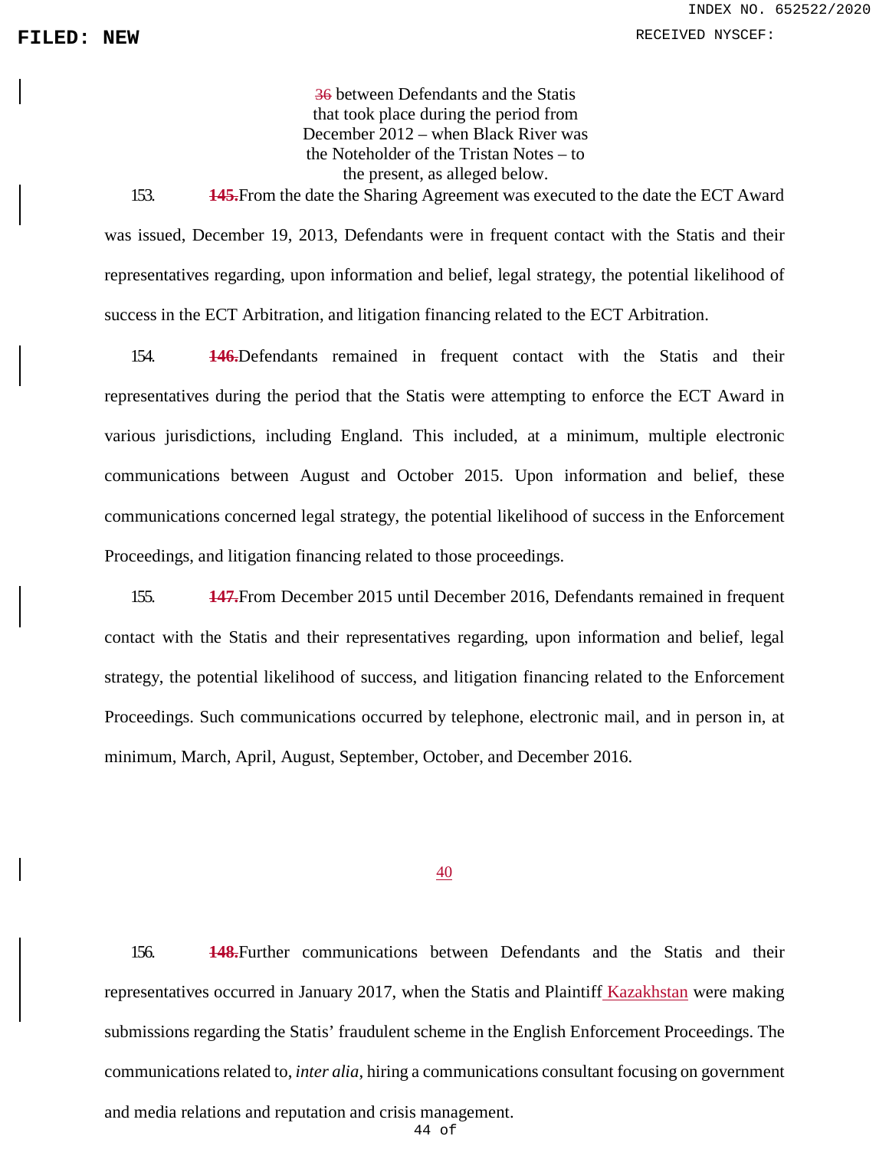36 between Defendants and the Statis that took place during the period from December 2012 – when Black River was the Noteholder of the Tristan Notes – to the present, as alleged below.

153. **145.**From the date the Sharing Agreement was executed to the date the ECT Award was issued, December 19, 2013, Defendants were in frequent contact with the Statis and their representatives regarding, upon information and belief, legal strategy, the potential likelihood of success in the ECT Arbitration, and litigation financing related to the ECT Arbitration.

154. **146.**Defendants remained in frequent contact with the Statis and their representatives during the period that the Statis were attempting to enforce the ECT Award in various jurisdictions, including England. This included, at a minimum, multiple electronic communications between August and October 2015. Upon information and belief, these communications concerned legal strategy, the potential likelihood of success in the Enforcement Proceedings, and litigation financing related to those proceedings.

155. **147.**From December 2015 until December 2016, Defendants remained in frequent contact with the Statis and their representatives regarding, upon information and belief, legal strategy, the potential likelihood of success, and litigation financing related to the Enforcement Proceedings. Such communications occurred by telephone, electronic mail, and in person in, at minimum, March, April, August, September, October, and December 2016.

#### 40

156. **148.**Further communications between Defendants and the Statis and their representatives occurred in January 2017, when the Statis and Plaintiff Kazakhstan were making submissions regarding the Statis' fraudulent scheme in the English Enforcement Proceedings. The communications related to, *inter alia*, hiring a communications consultant focusing on government and media relations and reputation and crisis management.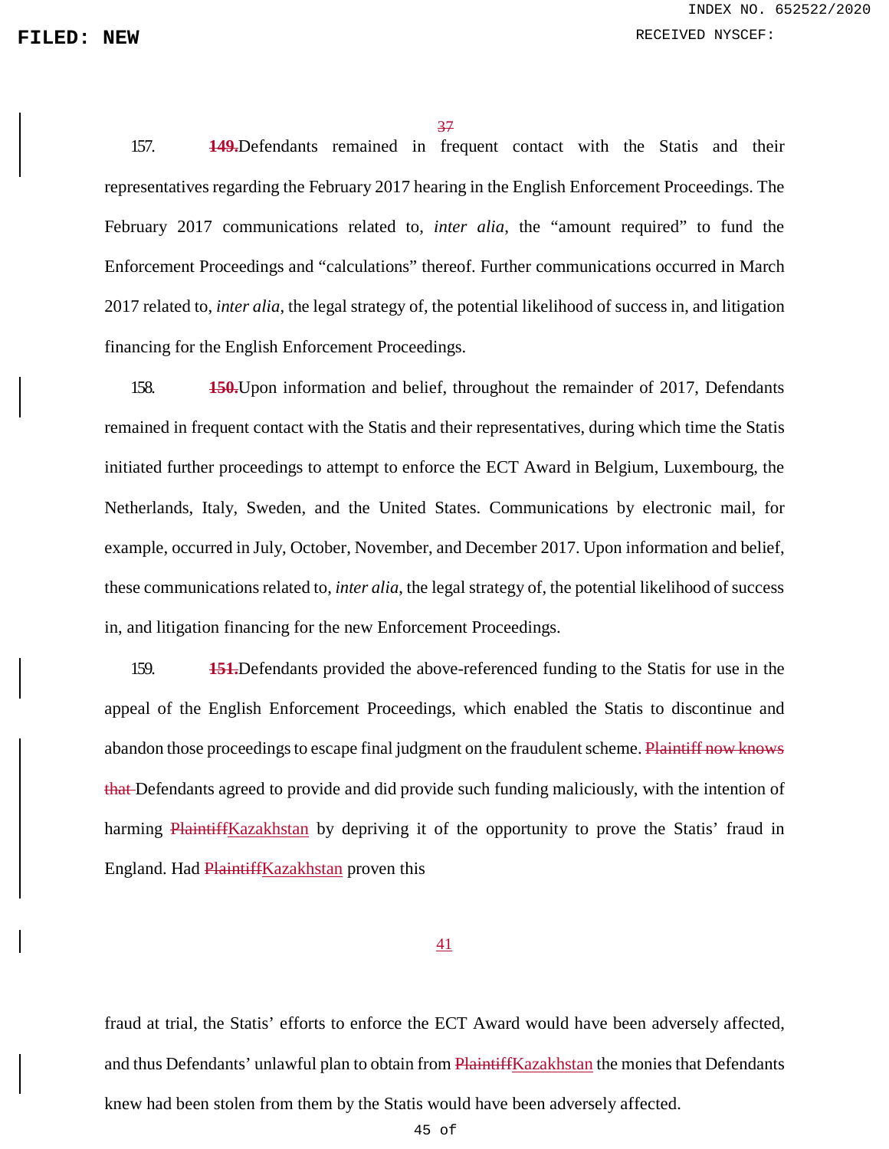37

157. **149.**Defendants remained in frequent contact with the Statis and their representatives regarding the February 2017 hearing in the English Enforcement Proceedings. The February 2017 communications related to, *inter alia*, the "amount required" to fund the Enforcement Proceedings and "calculations" thereof. Further communications occurred in March 2017 related to, *inter alia*, the legal strategy of, the potential likelihood of success in, and litigation financing for the English Enforcement Proceedings.

158. **150.**Upon information and belief, throughout the remainder of 2017, Defendants remained in frequent contact with the Statis and their representatives, during which time the Statis initiated further proceedings to attempt to enforce the ECT Award in Belgium, Luxembourg, the Netherlands, Italy, Sweden, and the United States. Communications by electronic mail, for example, occurred in July, October, November, and December 2017. Upon information and belief, these communications related to, *inter alia*, the legal strategy of, the potential likelihood of success in, and litigation financing for the new Enforcement Proceedings.

159. **151.**Defendants provided the above-referenced funding to the Statis for use in the appeal of the English Enforcement Proceedings, which enabled the Statis to discontinue and abandon those proceedings to escape final judgment on the fraudulent scheme. Plaintiff now knows that Defendants agreed to provide and did provide such funding maliciously, with the intention of harming PlaintiffKazakhstan by depriving it of the opportunity to prove the Statis' fraud in England. Had PlaintiffKazakhstan proven this

## 41

fraud at trial, the Statis' efforts to enforce the ECT Award would have been adversely affected, and thus Defendants' unlawful plan to obtain from PlaintiffKazakhstan the monies that Defendants knew had been stolen from them by the Statis would have been adversely affected.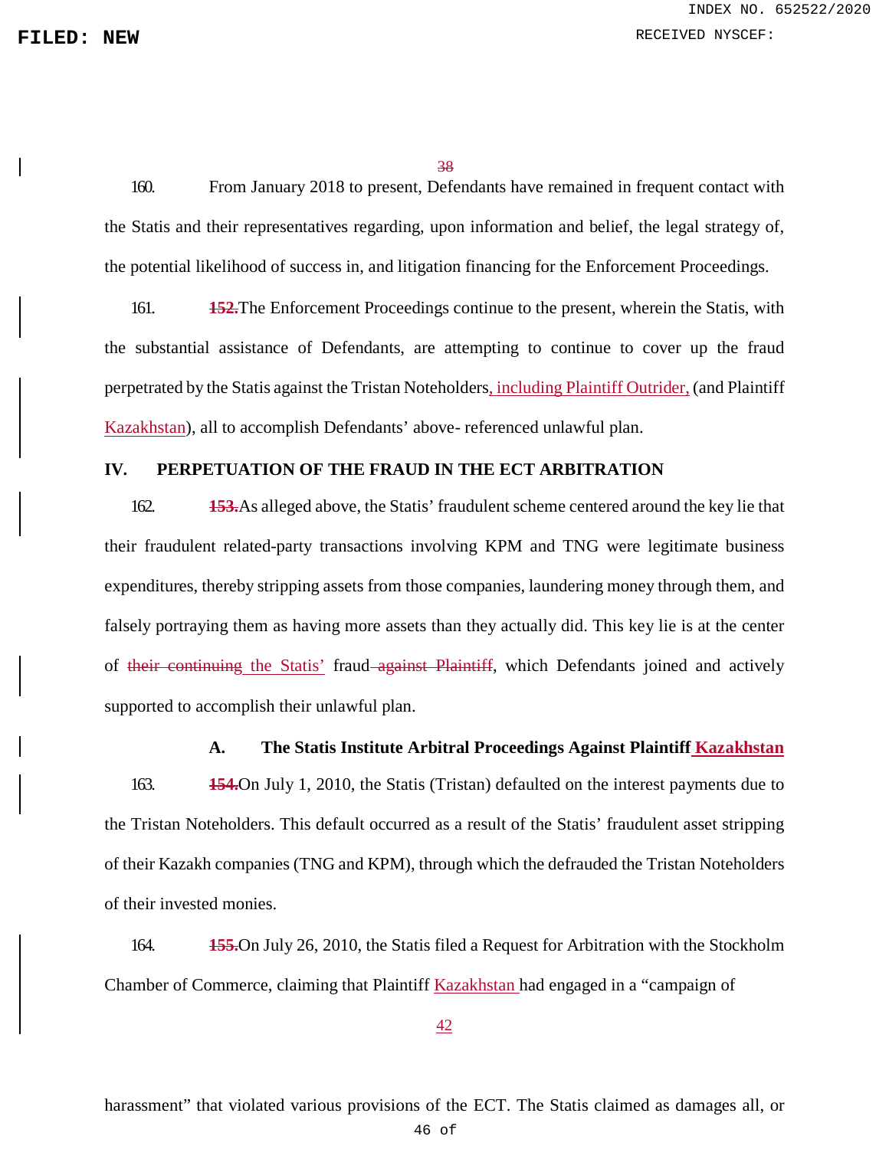38

160. From January 2018 to present, Defendants have remained in frequent contact with the Statis and their representatives regarding, upon information and belief, the legal strategy of, the potential likelihood of success in, and litigation financing for the Enforcement Proceedings.

161. **152.**The Enforcement Proceedings continue to the present, wherein the Statis, with the substantial assistance of Defendants, are attempting to continue to cover up the fraud perpetrated by the Statis against the Tristan Noteholders, including Plaintiff Outrider, (and Plaintiff Kazakhstan), all to accomplish Defendants' above- referenced unlawful plan.

# **IV. PERPETUATION OF THE FRAUD IN THE ECT ARBITRATION**

162. **153.**As alleged above, the Statis' fraudulent scheme centered around the key lie that their fraudulent related-party transactions involving KPM and TNG were legitimate business expenditures, thereby stripping assets from those companies, laundering money through them, and falsely portraying them as having more assets than they actually did. This key lie is at the center of their continuing the Statis' fraud against Plaintiff, which Defendants joined and actively supported to accomplish their unlawful plan.

### **A. The Statis Institute Arbitral Proceedings Against Plaintiff Kazakhstan**

163. **154.**On July 1, 2010, the Statis (Tristan) defaulted on the interest payments due to the Tristan Noteholders. This default occurred as a result of the Statis' fraudulent asset stripping of their Kazakh companies (TNG and KPM), through which the defrauded the Tristan Noteholders of their invested monies.

164. **155.**On July 26, 2010, the Statis filed a Request for Arbitration with the Stockholm Chamber of Commerce, claiming that Plaintiff Kazakhstan had engaged in a "campaign of

42

harassment" that violated various provisions of the ECT. The Statis claimed as damages all, or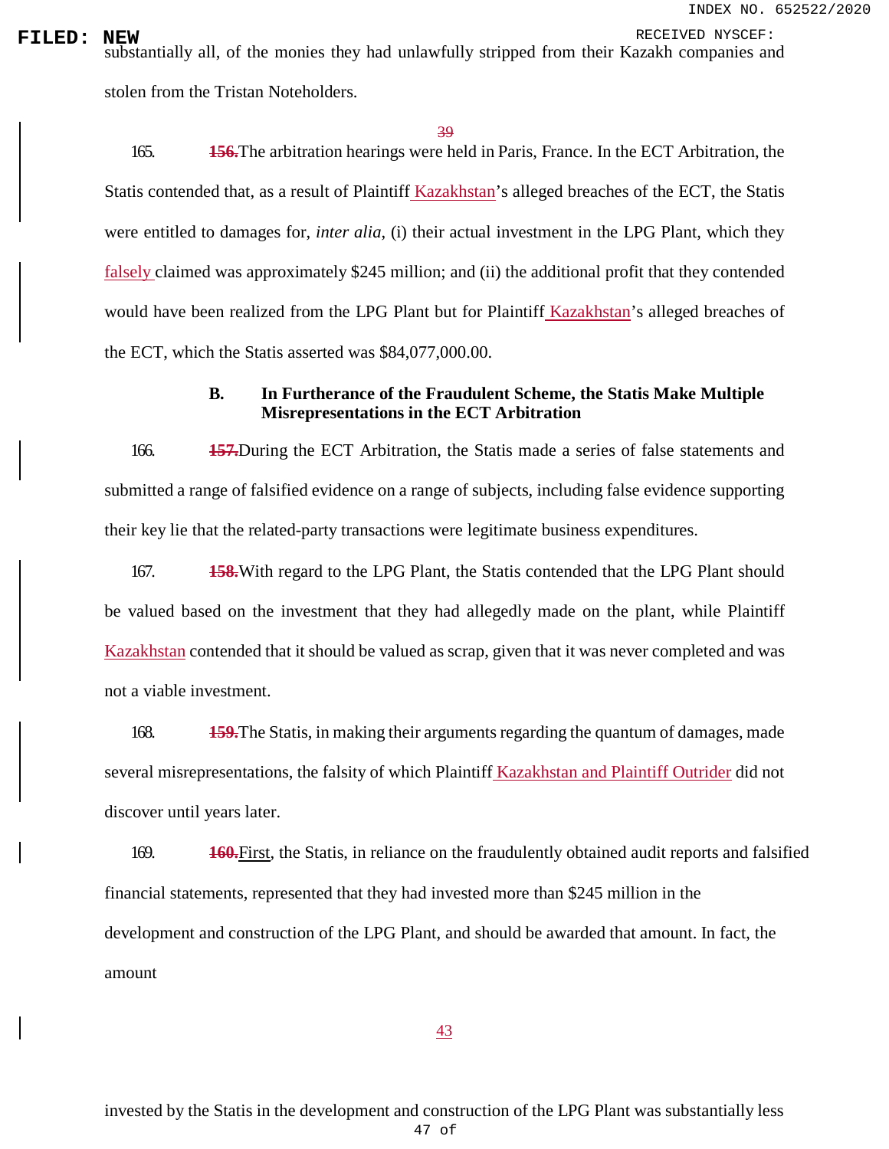INDEX NO. 652522/2020

**FILED: NEW**<br>substantially all, of the monies they had unlawfully stripped from their Kazakh companies and stolen from the Tristan Noteholders.

39

165. **156.**The arbitration hearings were held in Paris, France. In the ECT Arbitration, the Statis contended that, as a result of Plaintiff Kazakhstan's alleged breaches of the ECT, the Statis were entitled to damages for, *inter alia*, (i) their actual investment in the LPG Plant, which they falsely claimed was approximately \$245 million; and (ii) the additional profit that they contended would have been realized from the LPG Plant but for Plaintiff Kazakhstan's alleged breaches of the ECT, which the Statis asserted was \$84,077,000.00.

# **B. In Furtherance of the Fraudulent Scheme, the Statis Make Multiple Misrepresentations in the ECT Arbitration**

166. **157.**During the ECT Arbitration, the Statis made a series of false statements and submitted a range of falsified evidence on a range of subjects, including false evidence supporting their key lie that the related-party transactions were legitimate business expenditures.

167. **158.**With regard to the LPG Plant, the Statis contended that the LPG Plant should be valued based on the investment that they had allegedly made on the plant, while Plaintiff Kazakhstan contended that it should be valued as scrap, given that it was never completed and was not a viable investment.

168. **159.**The Statis, in making their arguments regarding the quantum of damages, made several misrepresentations, the falsity of which Plaintiff Kazakhstan and Plaintiff Outrider did not discover until years later.

169. **160.**First, the Statis, in reliance on the fraudulently obtained audit reports and falsified financial statements, represented that they had invested more than \$245 million in the development and construction of the LPG Plant, and should be awarded that amount. In fact, the amount

43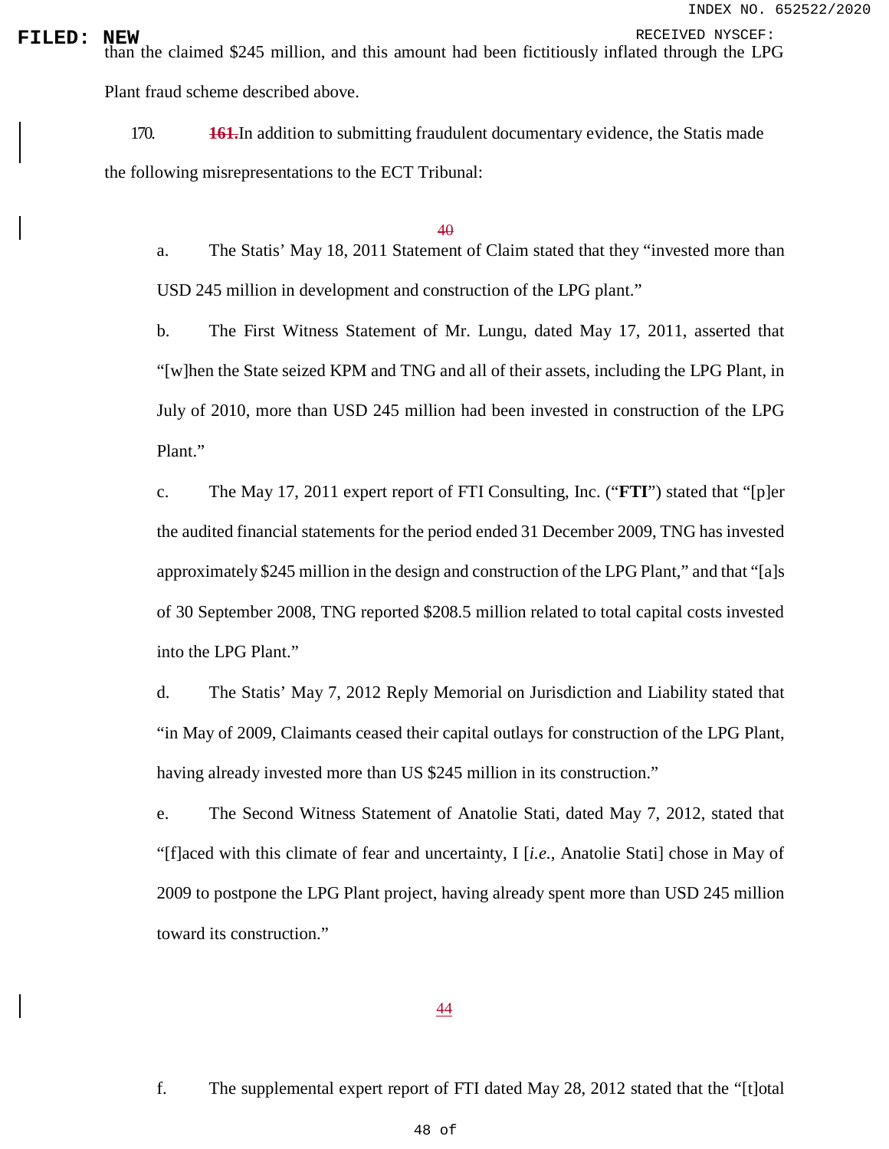INDEX NO. 652522/2020

**FILED:** NEW RECEIVED NYSCEF:<br>than the claimed \$245 million, and this amount had been fictitiously inflated through the LPG Plant fraud scheme described above.

> 170. **161.**In addition to submitting fraudulent documentary evidence, the Statis made the following misrepresentations to the ECT Tribunal:

## 40

a. The Statis' May 18, 2011 Statement of Claim stated that they "invested more than USD 245 million in development and construction of the LPG plant."

b. The First Witness Statement of Mr. Lungu, dated May 17, 2011, asserted that "[w]hen the State seized KPM and TNG and all of their assets, including the LPG Plant, in July of 2010, more than USD 245 million had been invested in construction of the LPG Plant."

c. The May 17, 2011 expert report of FTI Consulting, Inc. ("**FTI**") stated that "[p]er the audited financial statements for the period ended 31 December 2009, TNG has invested approximately \$245 million in the design and construction of the LPG Plant," and that "[a]s of 30 September 2008, TNG reported \$208.5 million related to total capital costs invested into the LPG Plant."

d. The Statis' May 7, 2012 Reply Memorial on Jurisdiction and Liability stated that "in May of 2009, Claimants ceased their capital outlays for construction of the LPG Plant, having already invested more than US \$245 million in its construction."

e. The Second Witness Statement of Anatolie Stati, dated May 7, 2012, stated that "[f]aced with this climate of fear and uncertainty, I [*i.e.*, Anatolie Stati] chose in May of 2009 to postpone the LPG Plant project, having already spent more than USD 245 million toward its construction."

### 44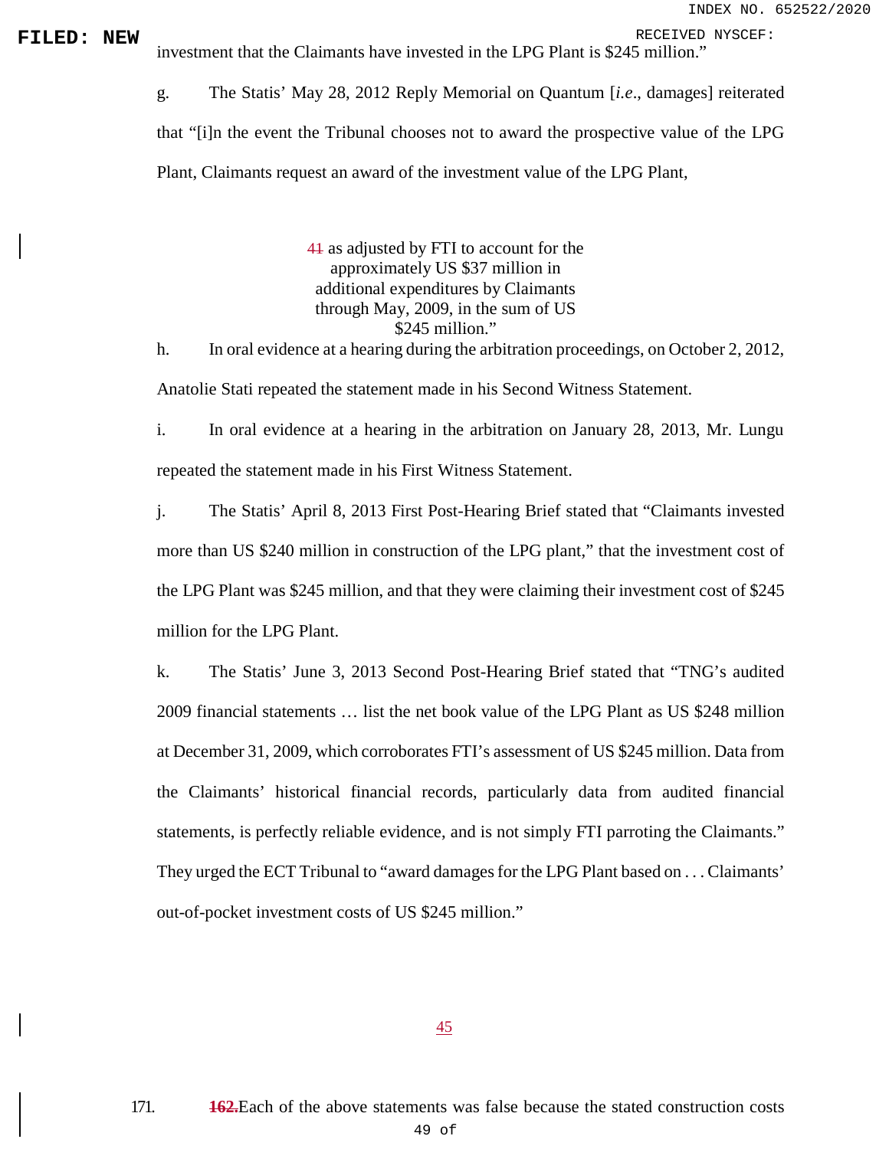**FILED:** NEW investment that the Claimants have invested in the LPG Plant is \$245 million."

g. The Statis' May 28, 2012 Reply Memorial on Quantum [*i.e*., damages] reiterated that "[i]n the event the Tribunal chooses not to award the prospective value of the LPG Plant, Claimants request an award of the investment value of the LPG Plant,

> 41 as adjusted by FTI to account for the approximately US \$37 million in additional expenditures by Claimants through May, 2009, in the sum of US \$245 million."

h. In oral evidence at a hearing during the arbitration proceedings, on October 2, 2012, Anatolie Stati repeated the statement made in his Second Witness Statement.

i. In oral evidence at a hearing in the arbitration on January 28, 2013, Mr. Lungu repeated the statement made in his First Witness Statement.

j. The Statis' April 8, 2013 First Post-Hearing Brief stated that "Claimants invested more than US \$240 million in construction of the LPG plant," that the investment cost of the LPG Plant was \$245 million, and that they were claiming their investment cost of \$245 million for the LPG Plant.

k. The Statis' June 3, 2013 Second Post-Hearing Brief stated that "TNG's audited 2009 financial statements … list the net book value of the LPG Plant as US \$248 million at December 31, 2009, which corroborates FTI's assessment of US \$245 million. Data from the Claimants' historical financial records, particularly data from audited financial statements, is perfectly reliable evidence, and is not simply FTI parroting the Claimants." They urged the ECT Tribunal to "award damages for the LPG Plant based on . . . Claimants' out-of-pocket investment costs of US \$245 million."

45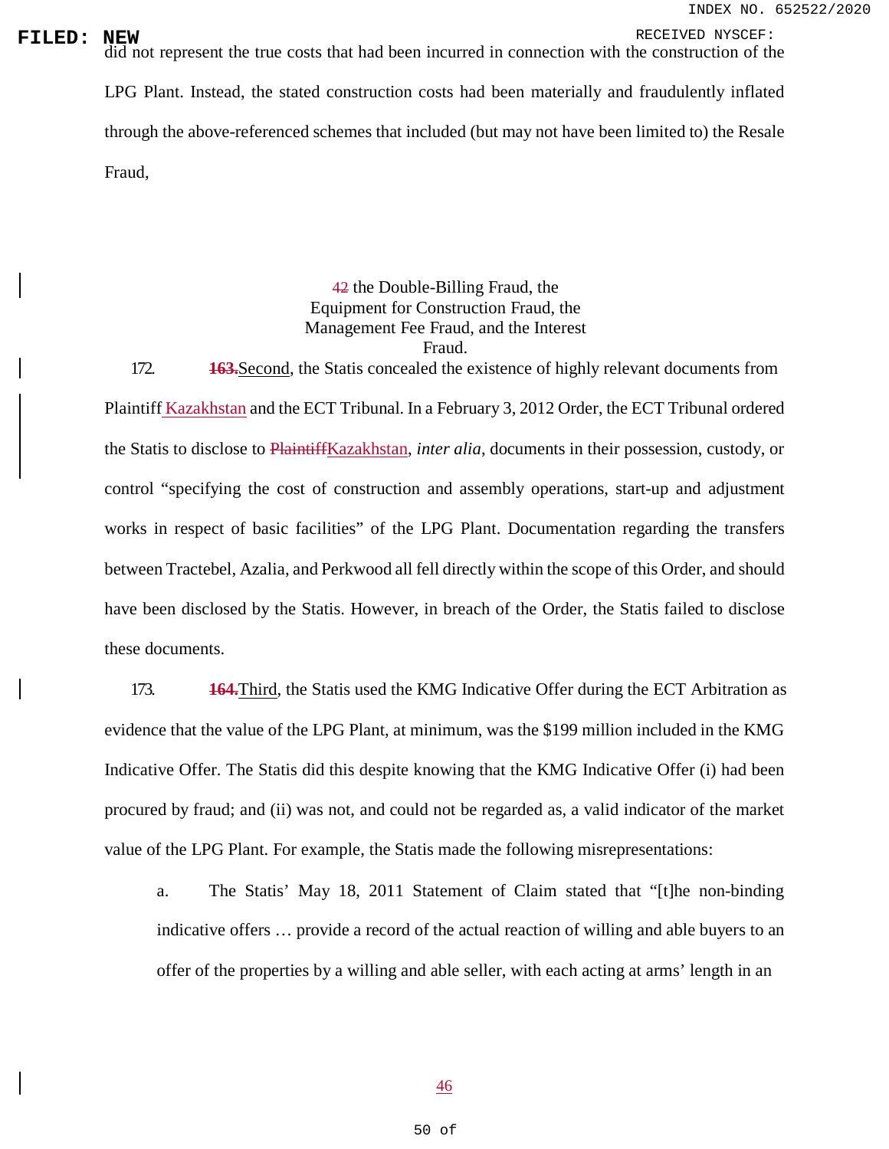**FILED:** NEW<br>did not represent the true costs that had been incurred in connection with the construction of the LPG Plant. Instead, the stated construction costs had been materially and fraudulently inflated through the above-referenced schemes that included (but may not have been limited to) the Resale Fraud,

# 42 the Double-Billing Fraud, the Equipment for Construction Fraud, the Management Fee Fraud, and the Interest Fraud.

172. **163.**Second, the Statis concealed the existence of highly relevant documents from Plaintiff Kazakhstan and the ECT Tribunal. In a February 3, 2012 Order, the ECT Tribunal ordered the Statis to disclose to PlaintiffKazakhstan, *inter alia*, documents in their possession, custody, or control "specifying the cost of construction and assembly operations, start-up and adjustment works in respect of basic facilities" of the LPG Plant. Documentation regarding the transfers between Tractebel, Azalia, and Perkwood all fell directly within the scope of this Order, and should have been disclosed by the Statis. However, in breach of the Order, the Statis failed to disclose these documents.

173. **164.**Third, the Statis used the KMG Indicative Offer during the ECT Arbitration as evidence that the value of the LPG Plant, at minimum, was the \$199 million included in the KMG Indicative Offer. The Statis did this despite knowing that the KMG Indicative Offer (i) had been procured by fraud; and (ii) was not, and could not be regarded as, a valid indicator of the market value of the LPG Plant. For example, the Statis made the following misrepresentations:

a. The Statis' May 18, 2011 Statement of Claim stated that "[t]he non-binding indicative offers … provide a record of the actual reaction of willing and able buyers to an offer of the properties by a willing and able seller, with each acting at arms' length in an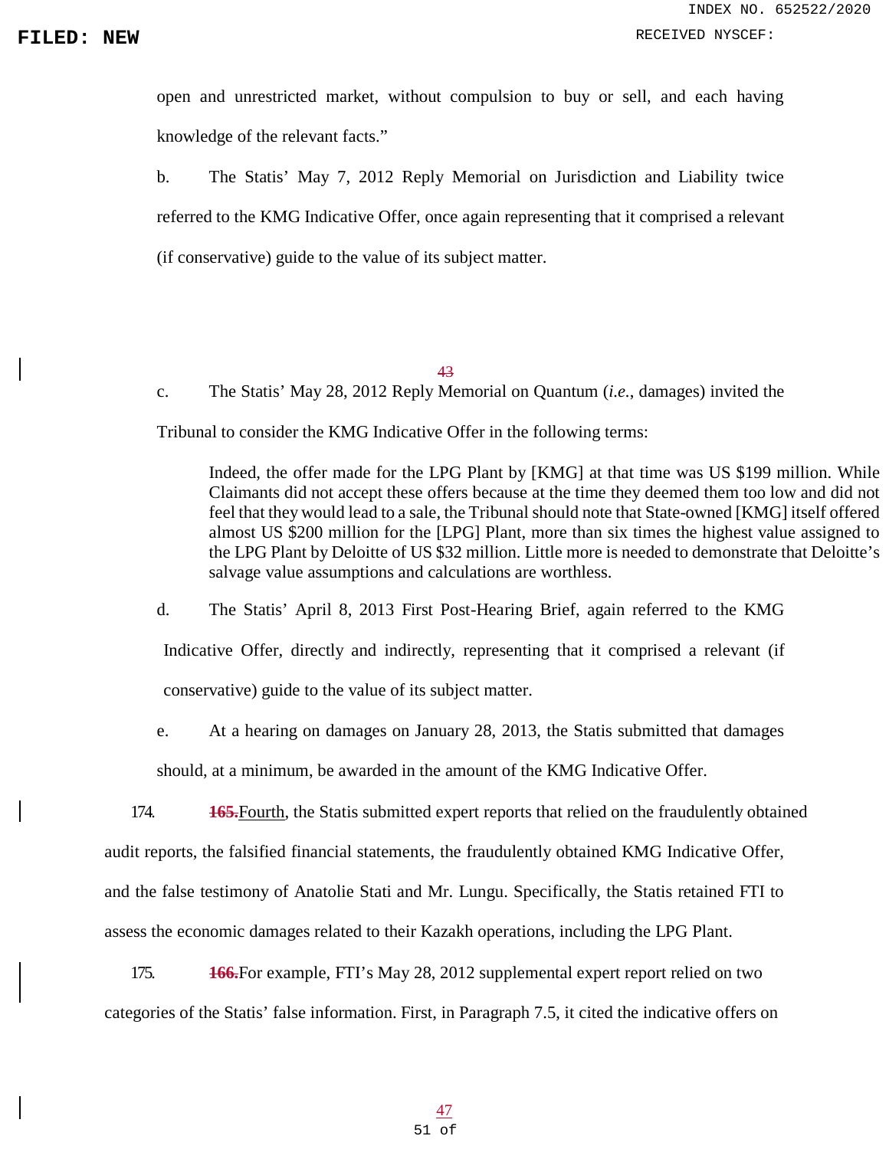open and unrestricted market, without compulsion to buy or sell, and each having knowledge of the relevant facts."

b. The Statis' May 7, 2012 Reply Memorial on Jurisdiction and Liability twice referred to the KMG Indicative Offer, once again representing that it comprised a relevant (if conservative) guide to the value of its subject matter.

43

c. The Statis' May 28, 2012 Reply Memorial on Quantum (*i.e.*, damages) invited the

Tribunal to consider the KMG Indicative Offer in the following terms:

Indeed, the offer made for the LPG Plant by [KMG] at that time was US \$199 million. While Claimants did not accept these offers because at the time they deemed them too low and did not feel that they would lead to a sale, the Tribunal should note that State-owned [KMG] itself offered almost US \$200 million for the [LPG] Plant, more than six times the highest value assigned to the LPG Plant by Deloitte of US \$32 million. Little more is needed to demonstrate that Deloitte's salvage value assumptions and calculations are worthless.

d. The Statis' April 8, 2013 First Post-Hearing Brief, again referred to the KMG

Indicative Offer, directly and indirectly, representing that it comprised a relevant (if conservative) guide to the value of its subject matter.

e. At a hearing on damages on January 28, 2013, the Statis submitted that damages

should, at a minimum, be awarded in the amount of the KMG Indicative Offer.

174. **165.**Fourth, the Statis submitted expert reports that relied on the fraudulently obtained

audit reports, the falsified financial statements, the fraudulently obtained KMG Indicative Offer,

and the false testimony of Anatolie Stati and Mr. Lungu. Specifically, the Statis retained FTI to

assess the economic damages related to their Kazakh operations, including the LPG Plant.

175. **166.**For example, FTI's May 28, 2012 supplemental expert report relied on two categories of the Statis' false information. First, in Paragraph 7.5, it cited the indicative offers on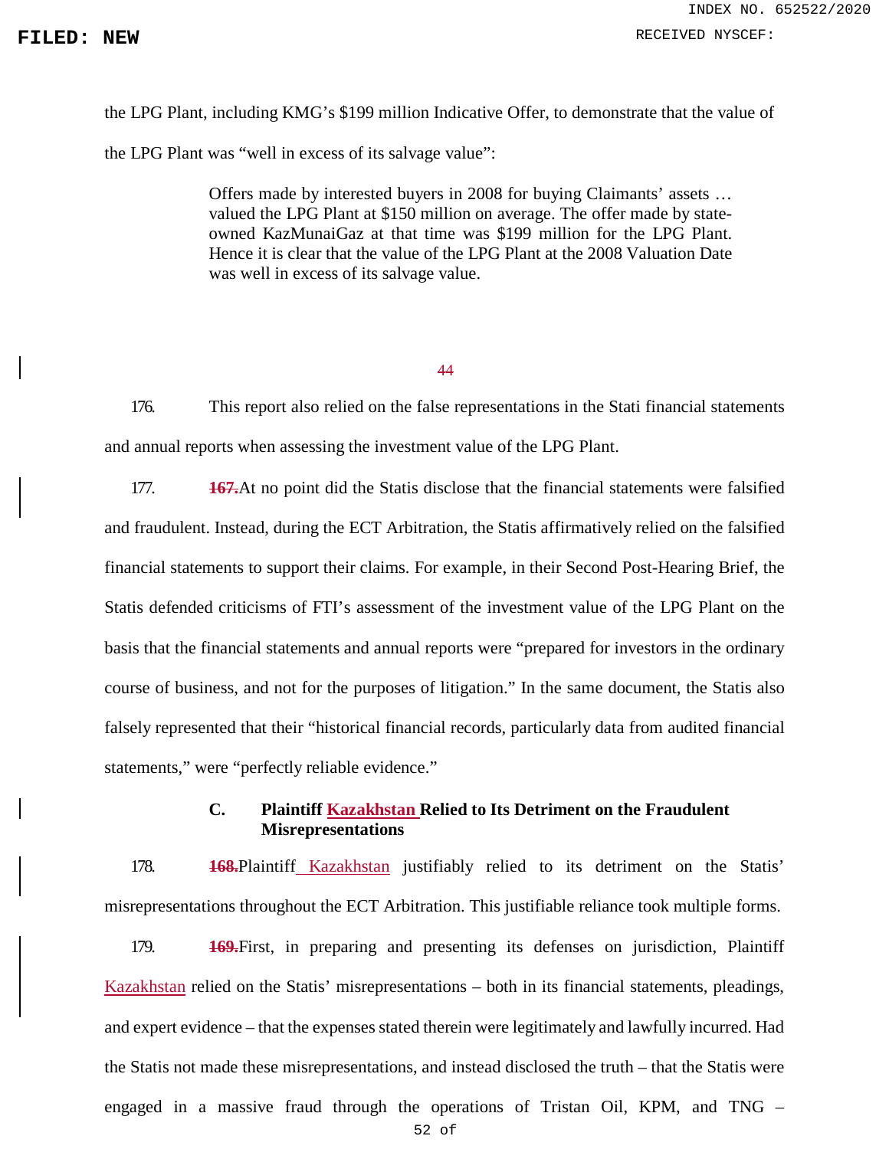the LPG Plant, including KMG's \$199 million Indicative Offer, to demonstrate that the value of the LPG Plant was "well in excess of its salvage value":

> Offers made by interested buyers in 2008 for buying Claimants' assets … valued the LPG Plant at \$150 million on average. The offer made by stateowned KazMunaiGaz at that time was \$199 million for the LPG Plant. Hence it is clear that the value of the LPG Plant at the 2008 Valuation Date was well in excess of its salvage value.

> > 44

176. This report also relied on the false representations in the Stati financial statements and annual reports when assessing the investment value of the LPG Plant.

177. **167.**At no point did the Statis disclose that the financial statements were falsified and fraudulent. Instead, during the ECT Arbitration, the Statis affirmatively relied on the falsified financial statements to support their claims. For example, in their Second Post-Hearing Brief, the Statis defended criticisms of FTI's assessment of the investment value of the LPG Plant on the basis that the financial statements and annual reports were "prepared for investors in the ordinary course of business, and not for the purposes of litigation." In the same document, the Statis also falsely represented that their "historical financial records, particularly data from audited financial statements," were "perfectly reliable evidence."

# **C. Plaintiff Kazakhstan Relied to Its Detriment on the Fraudulent Misrepresentations**

178. **168.**Plaintiff Kazakhstan justifiably relied to its detriment on the Statis' misrepresentations throughout the ECT Arbitration. This justifiable reliance took multiple forms.

179. **169.**First, in preparing and presenting its defenses on jurisdiction, Plaintiff Kazakhstan relied on the Statis' misrepresentations – both in its financial statements, pleadings, and expert evidence – that the expenses stated therein were legitimately and lawfully incurred. Had the Statis not made these misrepresentations, and instead disclosed the truth – that the Statis were engaged in a massive fraud through the operations of Tristan Oil, KPM, and TNG –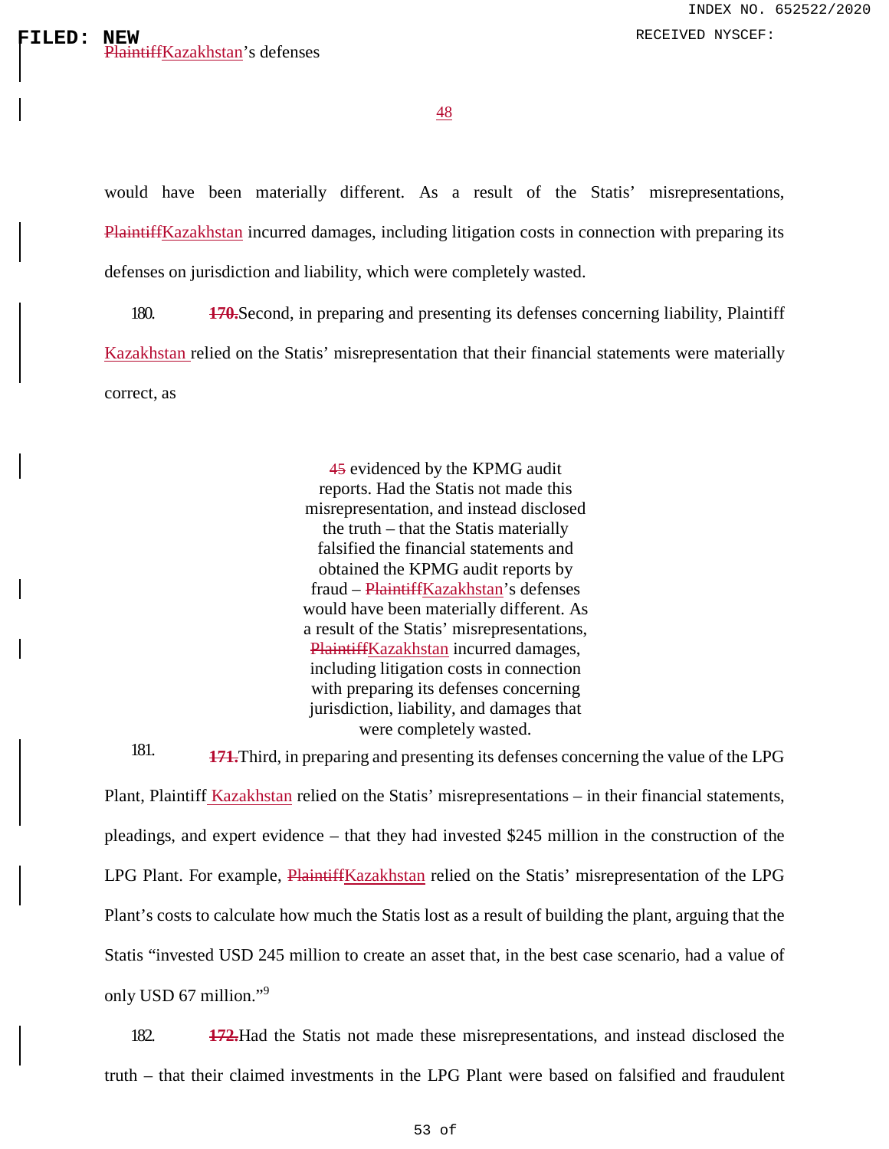48

would have been materially different. As a result of the Statis' misrepresentations, PlaintiffKazakhstan incurred damages, including litigation costs in connection with preparing its defenses on jurisdiction and liability, which were completely wasted.

180. **170.**Second, in preparing and presenting its defenses concerning liability, Plaintiff Kazakhstan relied on the Statis' misrepresentation that their financial statements were materially correct, as

> 45 evidenced by the KPMG audit reports. Had the Statis not made this misrepresentation, and instead disclosed the truth – that the Statis materially falsified the financial statements and obtained the KPMG audit reports by fraud – PlaintiffKazakhstan's defenses would have been materially different. As a result of the Statis' misrepresentations, PlaintiffKazakhstan incurred damages, including litigation costs in connection with preparing its defenses concerning jurisdiction, liability, and damages that were completely wasted.

181. **171.**Third, in preparing and presenting its defenses concerning the value of the LPG Plant, Plaintiff Kazakhstan relied on the Statis' misrepresentations – in their financial statements, pleadings, and expert evidence – that they had invested \$245 million in the construction of the LPG Plant. For example, PlaintiffKazakhstan relied on the Statis' misrepresentation of the LPG Plant's costs to calculate how much the Statis lost as a result of building the plant, arguing that the Statis "invested USD 245 million to create an asset that, in the best case scenario, had a value of only USD 67 million."[9](#page-0-0)

182. **172.**Had the Statis not made these misrepresentations, and instead disclosed the truth – that their claimed investments in the LPG Plant were based on falsified and fraudulent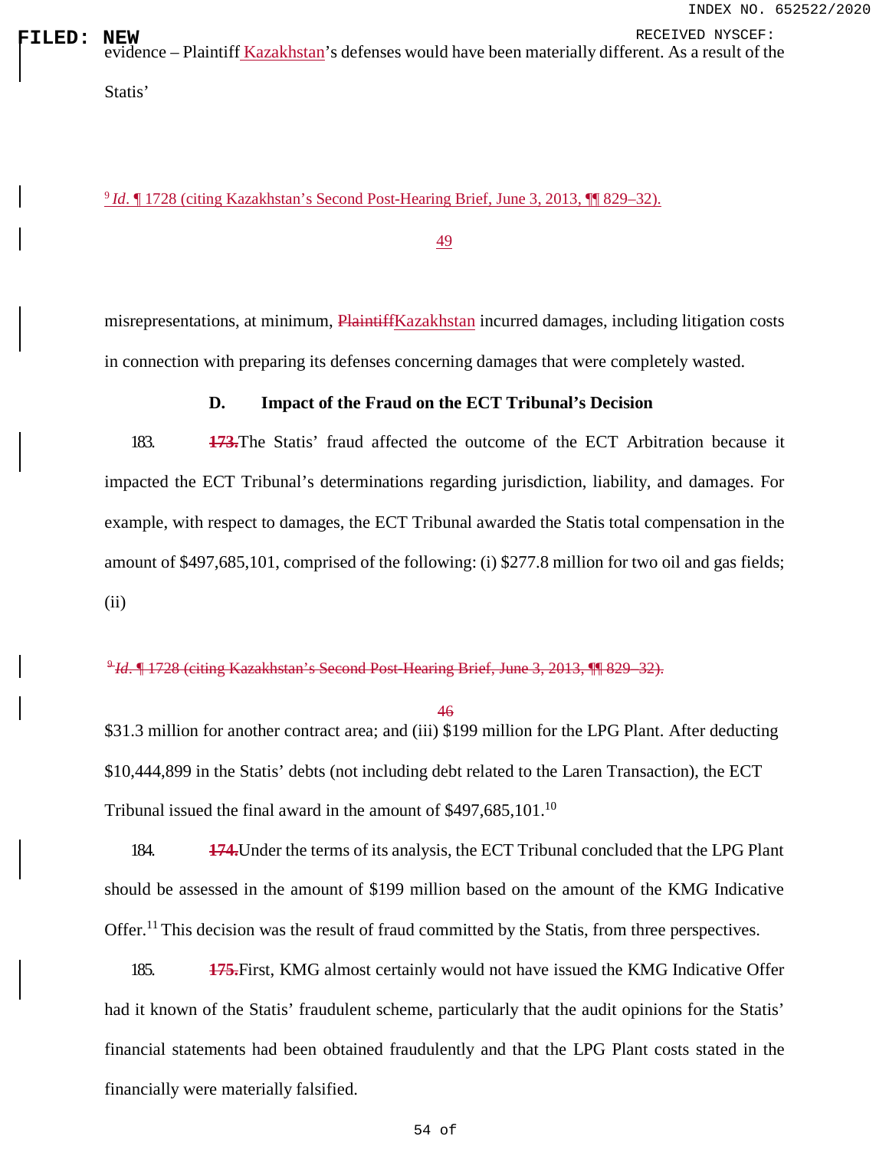**FILED: NEW**<br>| evidence – Plaintiff <u>Kazakhstan</u>'s defenses would have been materially different. As a result of the

<sup>9</sup>*Id*. ¶ 1728 (citing Kazakhstan's Second Post-Hearing Brief, June 3, 2013, ¶¶ 829–32).

Statis'

49

misrepresentations, at minimum, PlaintiffKazakhstan incurred damages, including litigation costs in connection with preparing its defenses concerning damages that were completely wasted.

# **D. Impact of the Fraud on the ECT Tribunal's Decision**

183. **173.**The Statis' fraud affected the outcome of the ECT Arbitration because it impacted the ECT Tribunal's determinations regarding jurisdiction, liability, and damages. For example, with respect to damages, the ECT Tribunal awarded the Statis total compensation in the amount of \$497,685,101, comprised of the following: (i) \$277.8 million for two oil and gas fields; (ii)

<sup>9</sup>*Id*. ¶ 1728 (citing Kazakhstan's Second Post-Hearing Brief, June 3, 2013, ¶¶ 829–32).

46

\$31.3 million for another contract area; and (iii) \$199 million for the LPG Plant. After deducting \$10,444,899 in the Statis' debts (not including debt related to the Laren Transaction), the ECT Tribunal issued the final award in the amount of \$497,685,[10](#page-0-0)1.<sup>10</sup>

184. **174.**Under the terms of its analysis, the ECT Tribunal concluded that the LPG Plant should be assessed in the amount of \$199 million based on the amount of the KMG Indicative Offer.<sup>[11](#page-0-0)</sup> This decision was the result of fraud committed by the Statis, from three perspectives.

185. **175.**First, KMG almost certainly would not have issued the KMG Indicative Offer had it known of the Statis' fraudulent scheme, particularly that the audit opinions for the Statis' financial statements had been obtained fraudulently and that the LPG Plant costs stated in the financially were materially falsified.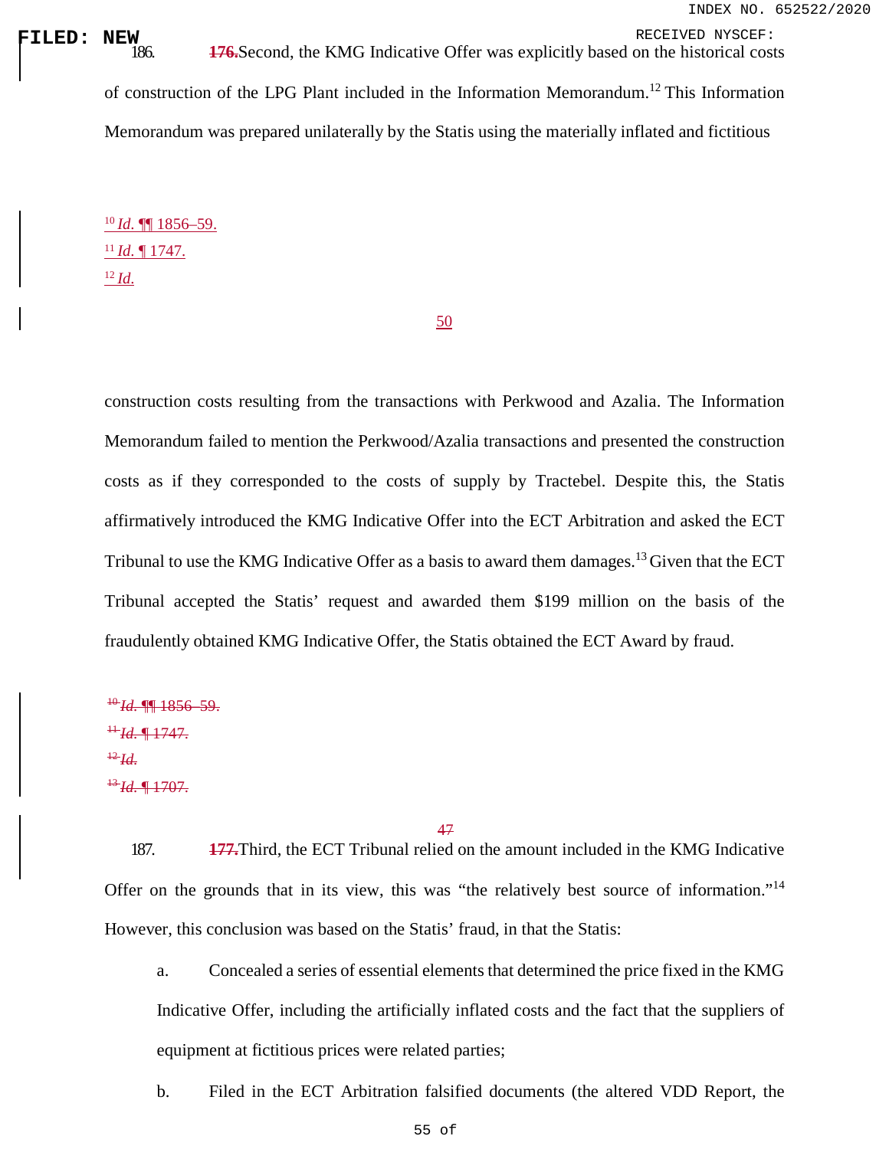**FILED:** NEW RECEIVED NYSCEF:<br>| 186. **176.**Second, the KMG Indicative Offer was explicitly based on the historical costs

of construction of the LPG Plant included in the Information Memorandum.[12](#page-0-0) This Information Memorandum was prepared unilaterally by the Statis using the materially inflated and fictitious

<sup>10</sup>*Id*. ¶¶ 1856–59. <sup>11</sup>*Id*. ¶ 1747. <sup>12</sup>*Id*.

50

construction costs resulting from the transactions with Perkwood and Azalia. The Information Memorandum failed to mention the Perkwood/Azalia transactions and presented the construction costs as if they corresponded to the costs of supply by Tractebel. Despite this, the Statis affirmatively introduced the KMG Indicative Offer into the ECT Arbitration and asked the ECT Tribunal to use the KMG Indicative Offer as a basis to award them damages.<sup>[13](#page-0-0)</sup> Given that the ECT Tribunal accepted the Statis' request and awarded them \$199 million on the basis of the fraudulently obtained KMG Indicative Offer, the Statis obtained the ECT Award by fraud.

<sup>10</sup>*Id*. ¶¶ 1856–59.  $H$ *H*. **[41. 1747.**  $^{12}H$  $^{13}$ *Id*.  $^{1707}$ .

47

187. **177.**Third, the ECT Tribunal relied on the amount included in the KMG Indicative Offer on the grounds that in its view, this was "the relatively best source of information."[14](#page-0-0) However, this conclusion was based on the Statis' fraud, in that the Statis:

a. Concealed a series of essential elements that determined the price fixed in the KMG Indicative Offer, including the artificially inflated costs and the fact that the suppliers of equipment at fictitious prices were related parties;

b. Filed in the ECT Arbitration falsified documents (the altered VDD Report, the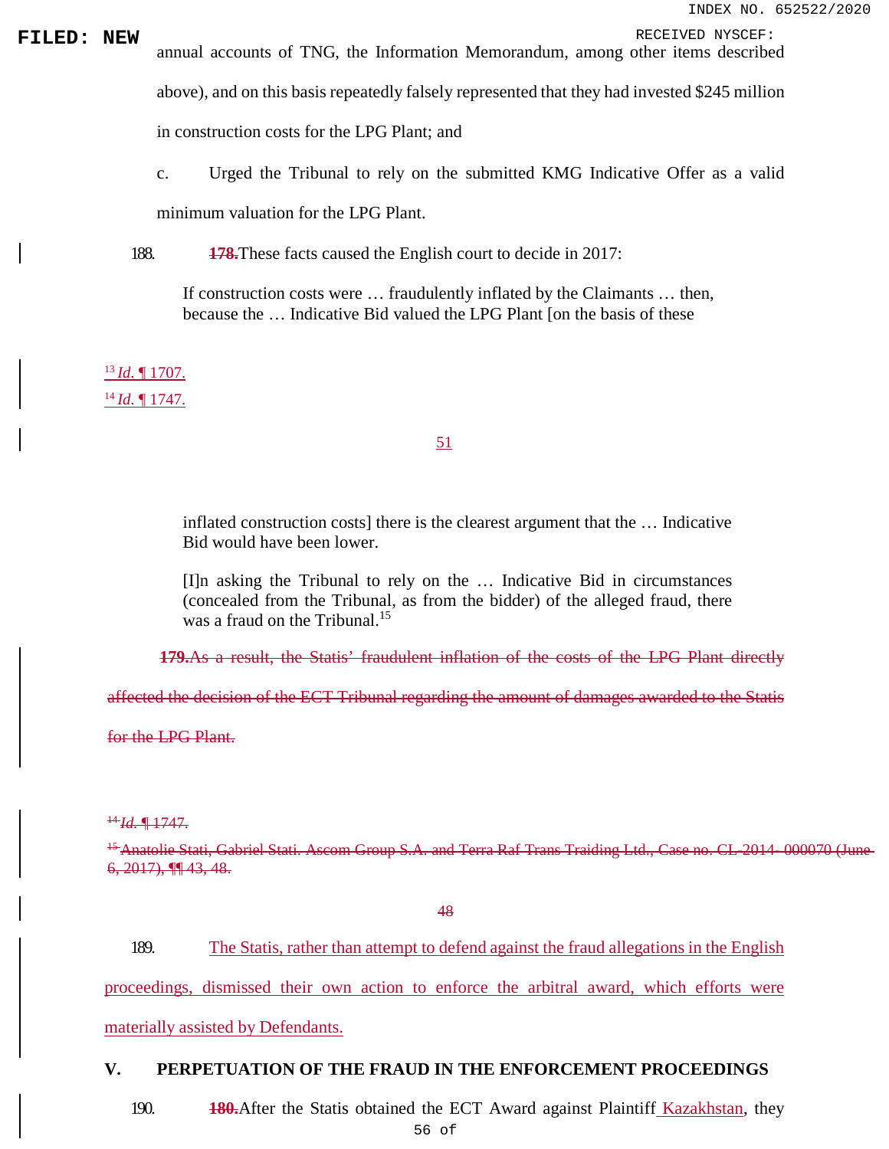**FILED: NEW** annual accounts of TNG, the Information Memorandum, among other items described annual accounts of TNG, the Information Memorandum, among other items described above), and on this basis repeatedly falsely represented that they had invested \$245 million in construction costs for the LPG Plant; and

> c. Urged the Tribunal to rely on the submitted KMG Indicative Offer as a valid minimum valuation for the LPG Plant.

188. **178.**These facts caused the English court to decide in 2017:

If construction costs were … fraudulently inflated by the Claimants … then, because the … Indicative Bid valued the LPG Plant [on the basis of these

<sup>13</sup>*Id*. ¶ 1707. <sup>14</sup>*Id*. ¶ 1747.

# 51

inflated construction costs] there is the clearest argument that the … Indicative Bid would have been lower.

[I]n asking the Tribunal to rely on the … Indicative Bid in circumstances (concealed from the Tribunal, as from the bidder) of the alleged fraud, there was a fraud on the Tribunal.<sup>[15](#page-0-0)</sup>

**179.**As a result, the Statis' fraudulent inflation of the costs of the LPG Plant directly

affected the decision of the ECT Tribunal regarding the amount of damages awarded to the Statis

for the LPG Plant.

<sup>14</sup>*Id*. ¶ 1747.

<sup>15</sup> Anatolie Stati, Gabriel Stati. Ascom Group S.A. and Terra Raf Trans Traiding Ltd., Case no. CL-2014–000070 (June 6, 2017), ¶¶ 43, 48.

48

189. The Statis, rather than attempt to defend against the fraud allegations in the English

proceedings, dismissed their own action to enforce the arbitral award, which efforts were

materially assisted by Defendants.

# **V. PERPETUATION OF THE FRAUD IN THE ENFORCEMENT PROCEEDINGS**

190. **180.**After the Statis obtained the ECT Award against Plaintiff Kazakhstan, they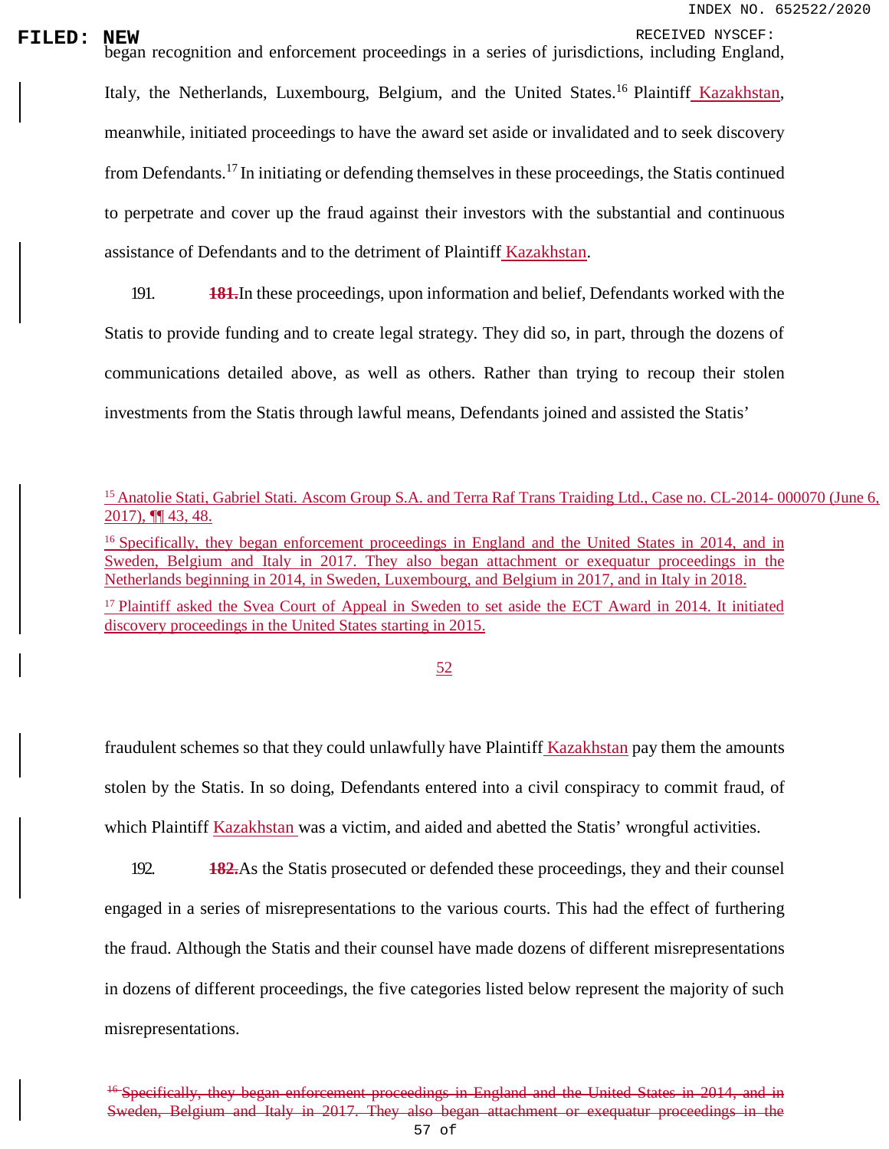# **FILED: NEW**<br>began recognition and enforcement proceedings in a series of jurisdictions, including England,

Italy, the Netherlands, Luxembourg, Belgium, and the United States.<sup>[16](#page-0-0)</sup> Plaintiff Kazakhstan, meanwhile, initiated proceedings to have the award set aside or invalidated and to seek discovery from Defendants.<sup>[17](#page-0-0)</sup> In initiating or defending themselves in these proceedings, the Statis continued to perpetrate and cover up the fraud against their investors with the substantial and continuous assistance of Defendants and to the detriment of Plaintiff Kazakhstan.

191. **181.**In these proceedings, upon information and belief, Defendants worked with the Statis to provide funding and to create legal strategy. They did so, in part, through the dozens of communications detailed above, as well as others. Rather than trying to recoup their stolen investments from the Statis through lawful means, Defendants joined and assisted the Statis'

<sup>16</sup> Specifically, they began enforcement proceedings in England and the United States in 2014, and in Sweden, Belgium and Italy in 2017. They also began attachment or exequatur proceedings in the Netherlands beginning in 2014, in Sweden, Luxembourg, and Belgium in 2017, and in Italy in 2018.

<sup>17</sup> Plaintiff asked the Svea Court of Appeal in Sweden to set aside the ECT Award in 2014. It initiated discovery proceedings in the United States starting in 2015.

52

fraudulent schemes so that they could unlawfully have Plaintiff Kazakhstan pay them the amounts stolen by the Statis. In so doing, Defendants entered into a civil conspiracy to commit fraud, of which Plaintiff Kazakhstan was a victim, and aided and abetted the Statis' wrongful activities.

192. **182.**As the Statis prosecuted or defended these proceedings, they and their counsel engaged in a series of misrepresentations to the various courts. This had the effect of furthering the fraud. Although the Statis and their counsel have made dozens of different misrepresentations in dozens of different proceedings, the five categories listed below represent the majority of such misrepresentations.

<sup>&</sup>lt;sup>15</sup> Anatolie Stati, Gabriel Stati. Ascom Group S.A. and Terra Raf Trans Traiding Ltd., Case no. CL-2014-000070 (June 6, 2017), ¶¶ 43, 48.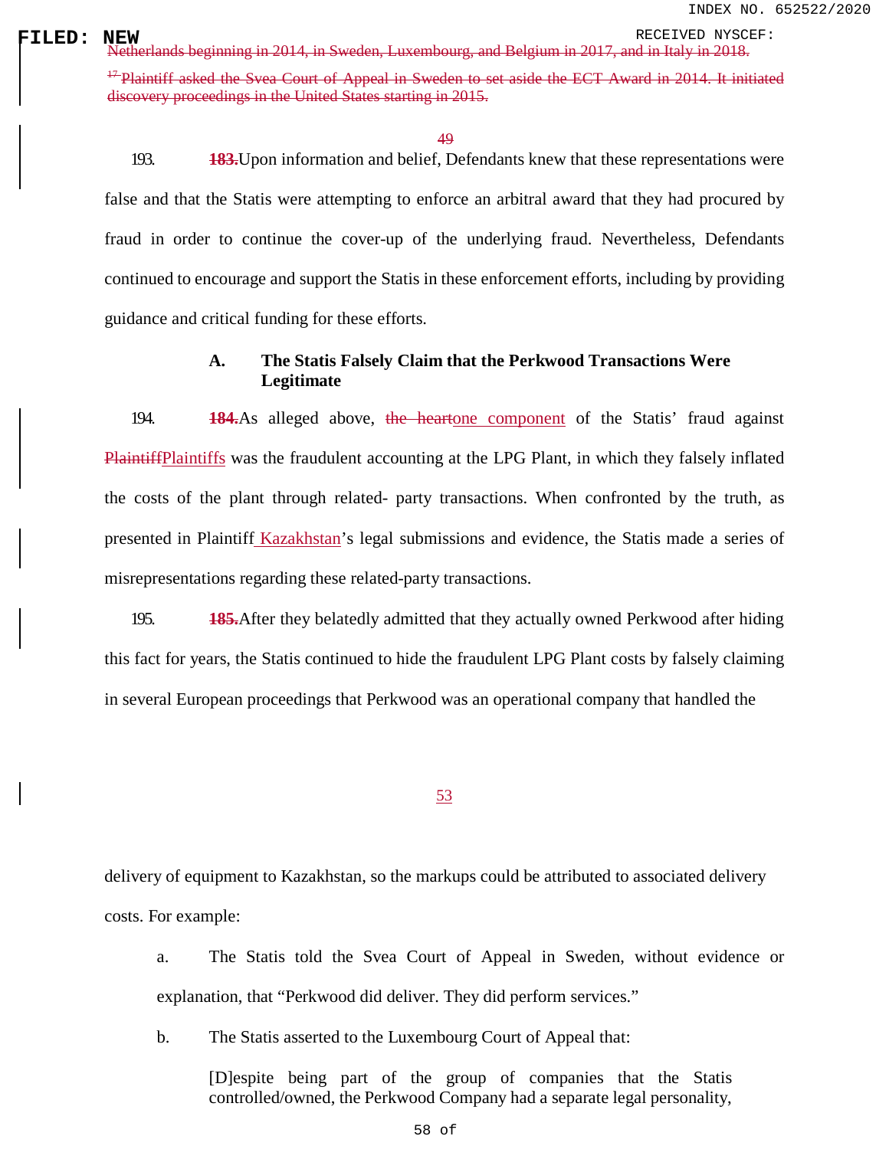**FILED: NEW** RECEIVED NYSCEF: Netherlands beginning in 2014, in Sweden, Luxembourg, and Belgium in 2017, and in Italy in 2018. <sup>47</sup> Plaintiff asked the Svea Court of Appeal in Sweden to set aside the ECT Award in 2014. It initiated discovery proceedings in the United States starting in 2015.

49

193. **183.**Upon information and belief, Defendants knew that these representations were false and that the Statis were attempting to enforce an arbitral award that they had procured by fraud in order to continue the cover-up of the underlying fraud. Nevertheless, Defendants continued to encourage and support the Statis in these enforcement efforts, including by providing guidance and critical funding for these efforts.

# **A. The Statis Falsely Claim that the Perkwood Transactions Were Legitimate**

194. **184.**As alleged above, the heartone component of the Statis' fraud against PlaintiffPlaintiffs was the fraudulent accounting at the LPG Plant, in which they falsely inflated the costs of the plant through related- party transactions. When confronted by the truth, as presented in Plaintiff Kazakhstan's legal submissions and evidence, the Statis made a series of misrepresentations regarding these related-party transactions.

195. **185.**After they belatedly admitted that they actually owned Perkwood after hiding this fact for years, the Statis continued to hide the fraudulent LPG Plant costs by falsely claiming in several European proceedings that Perkwood was an operational company that handled the

53

delivery of equipment to Kazakhstan, so the markups could be attributed to associated delivery costs. For example:

a. The Statis told the Svea Court of Appeal in Sweden, without evidence or explanation, that "Perkwood did deliver. They did perform services."

b. The Statis asserted to the Luxembourg Court of Appeal that:

[D]espite being part of the group of companies that the Statis controlled/owned, the Perkwood Company had a separate legal personality,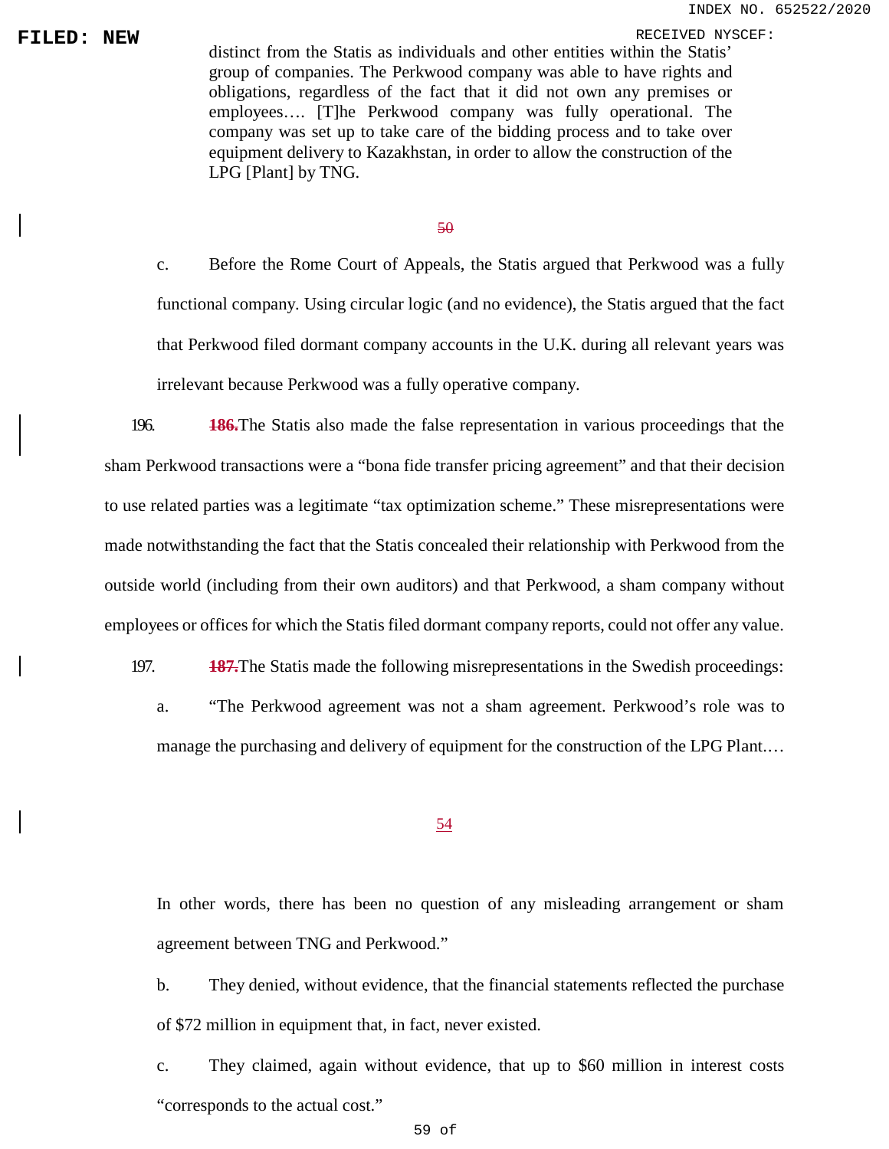**FILED:** NEW distinct from the Statis as individuals and other entities within the Statis' distinct from the Statis as individuals and other entities within the Statis' group of companies. The Perkwood company was able to have rights and obligations, regardless of the fact that it did not own any premises or employees…. [T]he Perkwood company was fully operational. The company was set up to take care of the bidding process and to take over equipment delivery to Kazakhstan, in order to allow the construction of the LPG [Plant] by TNG.

#### 50

c. Before the Rome Court of Appeals, the Statis argued that Perkwood was a fully functional company. Using circular logic (and no evidence), the Statis argued that the fact that Perkwood filed dormant company accounts in the U.K. during all relevant years was irrelevant because Perkwood was a fully operative company.

196. **186.**The Statis also made the false representation in various proceedings that the sham Perkwood transactions were a "bona fide transfer pricing agreement" and that their decision to use related parties was a legitimate "tax optimization scheme." These misrepresentations were made notwithstanding the fact that the Statis concealed their relationship with Perkwood from the outside world (including from their own auditors) and that Perkwood, a sham company without employees or offices for which the Statis filed dormant company reports, could not offer any value.

197. **187.**The Statis made the following misrepresentations in the Swedish proceedings: a. "The Perkwood agreement was not a sham agreement. Perkwood's role was to

manage the purchasing and delivery of equipment for the construction of the LPG Plant.…

### 54

In other words, there has been no question of any misleading arrangement or sham agreement between TNG and Perkwood."

b. They denied, without evidence, that the financial statements reflected the purchase of \$72 million in equipment that, in fact, never existed.

c. They claimed, again without evidence, that up to \$60 million in interest costs "corresponds to the actual cost."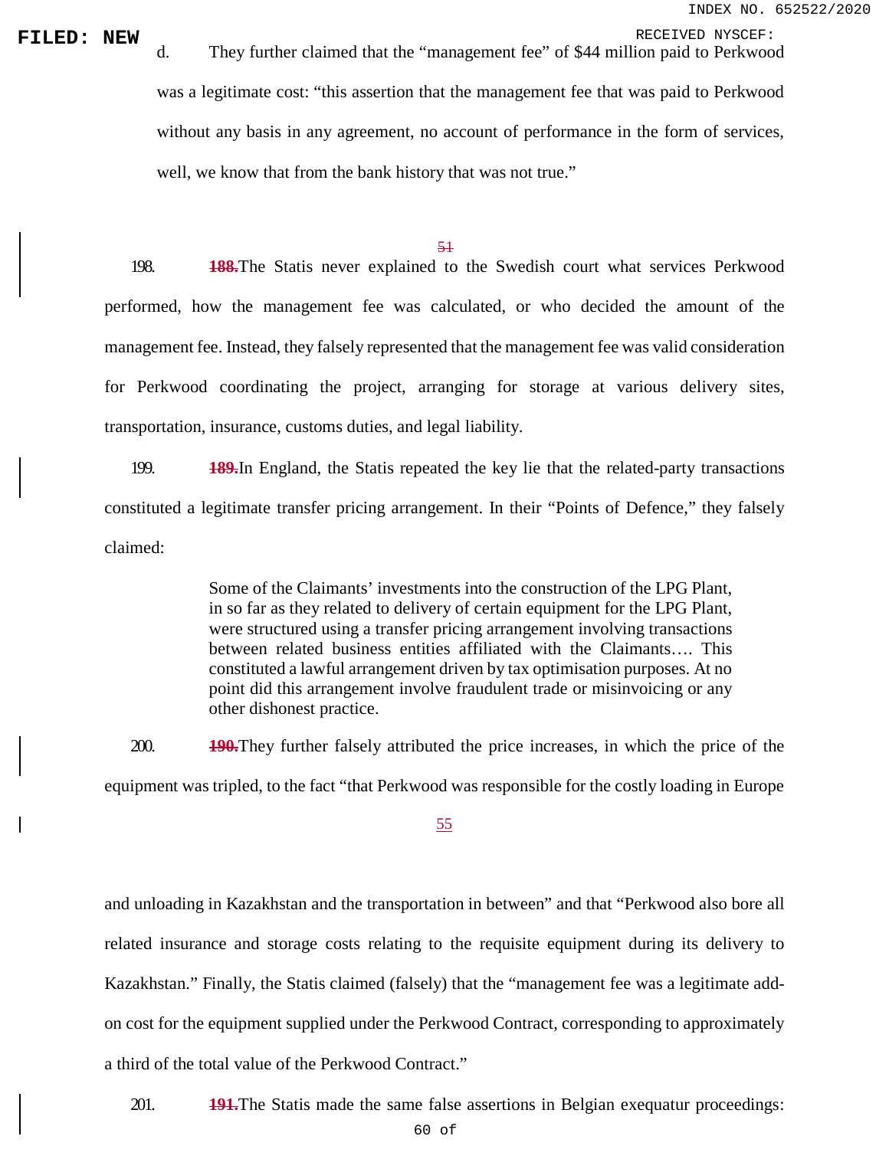**FILED: NEW**<br>d. They further claimed that the "management fee" of \$44 million paid to Perkwood was a legitimate cost: "this assertion that the management fee that was paid to Perkwood without any basis in any agreement, no account of performance in the form of services, well, we know that from the bank history that was not true."

#### 51

198. **188.**The Statis never explained to the Swedish court what services Perkwood performed, how the management fee was calculated, or who decided the amount of the management fee. Instead, they falsely represented that the management fee was valid consideration for Perkwood coordinating the project, arranging for storage at various delivery sites, transportation, insurance, customs duties, and legal liability.

199. **189.**In England, the Statis repeated the key lie that the related-party transactions constituted a legitimate transfer pricing arrangement. In their "Points of Defence," they falsely claimed:

> Some of the Claimants' investments into the construction of the LPG Plant, in so far as they related to delivery of certain equipment for the LPG Plant, were structured using a transfer pricing arrangement involving transactions between related business entities affiliated with the Claimants…. This constituted a lawful arrangement driven by tax optimisation purposes. At no point did this arrangement involve fraudulent trade or misinvoicing or any other dishonest practice.

200. **190.**They further falsely attributed the price increases, in which the price of the equipment was tripled, to the fact "that Perkwood was responsible for the costly loading in Europe

55

and unloading in Kazakhstan and the transportation in between" and that "Perkwood also bore all related insurance and storage costs relating to the requisite equipment during its delivery to Kazakhstan." Finally, the Statis claimed (falsely) that the "management fee was a legitimate add‐ on cost for the equipment supplied under the Perkwood Contract, corresponding to approximately a third of the total value of the Perkwood Contract."

201. **191.**The Statis made the same false assertions in Belgian exequatur proceedings: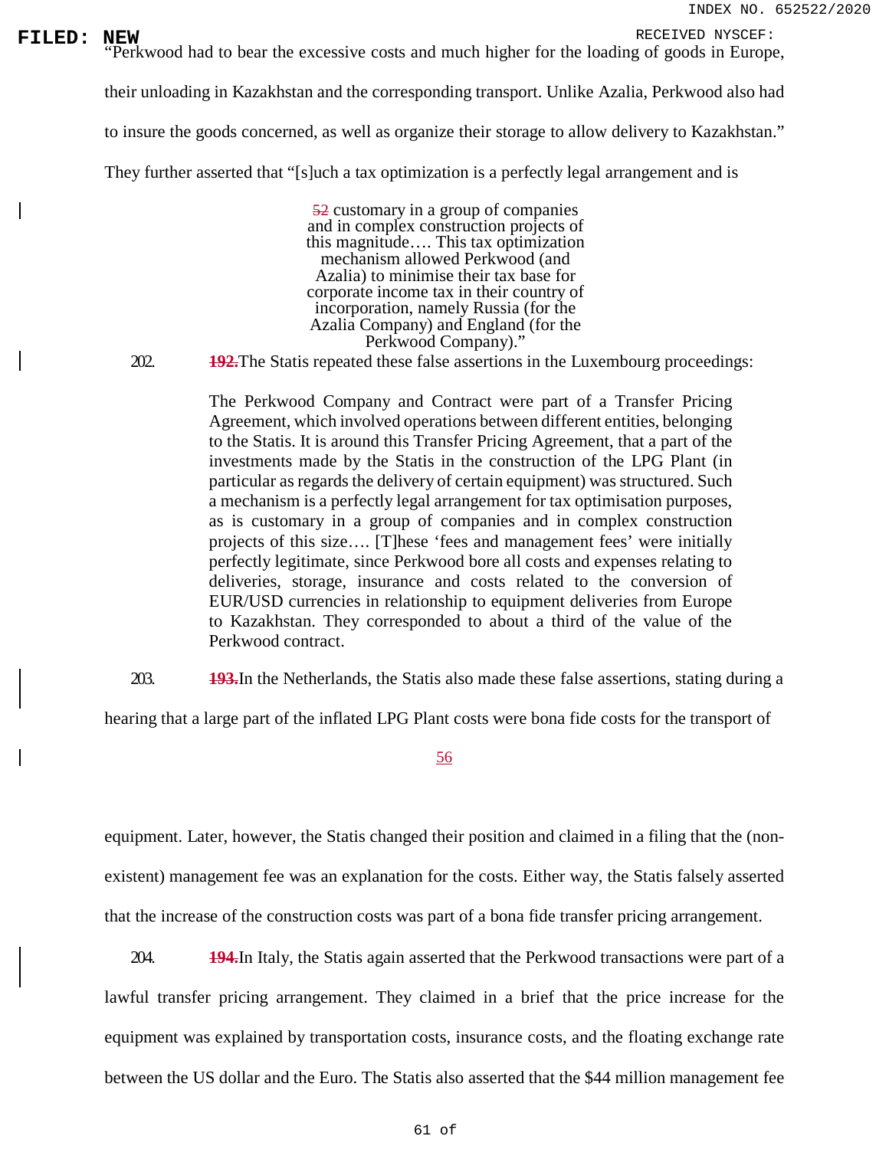**FILED:** NEW RECEIVED NYSCEF:<br>
Perkwood had to bear the excessive costs and much higher for the loading of goods in Europe,

their unloading in Kazakhstan and the corresponding transport. Unlike Azalia, Perkwood also had

to insure the goods concerned, as well as organize their storage to allow delivery to Kazakhstan."

They further asserted that "[s]uch a tax optimization is a perfectly legal arrangement and is

52 customary in a group of companies and in complex construction projects of this magnitude…. This tax optimization mechanism allowed Perkwood (and Azalia) to minimise their tax base for corporate income tax in their country of incorporation, namely Russia (for the Azalia Company) and England (for the Perkwood Company)."

202. **192.**The Statis repeated these false assertions in the Luxembourg proceedings:

The Perkwood Company and Contract were part of a Transfer Pricing Agreement, which involved operations between different entities, belonging to the Statis. It is around this Transfer Pricing Agreement, that a part of the investments made by the Statis in the construction of the LPG Plant (in particular as regards the delivery of certain equipment) was structured. Such a mechanism is a perfectly legal arrangement for tax optimisation purposes, as is customary in a group of companies and in complex construction projects of this size…. [T]hese 'fees and management fees' were initially perfectly legitimate, since Perkwood bore all costs and expenses relating to deliveries, storage, insurance and costs related to the conversion of EUR/USD currencies in relationship to equipment deliveries from Europe to Kazakhstan. They corresponded to about a third of the value of the Perkwood contract.

203. **193.**In the Netherlands, the Statis also made these false assertions, stating during a

hearing that a large part of the inflated LPG Plant costs were bona fide costs for the transport of

56

equipment. Later, however, the Statis changed their position and claimed in a filing that the (nonexistent) management fee was an explanation for the costs. Either way, the Statis falsely asserted that the increase of the construction costs was part of a bona fide transfer pricing arrangement.

204. **194.**In Italy, the Statis again asserted that the Perkwood transactions were part of a lawful transfer pricing arrangement. They claimed in a brief that the price increase for the equipment was explained by transportation costs, insurance costs, and the floating exchange rate between the US dollar and the Euro. The Statis also asserted that the \$44 million management fee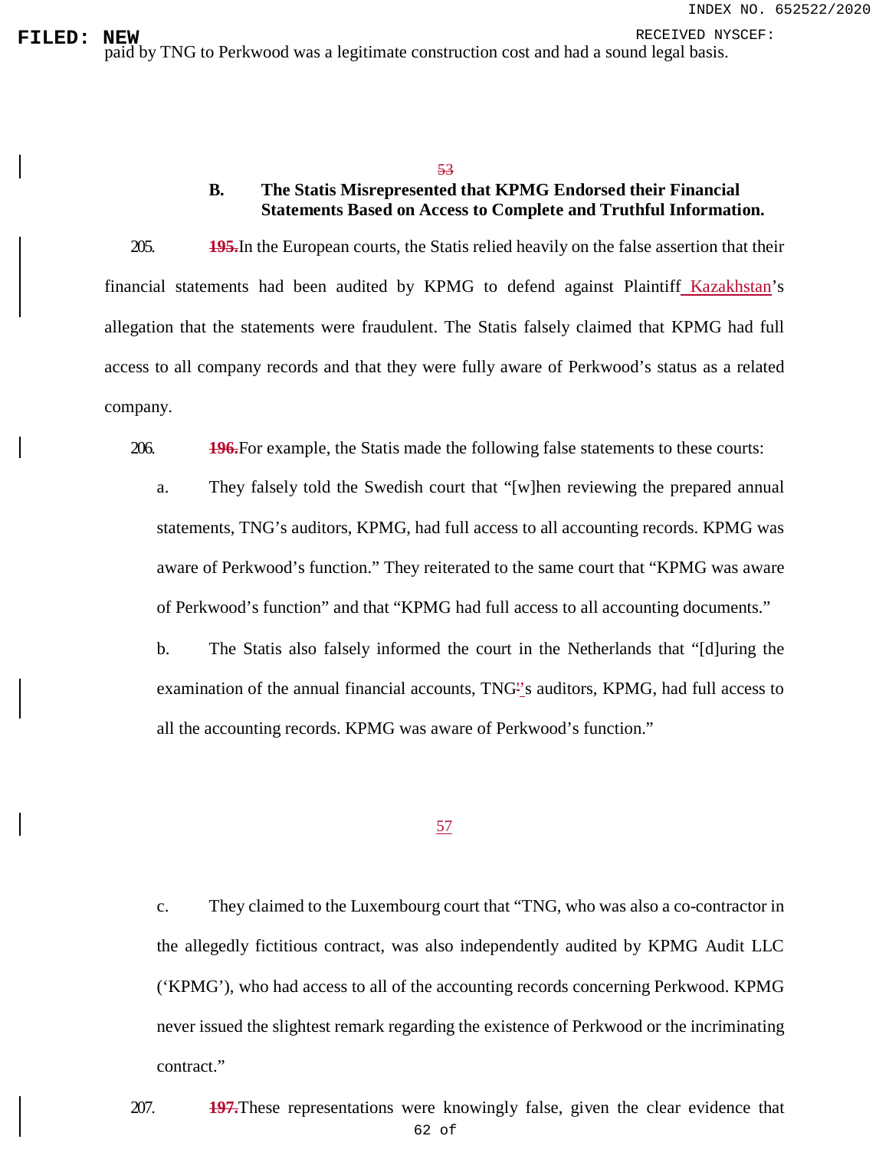### 53

# **B. The Statis Misrepresented that KPMG Endorsed their Financial Statements Based on Access to Complete and Truthful Information.**

205. **195.**In the European courts, the Statis relied heavily on the false assertion that their financial statements had been audited by KPMG to defend against Plaintiff Kazakhstan's allegation that the statements were fraudulent. The Statis falsely claimed that KPMG had full access to all company records and that they were fully aware of Perkwood's status as a related company.

206. **196.**For example, the Statis made the following false statements to these courts:

a. They falsely told the Swedish court that "[w]hen reviewing the prepared annual statements, TNG's auditors, KPMG, had full access to all accounting records. KPMG was aware of Perkwood's function." They reiterated to the same court that "KPMG was aware of Perkwood's function" and that "KPMG had full access to all accounting documents."

b. The Statis also falsely informed the court in the Netherlands that "[d]uring the examination of the annual financial accounts, TNG''s auditors, KPMG, had full access to all the accounting records. KPMG was aware of Perkwood's function."

### 57

c. They claimed to the Luxembourg court that "TNG, who was also a co-contractor in the allegedly fictitious contract, was also independently audited by KPMG Audit LLC ('KPMG'), who had access to all of the accounting records concerning Perkwood. KPMG never issued the slightest remark regarding the existence of Perkwood or the incriminating contract."

62 of 207. **197.**These representations were knowingly false, given the clear evidence that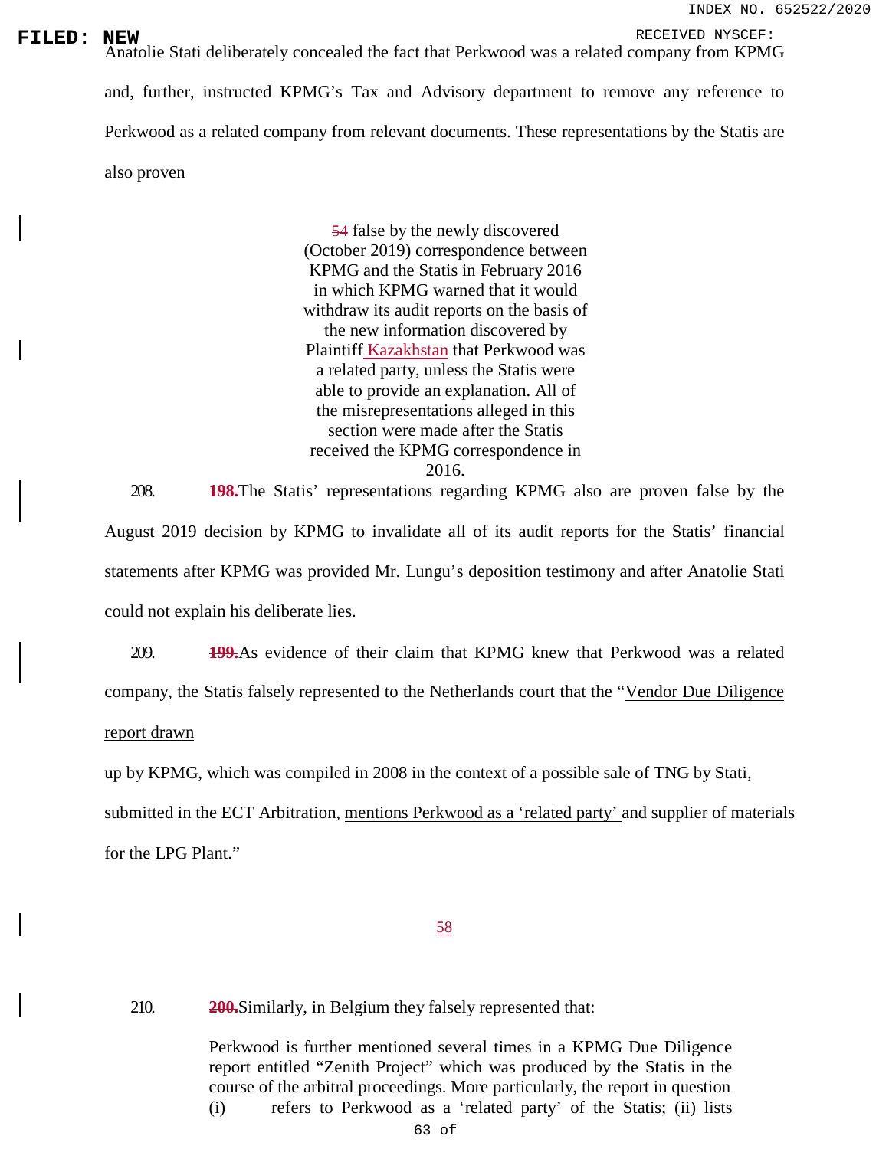**FILED: NEW**<br>Anatolie Stati deliberately concealed the fact that Perkwood was a related company from KPMG and, further, instructed KPMG's Tax and Advisory department to remove any reference to Perkwood as a related company from relevant documents. These representations by the Statis are also proven

> 54 false by the newly discovered (October 2019) correspondence between KPMG and the Statis in February 2016 in which KPMG warned that it would withdraw its audit reports on the basis of the new information discovered by Plaintiff Kazakhstan that Perkwood was a related party, unless the Statis were able to provide an explanation. All of the misrepresentations alleged in this section were made after the Statis received the KPMG correspondence in 2016.

208. **198.**The Statis' representations regarding KPMG also are proven false by the August 2019 decision by KPMG to invalidate all of its audit reports for the Statis' financial statements after KPMG was provided Mr. Lungu's deposition testimony and after Anatolie Stati could not explain his deliberate lies.

209. **199.**As evidence of their claim that KPMG knew that Perkwood was a related company, the Statis falsely represented to the Netherlands court that the "Vendor Due Diligence report drawn

up by KPMG, which was compiled in 2008 in the context of a possible sale of TNG by Stati,

submitted in the ECT Arbitration, mentions Perkwood as a 'related party' and supplier of materials for the LPG Plant."

## 58

210. **200.**Similarly, in Belgium they falsely represented that:

Perkwood is further mentioned several times in a KPMG Due Diligence report entitled "Zenith Project" which was produced by the Statis in the course of the arbitral proceedings. More particularly, the report in question (i) refers to Perkwood as a 'related party' of the Statis; (ii) lists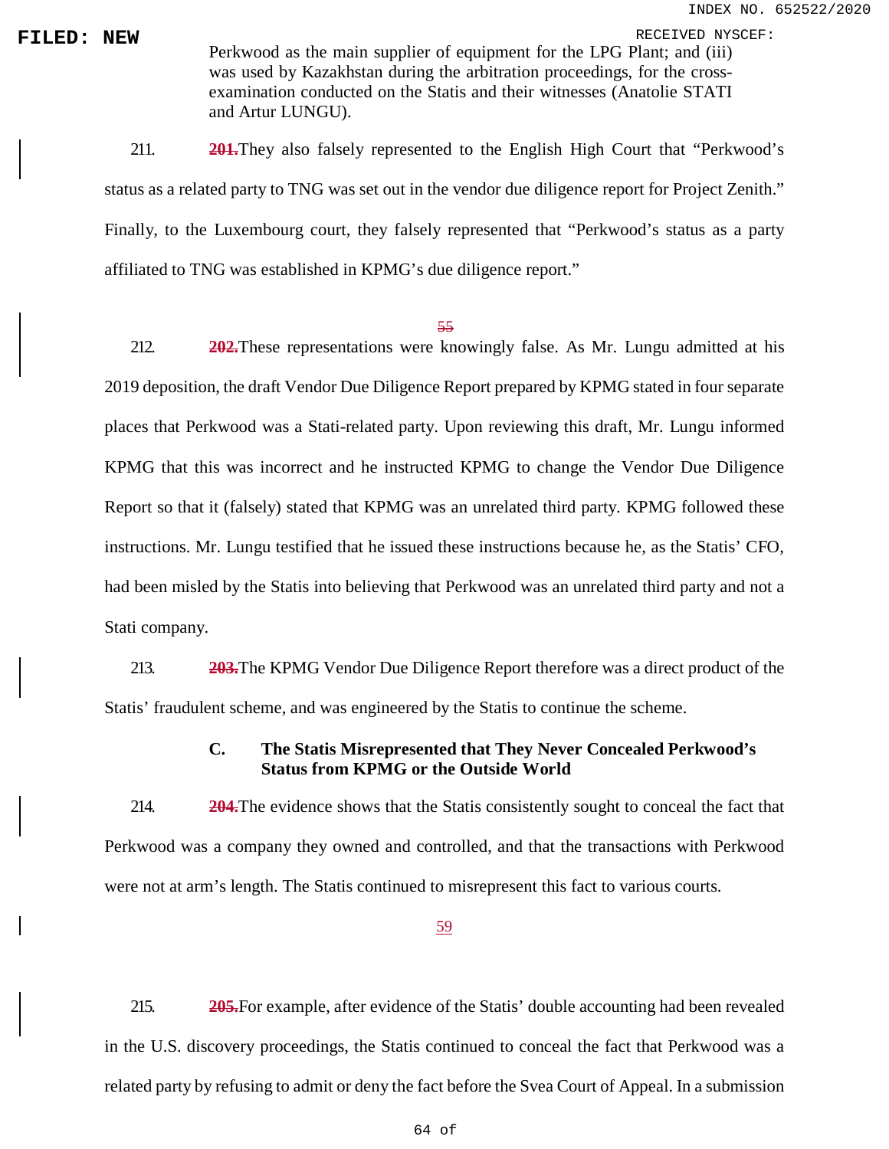**FILED: NEW**<br>Perkwood as the main supplier of equipment for the LPG Plant; and (iii) was used by Kazakhstan during the arbitration proceedings, for the crossexamination conducted on the Statis and their witnesses (Anatolie STATI and Artur LUNGU).

> 211. **201.**They also falsely represented to the English High Court that "Perkwood's status as a related party to TNG was set out in the vendor due diligence report for Project Zenith." Finally, to the Luxembourg court, they falsely represented that "Perkwood's status as a party affiliated to TNG was established in KPMG's due diligence report."

#### 55

212. **202.**These representations were knowingly false. As Mr. Lungu admitted at his 2019 deposition, the draft Vendor Due Diligence Report prepared by KPMG stated in four separate places that Perkwood was a Stati-related party. Upon reviewing this draft, Mr. Lungu informed KPMG that this was incorrect and he instructed KPMG to change the Vendor Due Diligence Report so that it (falsely) stated that KPMG was an unrelated third party. KPMG followed these instructions. Mr. Lungu testified that he issued these instructions because he, as the Statis' CFO, had been misled by the Statis into believing that Perkwood was an unrelated third party and not a Stati company.

213. **203.**The KPMG Vendor Due Diligence Report therefore was a direct product of the Statis' fraudulent scheme, and was engineered by the Statis to continue the scheme.

# **C. The Statis Misrepresented that They Never Concealed Perkwood's Status from KPMG or the Outside World**

214. **204.**The evidence shows that the Statis consistently sought to conceal the fact that Perkwood was a company they owned and controlled, and that the transactions with Perkwood were not at arm's length. The Statis continued to misrepresent this fact to various courts.

59

215. **205.**For example, after evidence of the Statis' double accounting had been revealed in the U.S. discovery proceedings, the Statis continued to conceal the fact that Perkwood was a related party by refusing to admit or deny the fact before the Svea Court of Appeal. In a submission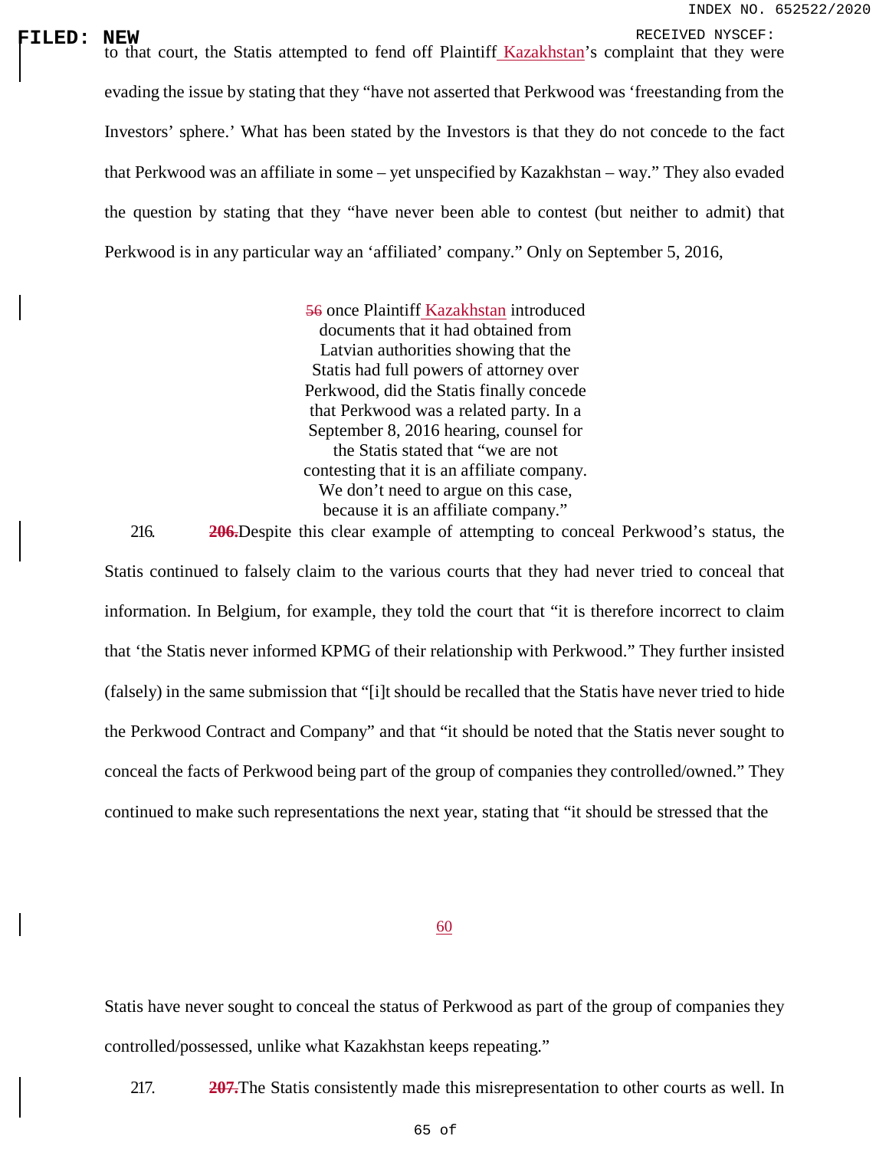**FILED: NEW**<br>
to that court, the Statis attempted to fend off Plaintiff Kazakhstan's complaint that they were evading the issue by stating that they "have not asserted that Perkwood was 'freestanding from the Investors' sphere.' What has been stated by the Investors is that they do not concede to the fact that Perkwood was an affiliate in some – yet unspecified by Kazakhstan – way." They also evaded the question by stating that they "have never been able to contest (but neither to admit) that Perkwood is in any particular way an 'affiliated' company." Only on September 5, 2016,

> 56 once Plaintiff Kazakhstan introduced documents that it had obtained from Latvian authorities showing that the Statis had full powers of attorney over Perkwood, did the Statis finally concede that Perkwood was a related party. In a September 8, 2016 hearing, counsel for the Statis stated that "we are not contesting that it is an affiliate company. We don't need to argue on this case, because it is an affiliate company."

216. **206.**Despite this clear example of attempting to conceal Perkwood's status, the Statis continued to falsely claim to the various courts that they had never tried to conceal that information. In Belgium, for example, they told the court that "it is therefore incorrect to claim that 'the Statis never informed KPMG of their relationship with Perkwood." They further insisted (falsely) in the same submission that "[i]t should be recalled that the Statis have never tried to hide the Perkwood Contract and Company" and that "it should be noted that the Statis never sought to conceal the facts of Perkwood being part of the group of companies they controlled/owned." They continued to make such representations the next year, stating that "it should be stressed that the

### 60

Statis have never sought to conceal the status of Perkwood as part of the group of companies they controlled/possessed, unlike what Kazakhstan keeps repeating."

217. **207.**The Statis consistently made this misrepresentation to other courts as well. In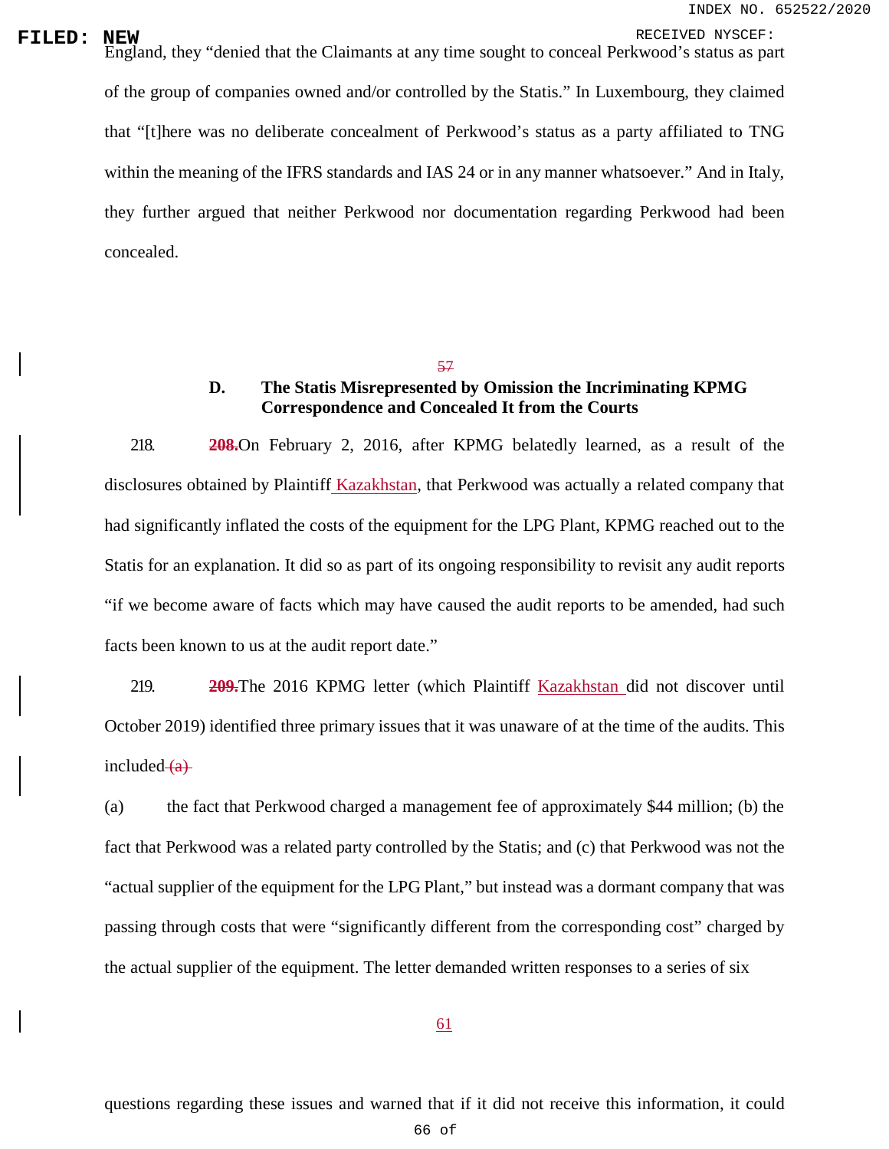RECEIVED: **NEW**<br>England, they "denied that the Claimants at any time sought to conceal Perkwood's status as part of the group of companies owned and/or controlled by the Statis." In Luxembourg, they claimed that "[t]here was no deliberate concealment of Perkwood's status as a party affiliated to TNG within the meaning of the IFRS standards and IAS 24 or in any manner whatsoever." And in Italy, they further argued that neither Perkwood nor documentation regarding Perkwood had been concealed.

57

# **D. The Statis Misrepresented by Omission the Incriminating KPMG Correspondence and Concealed It from the Courts**

218. **208.**On February 2, 2016, after KPMG belatedly learned, as a result of the disclosures obtained by Plaintiff Kazakhstan, that Perkwood was actually a related company that had significantly inflated the costs of the equipment for the LPG Plant, KPMG reached out to the Statis for an explanation. It did so as part of its ongoing responsibility to revisit any audit reports "if we become aware of facts which may have caused the audit reports to be amended, had such facts been known to us at the audit report date."

219. **209.**The 2016 KPMG letter (which Plaintiff Kazakhstan did not discover until October 2019) identified three primary issues that it was unaware of at the time of the audits. This included  $(a)$ 

(a) the fact that Perkwood charged a management fee of approximately \$44 million; (b) the fact that Perkwood was a related party controlled by the Statis; and (c) that Perkwood was not the "actual supplier of the equipment for the LPG Plant," but instead was a dormant company that was passing through costs that were "significantly different from the corresponding cost" charged by the actual supplier of the equipment. The letter demanded written responses to a series of six

61

questions regarding these issues and warned that if it did not receive this information, it could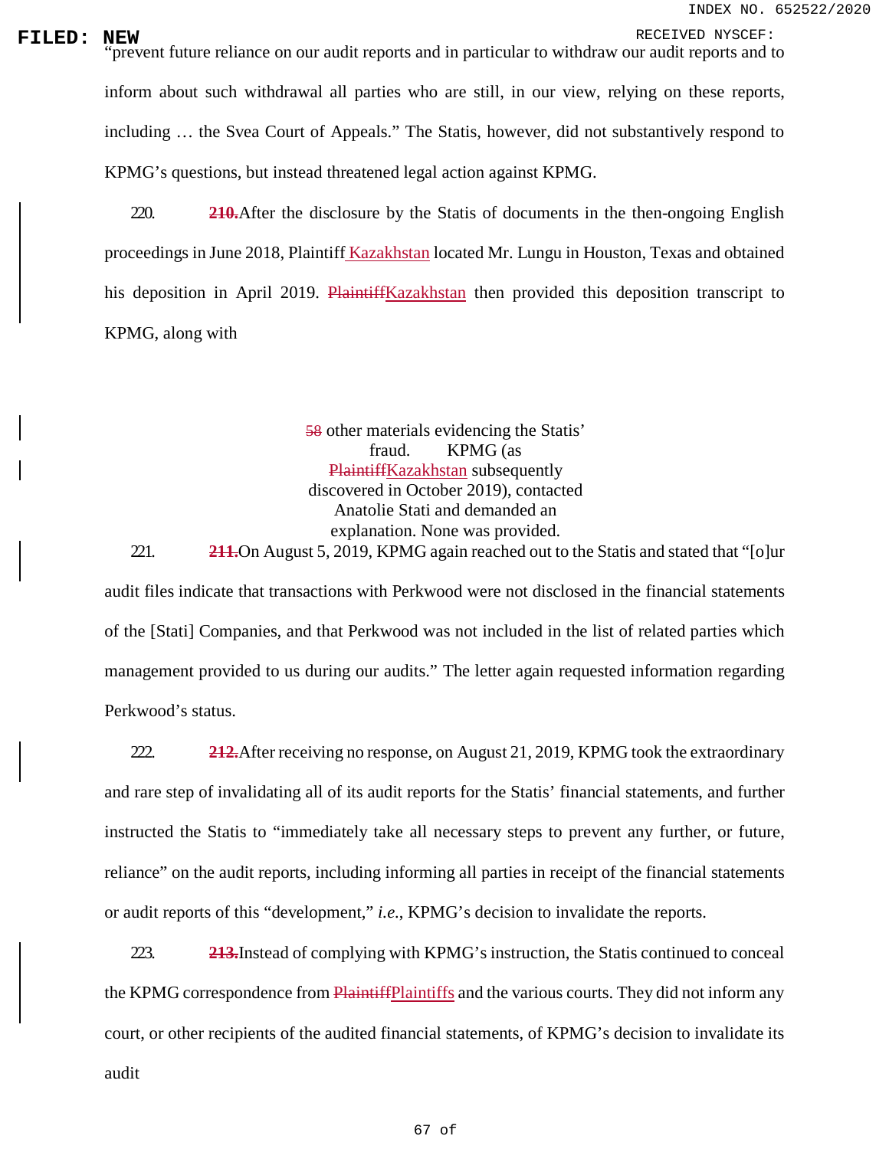RECEIVED **INEW**<br>
"prevent future reliance on our audit reports and in particular to withdraw our audit reports and to inform about such withdrawal all parties who are still, in our view, relying on these reports, including … the Svea Court of Appeals." The Statis, however, did not substantively respond to KPMG's questions, but instead threatened legal action against KPMG.

> 220. **210.**After the disclosure by the Statis of documents in the then-ongoing English proceedings in June 2018, Plaintiff Kazakhstan located Mr. Lungu in Houston, Texas and obtained his deposition in April 2019. PlaintiffKazakhstan then provided this deposition transcript to KPMG, along with

> > 58 other materials evidencing the Statis' fraud. KPMG (as PlaintiffKazakhstan subsequently discovered in October 2019), contacted Anatolie Stati and demanded an explanation. None was provided.

221. **211.**On August 5, 2019, KPMG again reached out to the Statis and stated that "[o]ur audit files indicate that transactions with Perkwood were not disclosed in the financial statements of the [Stati] Companies, and that Perkwood was not included in the list of related parties which management provided to us during our audits." The letter again requested information regarding Perkwood's status.

222. **212.**After receiving no response, on August 21, 2019, KPMG took the extraordinary and rare step of invalidating all of its audit reports for the Statis' financial statements, and further instructed the Statis to "immediately take all necessary steps to prevent any further, or future, reliance" on the audit reports, including informing all parties in receipt of the financial statements or audit reports of this "development," *i.e.*, KPMG's decision to invalidate the reports.

223. **213.**Instead of complying with KPMG's instruction, the Statis continued to conceal the KPMG correspondence from **PlaintiffPlaintiffs** and the various courts. They did not inform any court, or other recipients of the audited financial statements, of KPMG's decision to invalidate its audit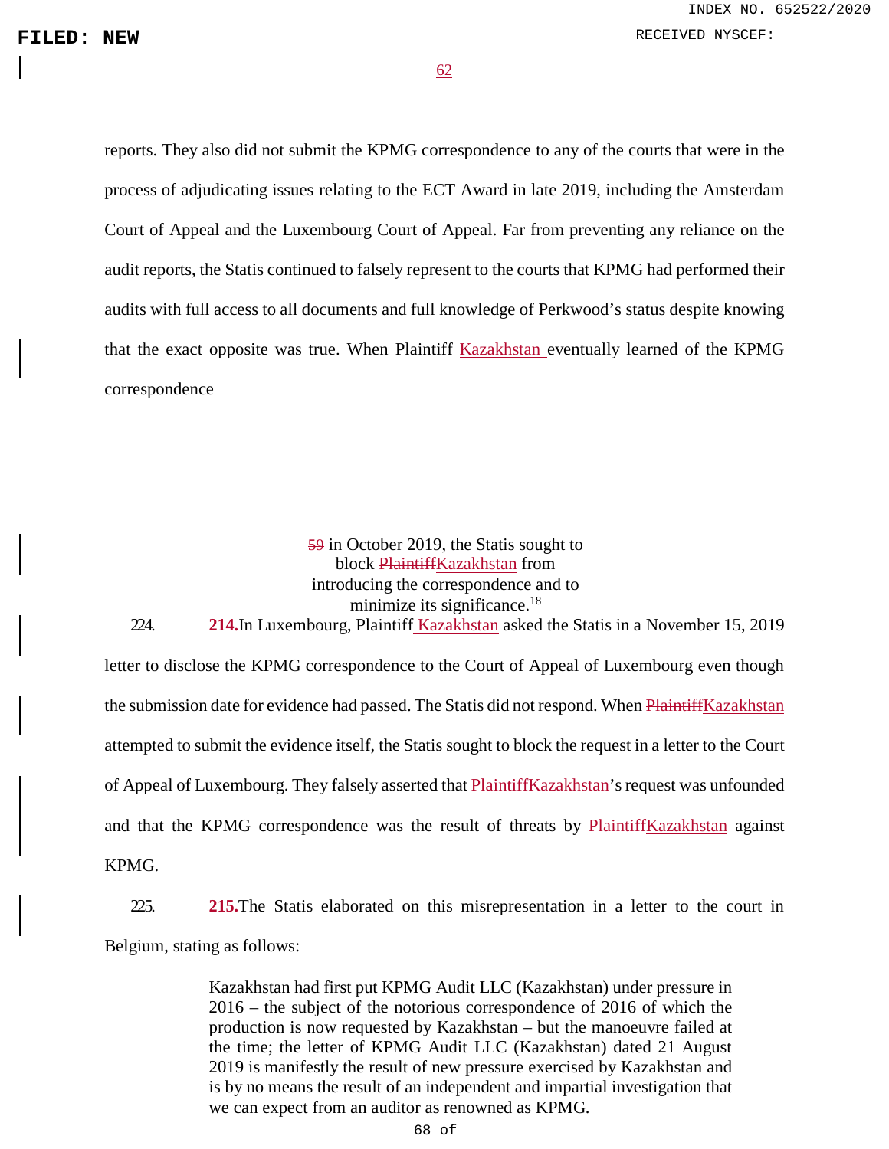62

reports. They also did not submit the KPMG correspondence to any of the courts that were in the process of adjudicating issues relating to the ECT Award in late 2019, including the Amsterdam Court of Appeal and the Luxembourg Court of Appeal. Far from preventing any reliance on the audit reports, the Statis continued to falsely represent to the courts that KPMG had performed their audits with full access to all documents and full knowledge of Perkwood's status despite knowing that the exact opposite was true. When Plaintiff Kazakhstan eventually learned of the KPMG correspondence

# 59 in October 2019, the Statis sought to block PlaintiffKazakhstan from introducing the correspondence and to minimize its significance.<sup>18</sup>

224. **214.**In Luxembourg, Plaintiff Kazakhstan asked the Statis in a November 15, 2019 letter to disclose the KPMG correspondence to the Court of Appeal of Luxembourg even though the submission date for evidence had passed. The Statis did not respond. When PlaintiffKazakhstan attempted to submit the evidence itself, the Statis sought to block the request in a letter to the Court of Appeal of Luxembourg. They falsely asserted that PlaintiffKazakhstan's request was unfounded and that the KPMG correspondence was the result of threats by PlaintiffKazakhstan against KPMG.

225. **215.**The Statis elaborated on this misrepresentation in a letter to the court in Belgium, stating as follows:

> Kazakhstan had first put KPMG Audit LLC (Kazakhstan) under pressure in 2016 – the subject of the notorious correspondence of 2016 of which the production is now requested by Kazakhstan – but the manoeuvre failed at the time; the letter of KPMG Audit LLC (Kazakhstan) dated 21 August 2019 is manifestly the result of new pressure exercised by Kazakhstan and is by no means the result of an independent and impartial investigation that we can expect from an auditor as renowned as KPMG.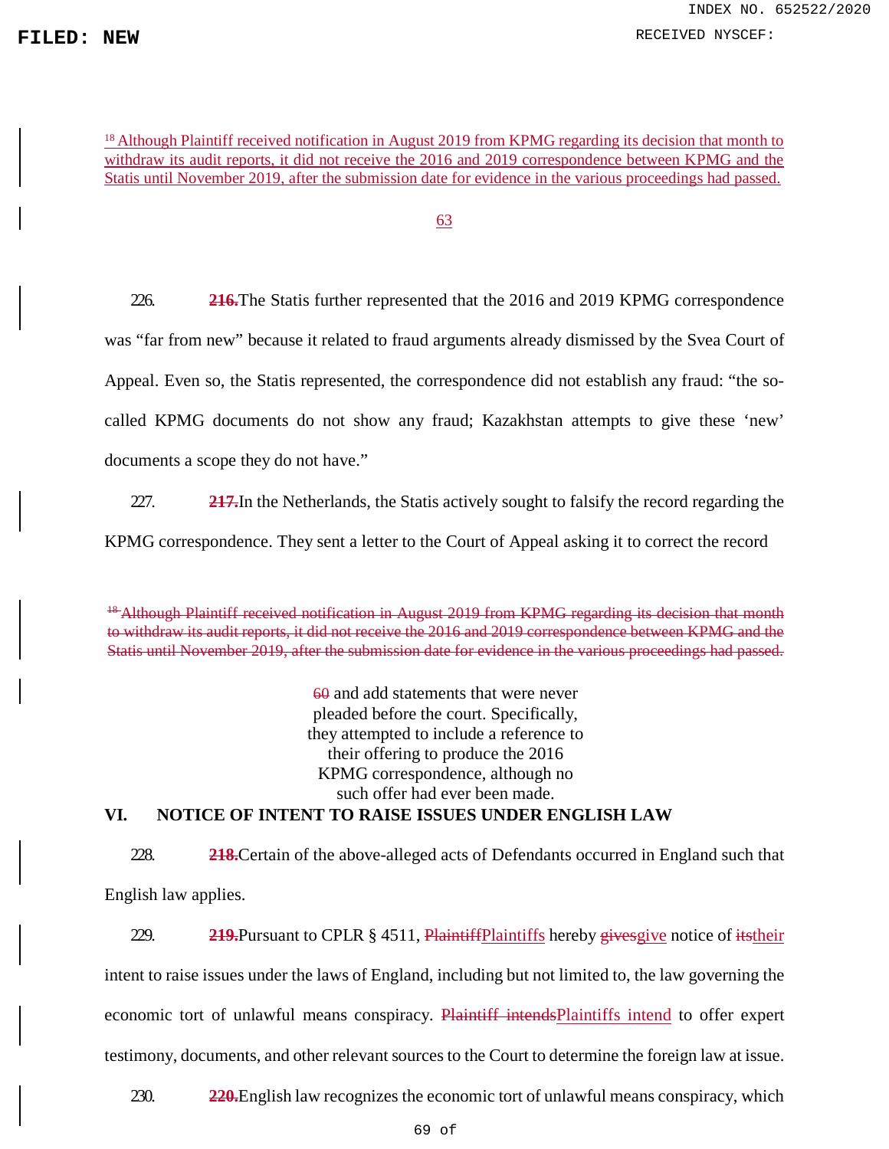**FILED:** NEW RECEIVED NYSCEF:

<sup>18</sup> Although Plaintiff received notification in August 2019 from KPMG regarding its decision that month to withdraw its audit reports, it did not receive the 2016 and 2019 correspondence between KPMG and the Statis until November 2019, after the submission date for evidence in the various proceedings had passed.

63

226. **216.**The Statis further represented that the 2016 and 2019 KPMG correspondence was "far from new" because it related to fraud arguments already dismissed by the Svea Court of Appeal. Even so, the Statis represented, the correspondence did not establish any fraud: "the socalled KPMG documents do not show any fraud; Kazakhstan attempts to give these 'new' documents a scope they do not have."

227. **217.**In the Netherlands, the Statis actively sought to falsify the record regarding the KPMG correspondence. They sent a letter to the Court of Appeal asking it to correct the record

<sup>48</sup> Although Plaintiff received notification in August 2019 from KPMG regarding its decision that month to withdraw its audit reports, it did not receive the 2016 and 2019 correspondence between KPMG and the Statis until November 2019, after the submission date for evidence in the various proceedings had passed.

60 and add statements that were never pleaded before the court. Specifically, they attempted to include a reference to their offering to produce the 2016 KPMG correspondence, although no such offer had ever been made. **VI. NOTICE OF INTENT TO RAISE ISSUES UNDER ENGLISH LAW**

228. **218.**Certain of the above-alleged acts of Defendants occurred in England such that English law applies.

229. **219.**Pursuant to CPLR § 4511, Plaintiff Plaintiffs hereby gives give notice of its their intent to raise issues under the laws of England, including but not limited to, the law governing the economic tort of unlawful means conspiracy. Plaintiff intendsPlaintiffs intend to offer expert testimony, documents, and other relevant sources to the Court to determine the foreign law at issue.

230. **220.**English law recognizes the economic tort of unlawful means conspiracy, which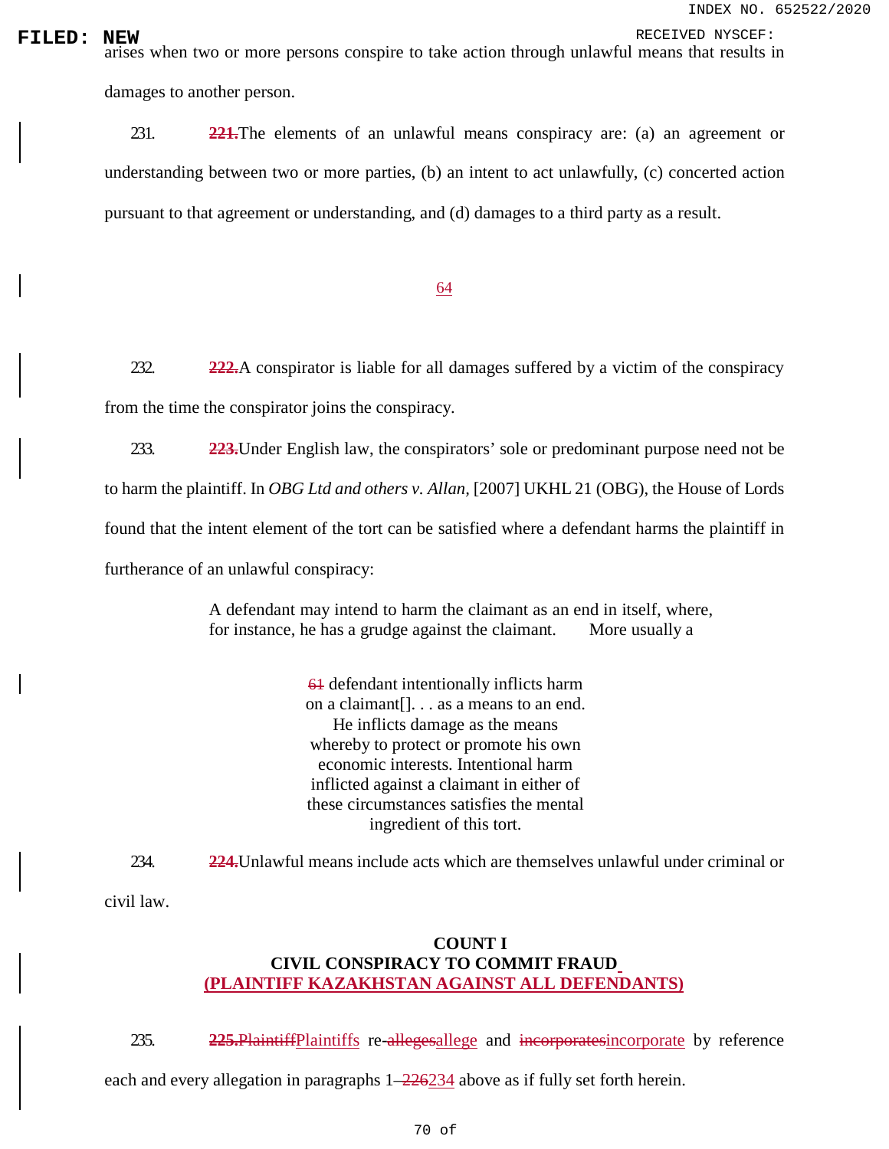**FILED:** NEW RECEIVED NYSCEF:<br>arises when two or more persons conspire to take action through unlawful means that results in damages to another person.

> 231. **221.**The elements of an unlawful means conspiracy are: (a) an agreement or understanding between two or more parties, (b) an intent to act unlawfully, (c) concerted action pursuant to that agreement or understanding, and (d) damages to a third party as a result.

# 64

232. **222.**A conspirator is liable for all damages suffered by a victim of the conspiracy from the time the conspirator joins the conspiracy.

233. **223.**Under English law, the conspirators' sole or predominant purpose need not be to harm the plaintiff. In *OBG Ltd and others v. Allan,* [2007] UKHL 21 (OBG), the House of Lords found that the intent element of the tort can be satisfied where a defendant harms the plaintiff in furtherance of an unlawful conspiracy:

> A defendant may intend to harm the claimant as an end in itself, where, for instance, he has a grudge against the claimant. More usually a

> > 61 defendant intentionally inflicts harm on a claimant[]. . . as a means to an end. He inflicts damage as the means whereby to protect or promote his own economic interests. Intentional harm inflicted against a claimant in either of these circumstances satisfies the mental ingredient of this tort.

234. **224.**Unlawful means include acts which are themselves unlawful under criminal or

civil law.

# **COUNT I CIVIL CONSPIRACY TO COMMIT FRAUD (PLAINTIFF KAZAKHSTAN AGAINST ALL DEFENDANTS)**

235. **225.**PlaintiffPlaintiffs re-allegesallege and incorporatesincorporate by reference

each and every allegation in paragraphs 1–226234 above as if fully set forth herein.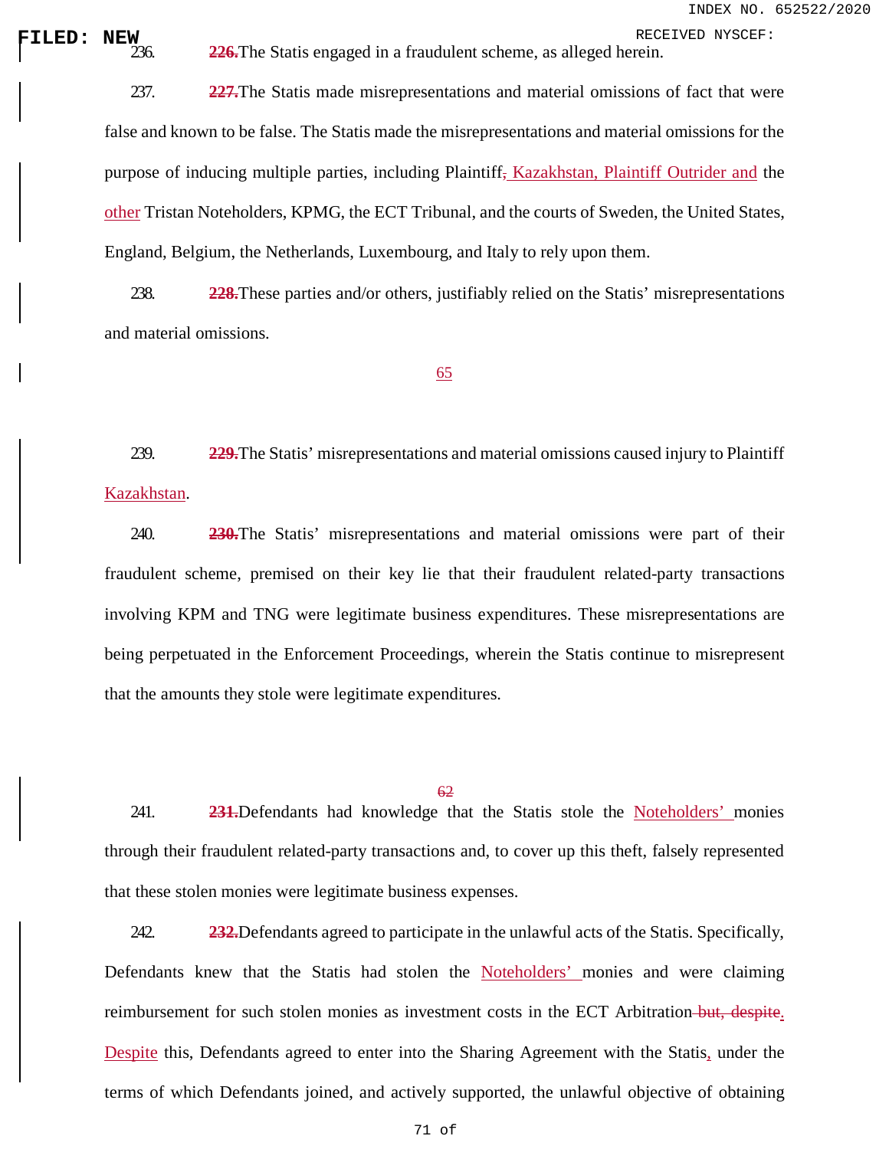**FILED: NEW** RECEIVED NYSCEF: 236. **226.**The Statis engaged in a fraudulent scheme, as alleged herein.

237. **227.**The Statis made misrepresentations and material omissions of fact that were false and known to be false. The Statis made the misrepresentations and material omissions for the purpose of inducing multiple parties, including Plaintiff, Kazakhstan, Plaintiff Outrider and the other Tristan Noteholders, KPMG, the ECT Tribunal, and the courts of Sweden, the United States, England, Belgium, the Netherlands, Luxembourg, and Italy to rely upon them.

238. **228.**These parties and/or others, justifiably relied on the Statis' misrepresentations and material omissions.

## 65

239. **229.**The Statis' misrepresentations and material omissions caused injury to Plaintiff Kazakhstan.

240. **230.**The Statis' misrepresentations and material omissions were part of their fraudulent scheme, premised on their key lie that their fraudulent related-party transactions involving KPM and TNG were legitimate business expenditures. These misrepresentations are being perpetuated in the Enforcement Proceedings, wherein the Statis continue to misrepresent that the amounts they stole were legitimate expenditures.

#### 62

241. **231.**Defendants had knowledge that the Statis stole the Noteholders' monies through their fraudulent related-party transactions and, to cover up this theft, falsely represented that these stolen monies were legitimate business expenses.

242. **232.**Defendants agreed to participate in the unlawful acts of the Statis. Specifically, Defendants knew that the Statis had stolen the Noteholders' monies and were claiming reimbursement for such stolen monies as investment costs in the ECT Arbitration-but, despite. Despite this, Defendants agreed to enter into the Sharing Agreement with the Statis, under the terms of which Defendants joined, and actively supported, the unlawful objective of obtaining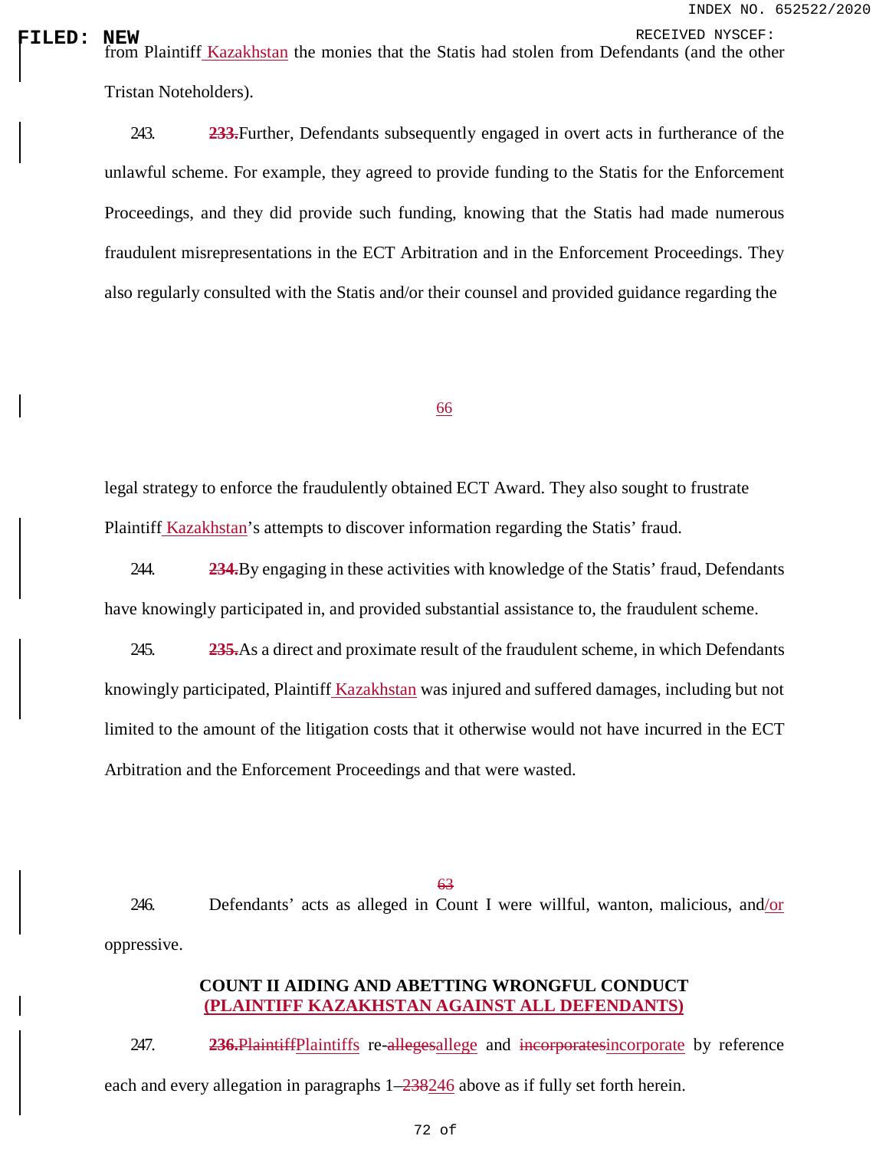**FILED:** NEW RECEIVED NYSCEF:<br>| from Plaintif<u>f Kazakhstan</u> the monies that the Statis had stolen from Defendants (and the other Tristan Noteholders).

> 243. **233.**Further, Defendants subsequently engaged in overt acts in furtherance of the unlawful scheme. For example, they agreed to provide funding to the Statis for the Enforcement Proceedings, and they did provide such funding, knowing that the Statis had made numerous fraudulent misrepresentations in the ECT Arbitration and in the Enforcement Proceedings. They also regularly consulted with the Statis and/or their counsel and provided guidance regarding the

### 66

legal strategy to enforce the fraudulently obtained ECT Award. They also sought to frustrate Plaintiff Kazakhstan's attempts to discover information regarding the Statis' fraud.

244. **234.**By engaging in these activities with knowledge of the Statis' fraud, Defendants have knowingly participated in, and provided substantial assistance to, the fraudulent scheme.

245. **235.**As a direct and proximate result of the fraudulent scheme, in which Defendants knowingly participated, Plaintiff Kazakhstan was injured and suffered damages, including but not limited to the amount of the litigation costs that it otherwise would not have incurred in the ECT Arbitration and the Enforcement Proceedings and that were wasted.

63

246. Defendants' acts as alleged in Count I were willful, wanton, malicious, and/or oppressive.

# **COUNT II AIDING AND ABETTING WRONGFUL CONDUCT (PLAINTIFF KAZAKHSTAN AGAINST ALL DEFENDANTS)**

247. **236.**PlaintiffPlaintiffs re-allegesallege and incorporatesincorporate by reference each and every allegation in paragraphs 1–238246 above as if fully set forth herein.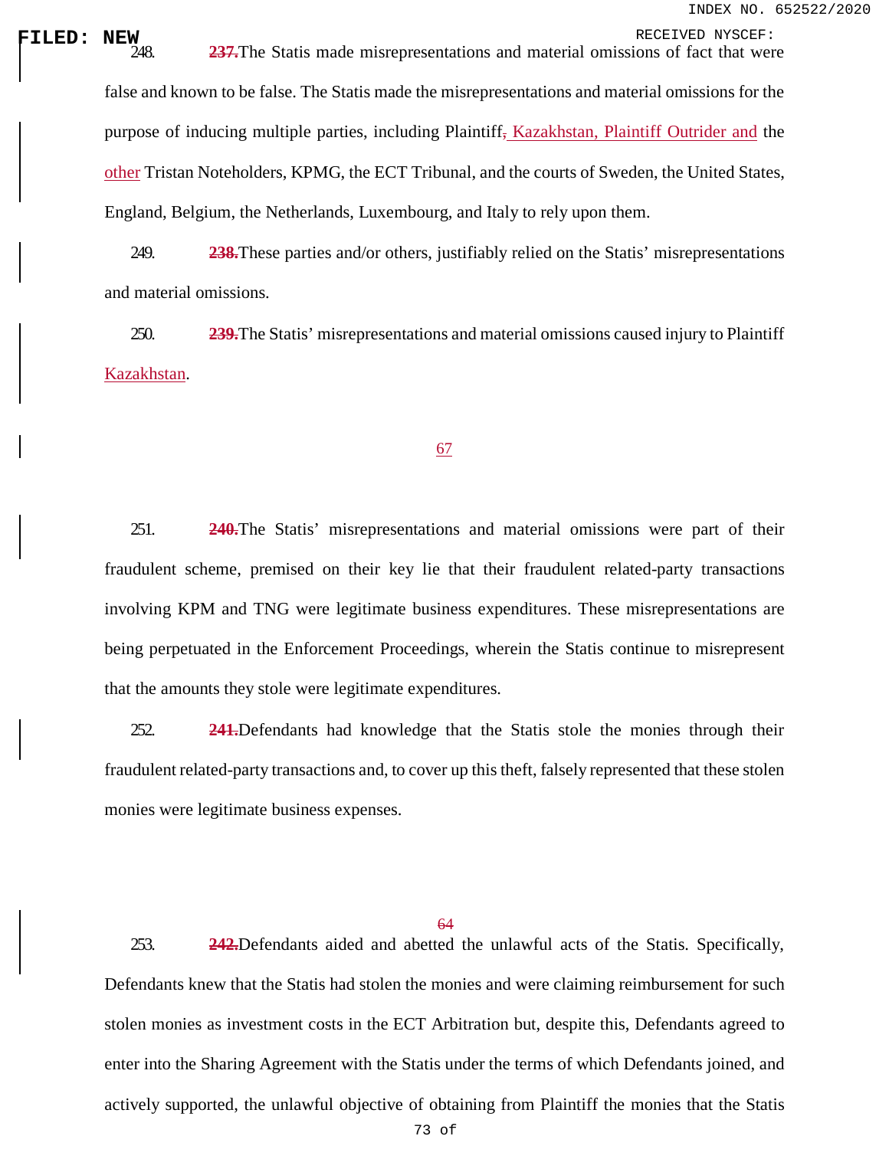**FILED: NEW**<br>
248. **237.**The Statis made misrepresentations and material omissions of fact that were false and known to be false. The Statis made the misrepresentations and material omissions for the purpose of inducing multiple parties, including Plaintiff, Kazakhstan, Plaintiff Outrider and the other Tristan Noteholders, KPMG, the ECT Tribunal, and the courts of Sweden, the United States, England, Belgium, the Netherlands, Luxembourg, and Italy to rely upon them.

> 249. **238.**These parties and/or others, justifiably relied on the Statis' misrepresentations and material omissions.

> 250. **239.**The Statis' misrepresentations and material omissions caused injury to Plaintiff Kazakhstan.

### 67

251. **240.**The Statis' misrepresentations and material omissions were part of their fraudulent scheme, premised on their key lie that their fraudulent related-party transactions involving KPM and TNG were legitimate business expenditures. These misrepresentations are being perpetuated in the Enforcement Proceedings, wherein the Statis continue to misrepresent that the amounts they stole were legitimate expenditures.

252. **241.**Defendants had knowledge that the Statis stole the monies through their fraudulent related-party transactions and, to cover up this theft, falsely represented that these stolen monies were legitimate business expenses.

64

253. **242.**Defendants aided and abetted the unlawful acts of the Statis. Specifically, Defendants knew that the Statis had stolen the monies and were claiming reimbursement for such stolen monies as investment costs in the ECT Arbitration but, despite this, Defendants agreed to enter into the Sharing Agreement with the Statis under the terms of which Defendants joined, and actively supported, the unlawful objective of obtaining from Plaintiff the monies that the Statis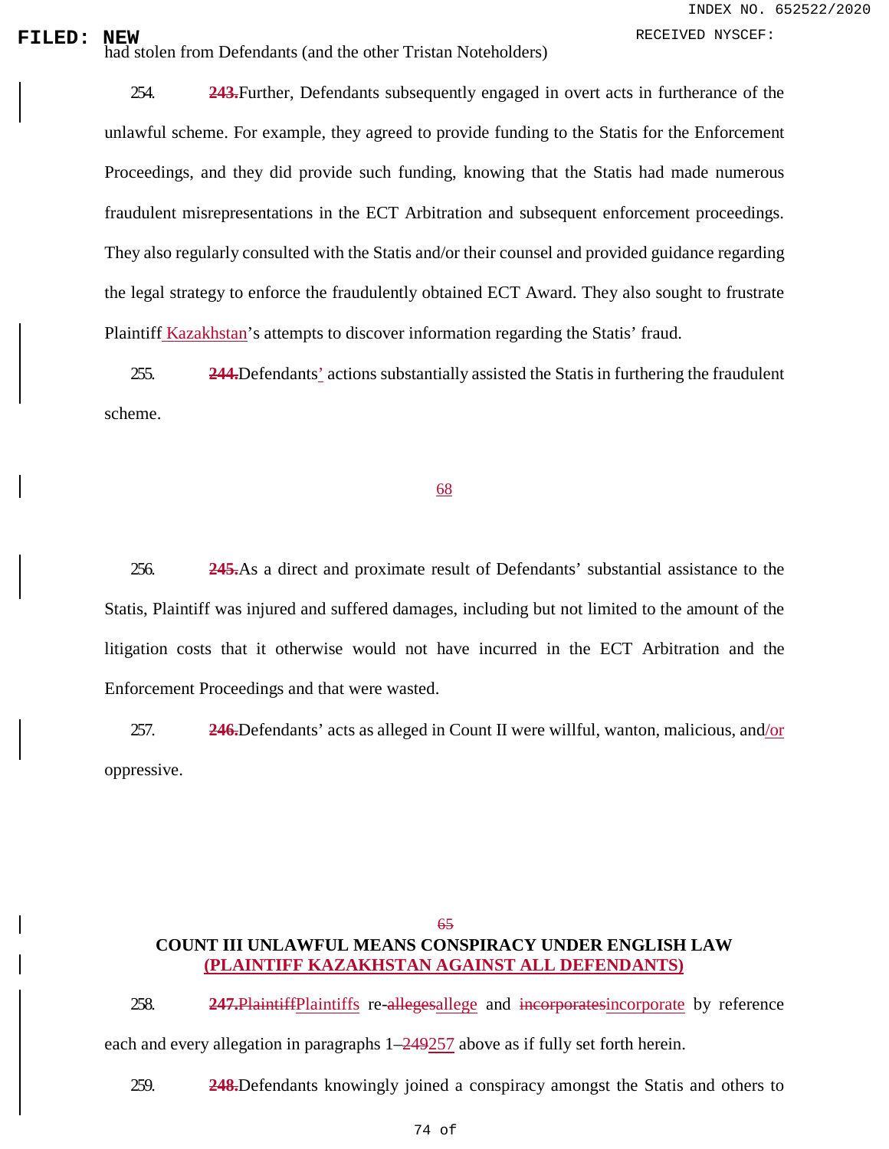**FILED:** NEW RECEIVED NYSCEF:<br>
had stolen from Defendants (and the other Tristan Noteholders)

254. **243.**Further, Defendants subsequently engaged in overt acts in furtherance of the unlawful scheme. For example, they agreed to provide funding to the Statis for the Enforcement Proceedings, and they did provide such funding, knowing that the Statis had made numerous fraudulent misrepresentations in the ECT Arbitration and subsequent enforcement proceedings. They also regularly consulted with the Statis and/or their counsel and provided guidance regarding the legal strategy to enforce the fraudulently obtained ECT Award. They also sought to frustrate Plaintiff Kazakhstan's attempts to discover information regarding the Statis' fraud.

255. **244.**Defendants' actions substantially assisted the Statis in furthering the fraudulent scheme.

### 68

256. **245.**As a direct and proximate result of Defendants' substantial assistance to the Statis, Plaintiff was injured and suffered damages, including but not limited to the amount of the litigation costs that it otherwise would not have incurred in the ECT Arbitration and the Enforcement Proceedings and that were wasted.

257. **246.**Defendants' acts as alleged in Count II were willful, wanton, malicious, and/or oppressive.

## 65 **COUNT III UNLAWFUL MEANS CONSPIRACY UNDER ENGLISH LAW (PLAINTIFF KAZAKHSTAN AGAINST ALL DEFENDANTS)**

258. **247.**PlaintiffPlaintiffs re-allegesallege and incorporatesincorporate by reference each and every allegation in paragraphs 1–249257 above as if fully set forth herein.

259. **248.**Defendants knowingly joined a conspiracy amongst the Statis and others to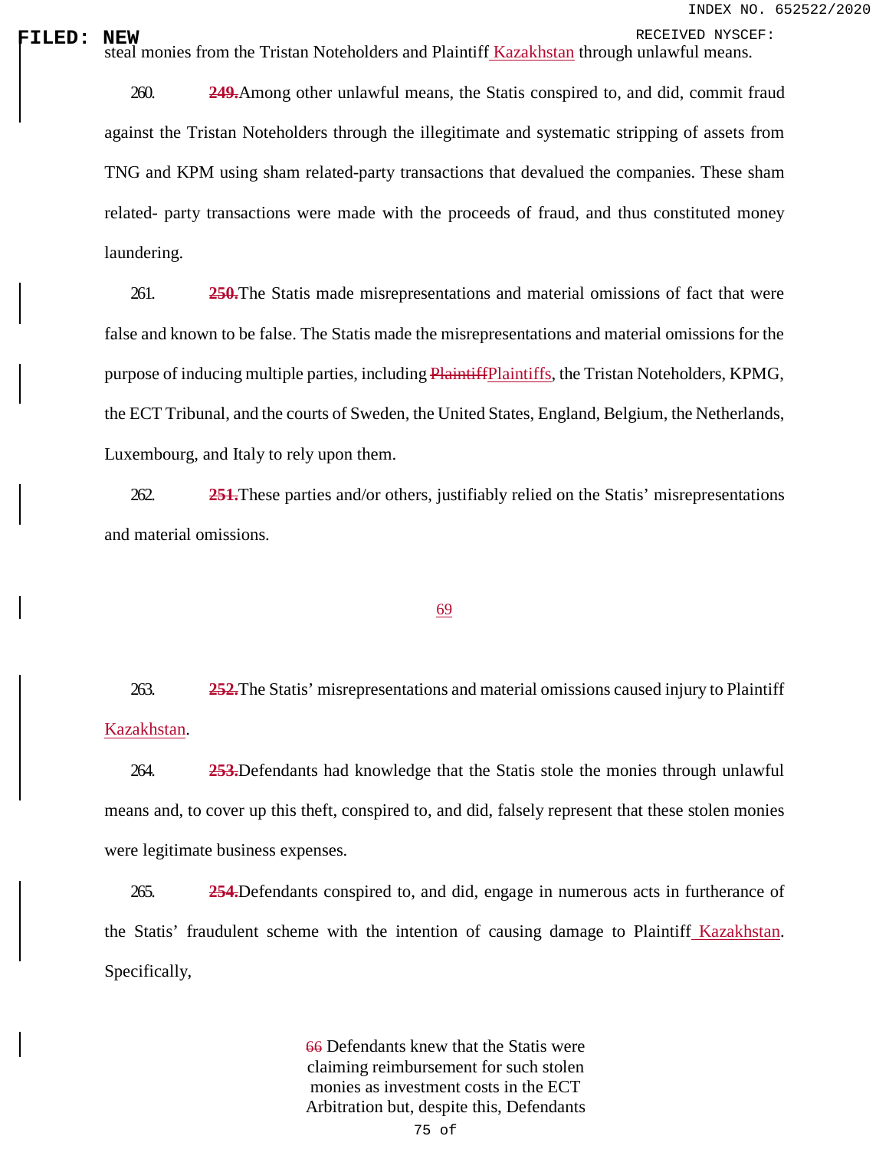**FILED: NEW**<br>| steal monies from the Tristan Noteholders and Plaintiff Kazakhstan through unlawful means.

260. **249.**Among other unlawful means, the Statis conspired to, and did, commit fraud against the Tristan Noteholders through the illegitimate and systematic stripping of assets from TNG and KPM using sham related-party transactions that devalued the companies. These sham related- party transactions were made with the proceeds of fraud, and thus constituted money laundering.

261. **250.**The Statis made misrepresentations and material omissions of fact that were false and known to be false. The Statis made the misrepresentations and material omissions for the purpose of inducing multiple parties, including PlaintiffPlaintiffs, the Tristan Noteholders, KPMG, the ECT Tribunal, and the courts of Sweden, the United States, England, Belgium, the Netherlands, Luxembourg, and Italy to rely upon them.

262. **251.**These parties and/or others, justifiably relied on the Statis' misrepresentations and material omissions.

### 69

263. **252.**The Statis' misrepresentations and material omissions caused injury to Plaintiff Kazakhstan.

264. **253.**Defendants had knowledge that the Statis stole the monies through unlawful means and, to cover up this theft, conspired to, and did, falsely represent that these stolen monies were legitimate business expenses.

265. **254.**Defendants conspired to, and did, engage in numerous acts in furtherance of the Statis' fraudulent scheme with the intention of causing damage to Plaintiff Kazakhstan. Specifically,

> 66 Defendants knew that the Statis were claiming reimbursement for such stolen monies as investment costs in the ECT Arbitration but, despite this, Defendants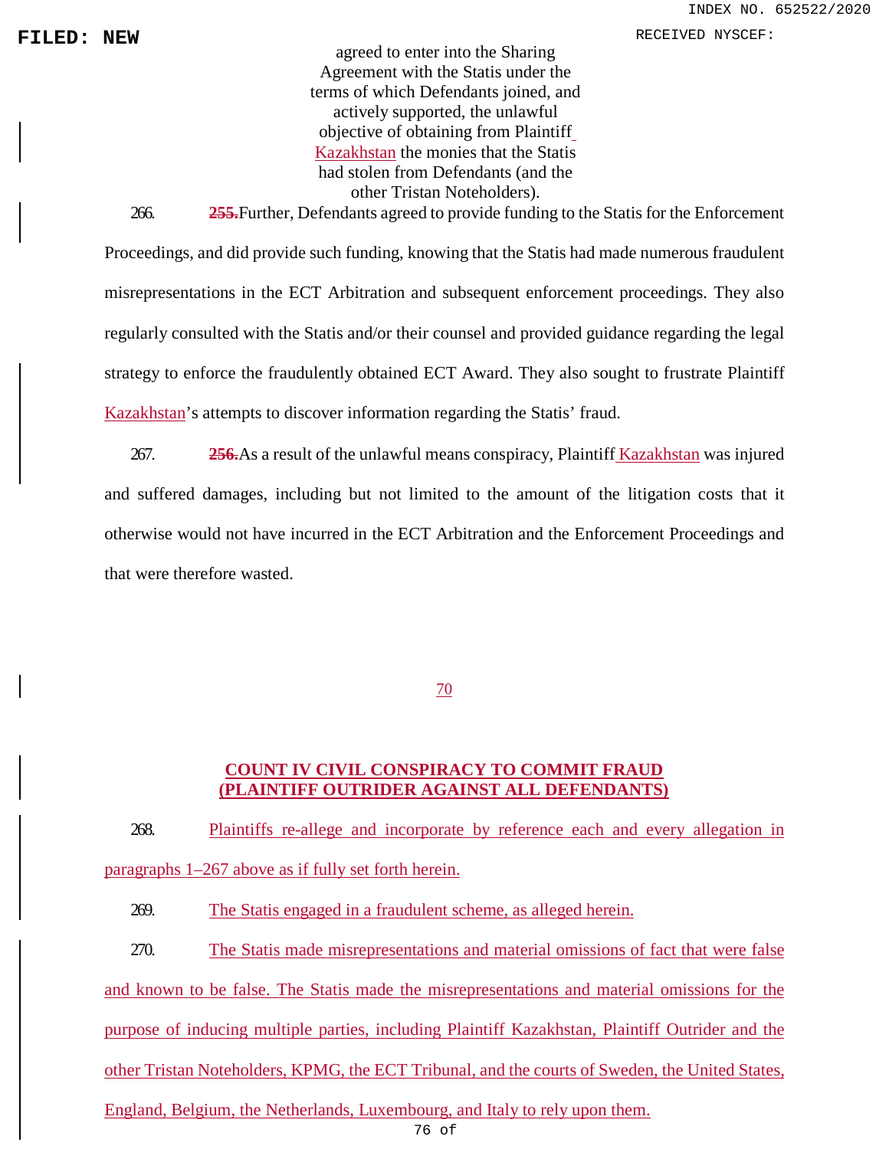**FILED: NEW PRODUCER:** NEW RECEIVED NYSCEF:

agreed to enter into the Sharing Agreement with the Statis under the terms of which Defendants joined, and actively supported, the unlawful objective of obtaining from Plaintiff Kazakhstan the monies that the Statis had stolen from Defendants (and the other Tristan Noteholders).

266. **255.**Further, Defendants agreed to provide funding to the Statis for the Enforcement Proceedings, and did provide such funding, knowing that the Statis had made numerous fraudulent misrepresentations in the ECT Arbitration and subsequent enforcement proceedings. They also regularly consulted with the Statis and/or their counsel and provided guidance regarding the legal strategy to enforce the fraudulently obtained ECT Award. They also sought to frustrate Plaintiff Kazakhstan's attempts to discover information regarding the Statis' fraud.

267. **256.**As a result of the unlawful means conspiracy, Plaintiff Kazakhstan was injured and suffered damages, including but not limited to the amount of the litigation costs that it otherwise would not have incurred in the ECT Arbitration and the Enforcement Proceedings and that were therefore wasted.

70

## **COUNT IV CIVIL CONSPIRACY TO COMMIT FRAUD (PLAINTIFF OUTRIDER AGAINST ALL DEFENDANTS)**

268. Plaintiffs re-allege and incorporate by reference each and every allegation in paragraphs 1–267 above as if fully set forth herein.

269. The Statis engaged in a fraudulent scheme, as alleged herein.

270. The Statis made misrepresentations and material omissions of fact that were false and known to be false. The Statis made the misrepresentations and material omissions for the purpose of inducing multiple parties, including Plaintiff Kazakhstan, Plaintiff Outrider and the other Tristan Noteholders, KPMG, the ECT Tribunal, and the courts of Sweden, the United States, England, Belgium, the Netherlands, Luxembourg, and Italy to rely upon them.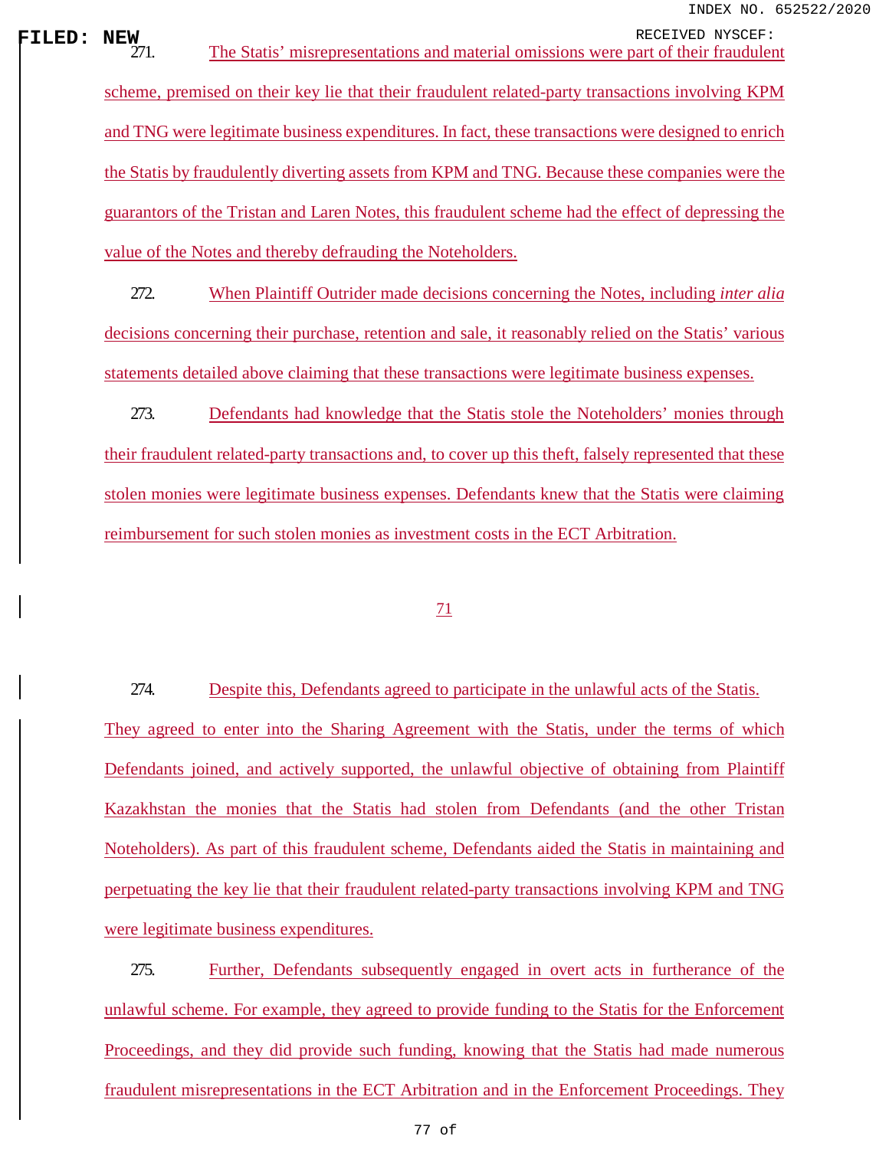**FILED:** NEW RECEIVED NYSCEF:<br>
271. The Statis' misrepresentations and material omissions were part of their fraudulent scheme, premised on their key lie that their fraudulent related-party transactions involving KPM and TNG were legitimate business expenditures. In fact, these transactions were designed to enrich the Statis by fraudulently diverting assets from KPM and TNG. Because these companies were the guarantors of the Tristan and Laren Notes, this fraudulent scheme had the effect of depressing the value of the Notes and thereby defrauding the Noteholders.

> 272. When Plaintiff Outrider made decisions concerning the Notes, including *inter alia*  decisions concerning their purchase, retention and sale, it reasonably relied on the Statis' various statements detailed above claiming that these transactions were legitimate business expenses.

> 273. Defendants had knowledge that the Statis stole the Noteholders' monies through their fraudulent related-party transactions and, to cover up this theft, falsely represented that these stolen monies were legitimate business expenses. Defendants knew that the Statis were claiming reimbursement for such stolen monies as investment costs in the ECT Arbitration.

### 71

274. Despite this, Defendants agreed to participate in the unlawful acts of the Statis. They agreed to enter into the Sharing Agreement with the Statis, under the terms of which Defendants joined, and actively supported, the unlawful objective of obtaining from Plaintiff Kazakhstan the monies that the Statis had stolen from Defendants (and the other Tristan Noteholders). As part of this fraudulent scheme, Defendants aided the Statis in maintaining and perpetuating the key lie that their fraudulent related-party transactions involving KPM and TNG were legitimate business expenditures.

275. Further, Defendants subsequently engaged in overt acts in furtherance of the unlawful scheme. For example, they agreed to provide funding to the Statis for the Enforcement Proceedings, and they did provide such funding, knowing that the Statis had made numerous fraudulent misrepresentations in the ECT Arbitration and in the Enforcement Proceedings. They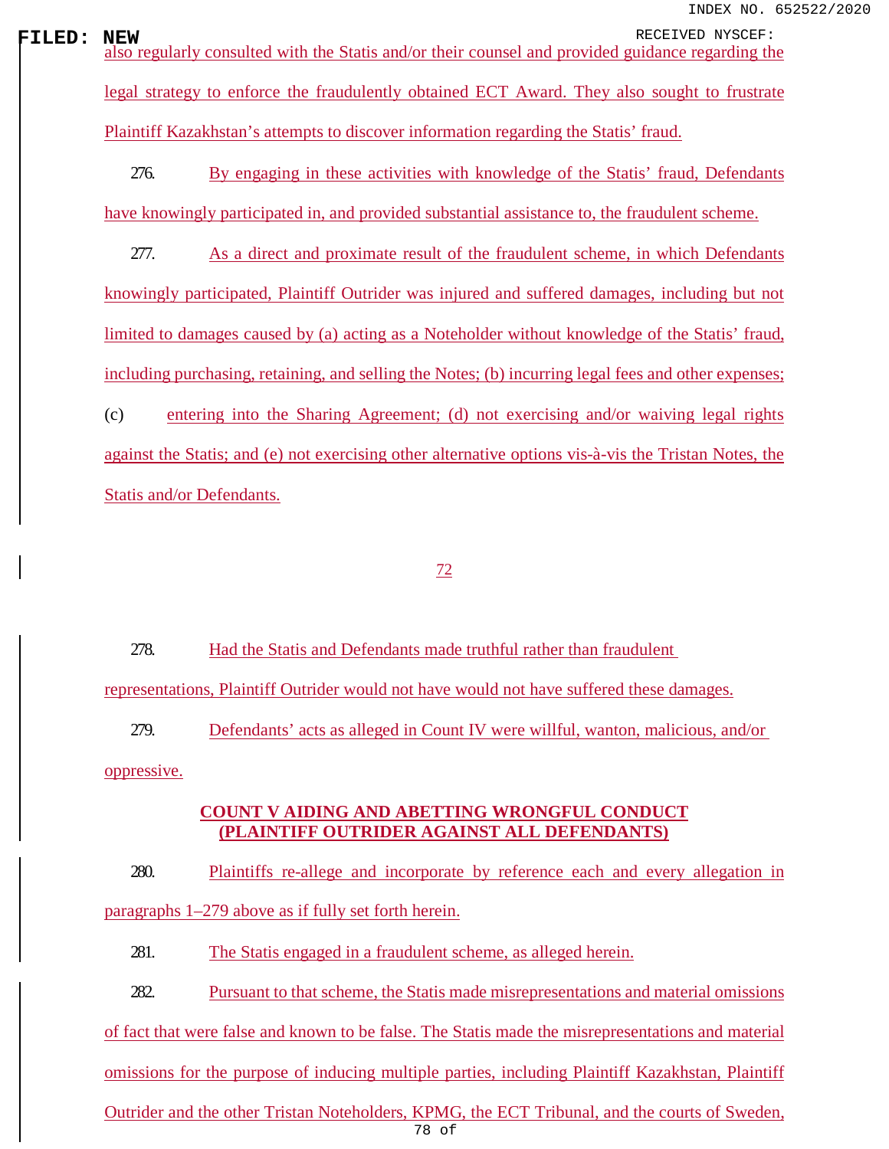**FILED:** NEW RECEIVED NYSCEF:<br>also regularly consulted with the Statis and/or their counsel and provided guidance regarding the legal strategy to enforce the fraudulently obtained ECT Award. They also sought to frustrate Plaintiff Kazakhstan's attempts to discover information regarding the Statis' fraud.

> 276. By engaging in these activities with knowledge of the Statis' fraud, Defendants have knowingly participated in, and provided substantial assistance to, the fraudulent scheme.

> 277. As a direct and proximate result of the fraudulent scheme, in which Defendants knowingly participated, Plaintiff Outrider was injured and suffered damages, including but not limited to damages caused by (a) acting as a Noteholder without knowledge of the Statis' fraud, including purchasing, retaining, and selling the Notes; (b) incurring legal fees and other expenses; (c) entering into the Sharing Agreement; (d) not exercising and/or waiving legal rights against the Statis; and (e) not exercising other alternative options vis-à-vis the Tristan Notes, the

Statis and/or Defendants.

### 72

278. Had the Statis and Defendants made truthful rather than fraudulent representations, Plaintiff Outrider would not have would not have suffered these damages.

279. Defendants' acts as alleged in Count IV were willful, wanton, malicious, and/or oppressive.

## **COUNT V AIDING AND ABETTING WRONGFUL CONDUCT (PLAINTIFF OUTRIDER AGAINST ALL DEFENDANTS)**

280. Plaintiffs re-allege and incorporate by reference each and every allegation in paragraphs 1–279 above as if fully set forth herein.

281. The Statis engaged in a fraudulent scheme, as alleged herein.

282. Pursuant to that scheme, the Statis made misrepresentations and material omissions

of fact that were false and known to be false. The Statis made the misrepresentations and material

omissions for the purpose of inducing multiple parties, including Plaintiff Kazakhstan, Plaintiff

78 of Outrider and the other Tristan Noteholders, KPMG, the ECT Tribunal, and the courts of Sweden,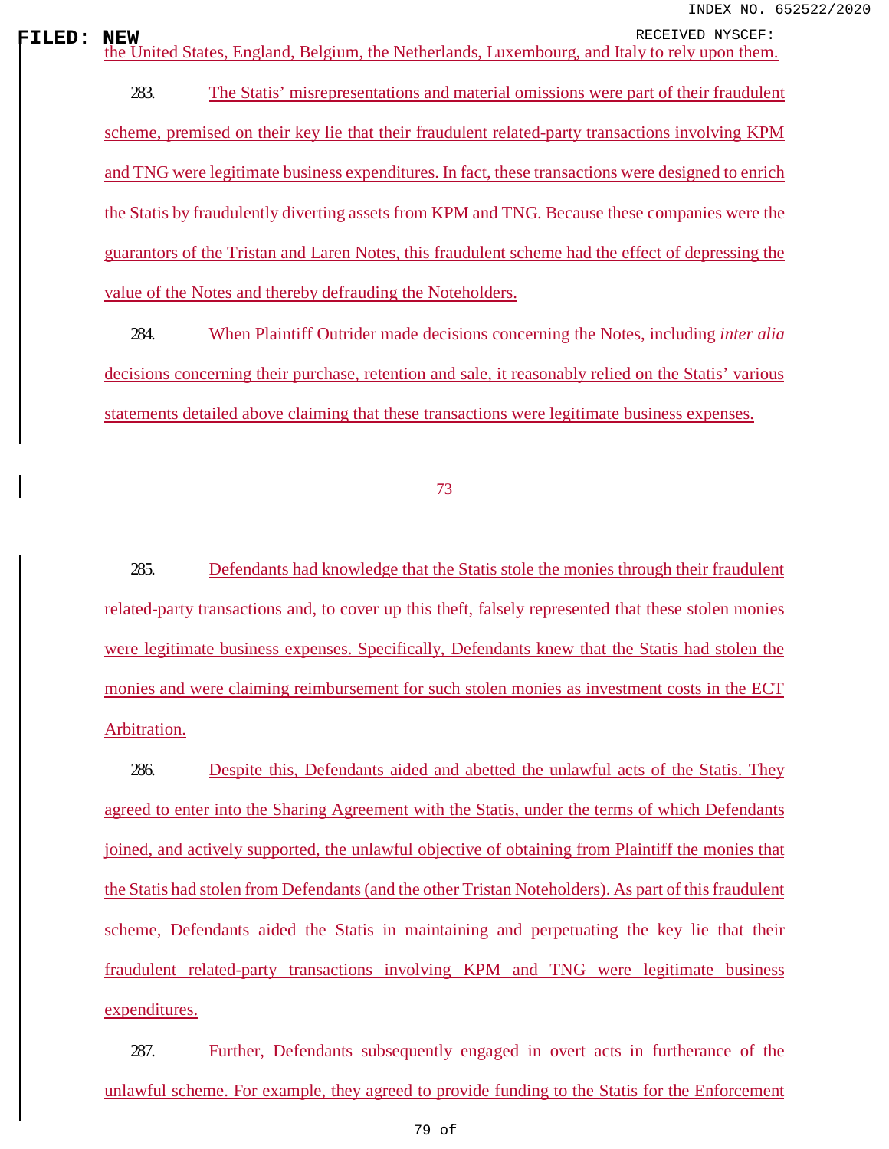**FILED:** NEW RECEIVED NYSCEF:<br>
the United States, England, Belgium, the Netherlands, Luxembourg, and Italy to rely upon them.

283. The Statis' misrepresentations and material omissions were part of their fraudulent scheme, premised on their key lie that their fraudulent related-party transactions involving KPM and TNG were legitimate business expenditures. In fact, these transactions were designed to enrich the Statis by fraudulently diverting assets from KPM and TNG. Because these companies were the guarantors of the Tristan and Laren Notes, this fraudulent scheme had the effect of depressing the value of the Notes and thereby defrauding the Noteholders.

284. When Plaintiff Outrider made decisions concerning the Notes, including *inter alia*  decisions concerning their purchase, retention and sale, it reasonably relied on the Statis' various statements detailed above claiming that these transactions were legitimate business expenses.

73

285. Defendants had knowledge that the Statis stole the monies through their fraudulent related-party transactions and, to cover up this theft, falsely represented that these stolen monies were legitimate business expenses. Specifically, Defendants knew that the Statis had stolen the monies and were claiming reimbursement for such stolen monies as investment costs in the ECT Arbitration.

286. Despite this, Defendants aided and abetted the unlawful acts of the Statis. They agreed to enter into the Sharing Agreement with the Statis, under the terms of which Defendants joined, and actively supported, the unlawful objective of obtaining from Plaintiff the monies that the Statis had stolen from Defendants (and the other Tristan Noteholders). As part of this fraudulent scheme, Defendants aided the Statis in maintaining and perpetuating the key lie that their fraudulent related-party transactions involving KPM and TNG were legitimate business expenditures.

287. Further, Defendants subsequently engaged in overt acts in furtherance of the unlawful scheme. For example, they agreed to provide funding to the Statis for the Enforcement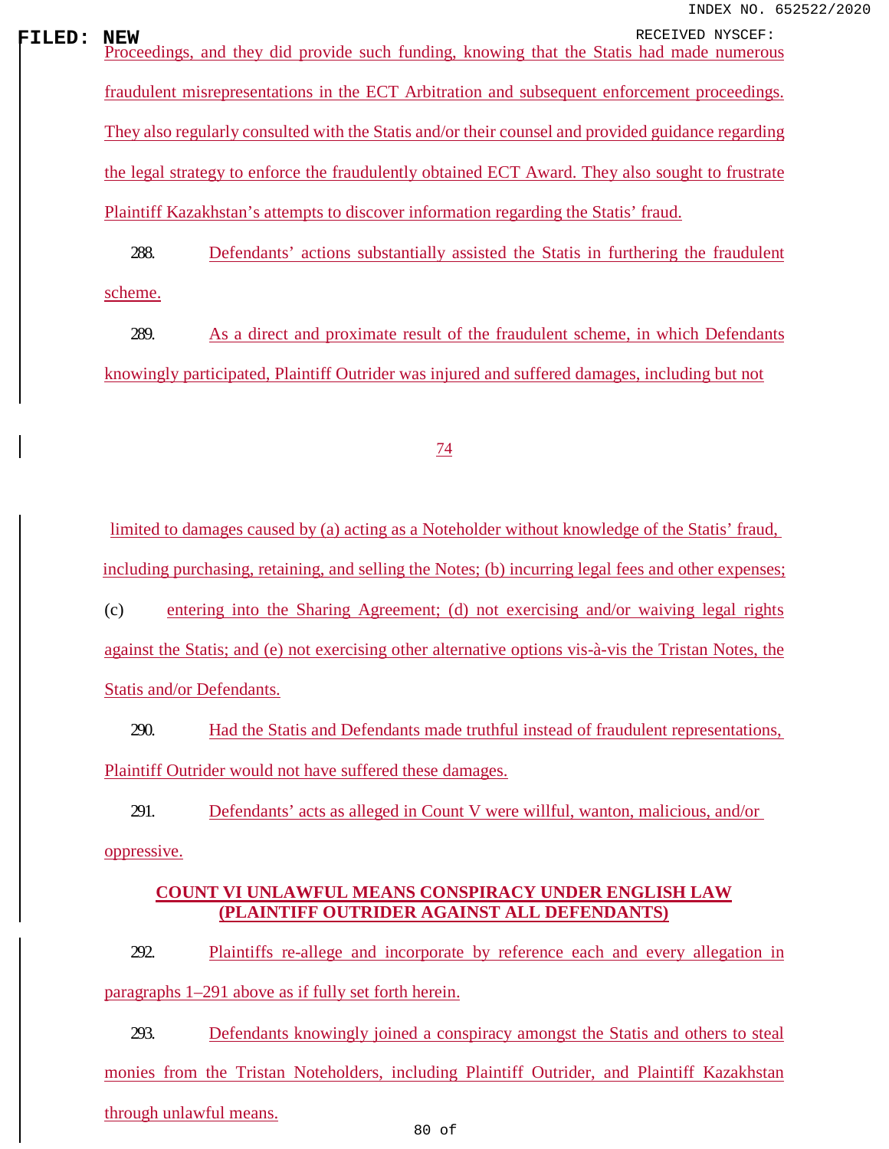**FILED:** NEW RECEIVED NYSCEF:<br>Proceedings, and they did provide such funding, knowing that the Statis had made numerous fraudulent misrepresentations in the ECT Arbitration and subsequent enforcement proceedings. They also regularly consulted with the Statis and/or their counsel and provided guidance regarding the legal strategy to enforce the fraudulently obtained ECT Award. They also sought to frustrate Plaintiff Kazakhstan's attempts to discover information regarding the Statis' fraud.

> 288. Defendants' actions substantially assisted the Statis in furthering the fraudulent scheme.

> 289. As a direct and proximate result of the fraudulent scheme, in which Defendants knowingly participated, Plaintiff Outrider was injured and suffered damages, including but not

### 74

limited to damages caused by (a) acting as a Noteholder without knowledge of the Statis' fraud, including purchasing, retaining, and selling the Notes; (b) incurring legal fees and other expenses;

(c) entering into the Sharing Agreement; (d) not exercising and/or waiving legal rights against the Statis; and (e) not exercising other alternative options vis-à-vis the Tristan Notes, the Statis and/or Defendants.

290. Had the Statis and Defendants made truthful instead of fraudulent representations, Plaintiff Outrider would not have suffered these damages.

291. Defendants' acts as alleged in Count V were willful, wanton, malicious, and/or oppressive.

## **COUNT VI UNLAWFUL MEANS CONSPIRACY UNDER ENGLISH LAW (PLAINTIFF OUTRIDER AGAINST ALL DEFENDANTS)**

292. Plaintiffs re-allege and incorporate by reference each and every allegation in paragraphs 1–291 above as if fully set forth herein.

293. Defendants knowingly joined a conspiracy amongst the Statis and others to steal monies from the Tristan Noteholders, including Plaintiff Outrider, and Plaintiff Kazakhstan through unlawful means.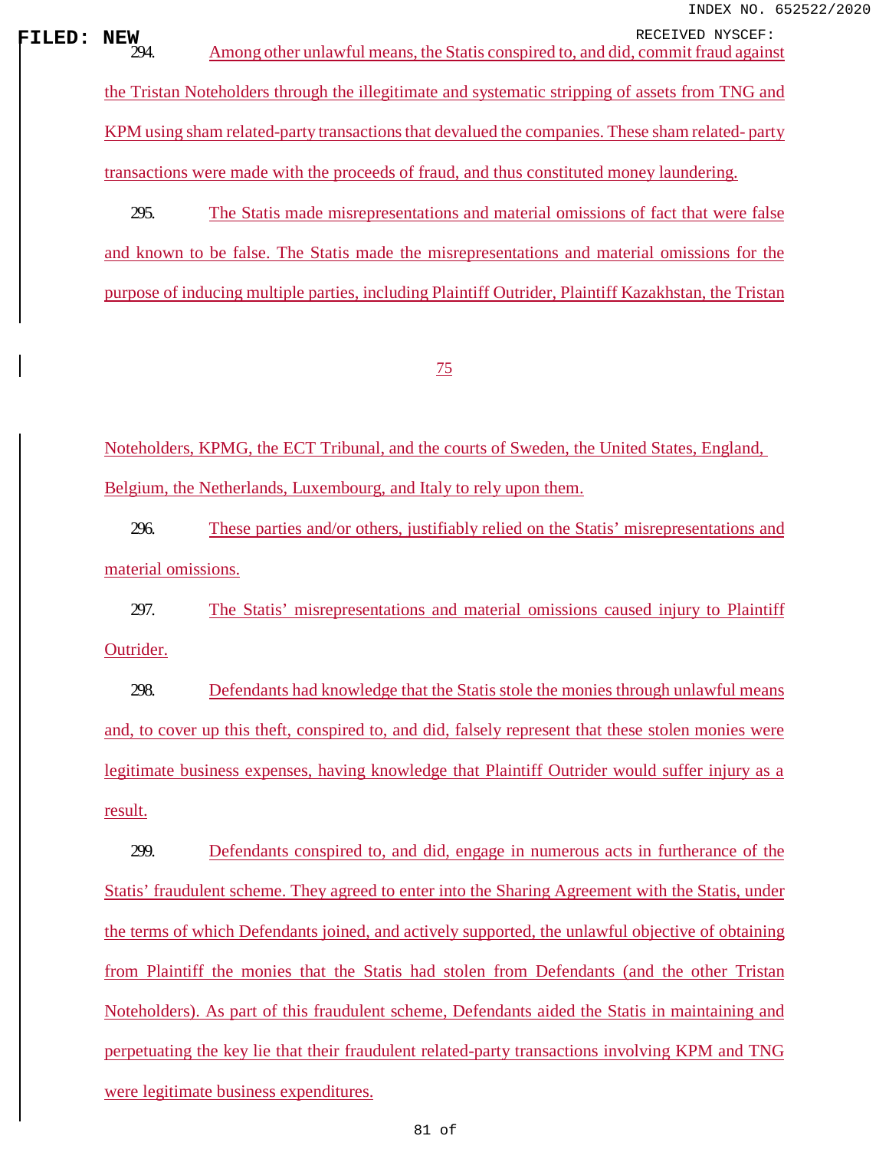**FILED: NEW**<br>
294. Among other unlawful means, the Statis conspired to, and did, commit fraud against

the Tristan Noteholders through the illegitimate and systematic stripping of assets from TNG and KPM using sham related-party transactions that devalued the companies. These sham related- party transactions were made with the proceeds of fraud, and thus constituted money laundering.

295. The Statis made misrepresentations and material omissions of fact that were false and known to be false. The Statis made the misrepresentations and material omissions for the purpose of inducing multiple parties, including Plaintiff Outrider, Plaintiff Kazakhstan, the Tristan

## 75

Noteholders, KPMG, the ECT Tribunal, and the courts of Sweden, the United States, England, Belgium, the Netherlands, Luxembourg, and Italy to rely upon them.

296. These parties and/or others, justifiably relied on the Statis' misrepresentations and material omissions.

297. The Statis' misrepresentations and material omissions caused injury to Plaintiff Outrider.

298. Defendants had knowledge that the Statis stole the monies through unlawful means and, to cover up this theft, conspired to, and did, falsely represent that these stolen monies were legitimate business expenses, having knowledge that Plaintiff Outrider would suffer injury as a result.

299. Defendants conspired to, and did, engage in numerous acts in furtherance of the Statis' fraudulent scheme. They agreed to enter into the Sharing Agreement with the Statis, under the terms of which Defendants joined, and actively supported, the unlawful objective of obtaining from Plaintiff the monies that the Statis had stolen from Defendants (and the other Tristan Noteholders). As part of this fraudulent scheme, Defendants aided the Statis in maintaining and perpetuating the key lie that their fraudulent related-party transactions involving KPM and TNG were legitimate business expenditures.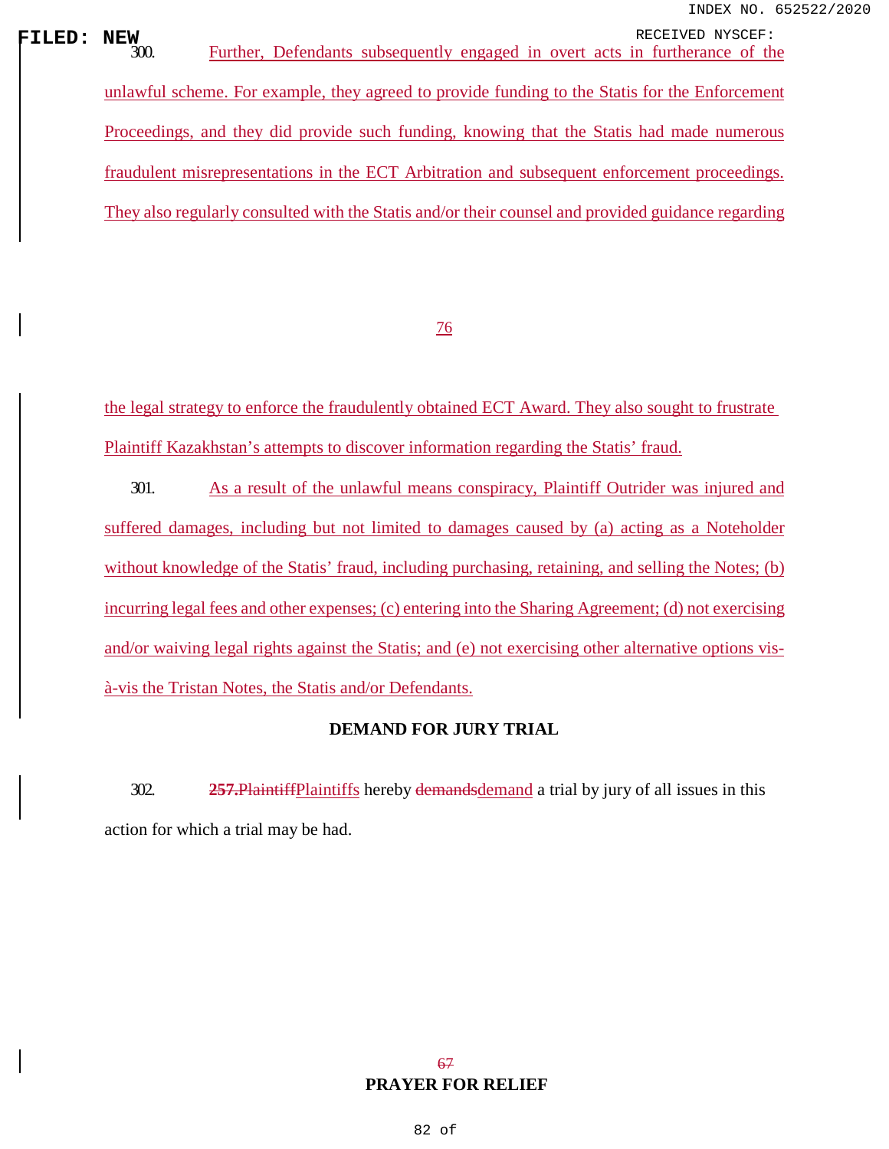**FILED: NEW**<br>
300. Further, Defendants subsequently engaged in overt acts in furtherance of the unlawful scheme. For example, they agreed to provide funding to the Statis for the Enforcement Proceedings, and they did provide such funding, knowing that the Statis had made numerous fraudulent misrepresentations in the ECT Arbitration and subsequent enforcement proceedings. They also regularly consulted with the Statis and/or their counsel and provided guidance regarding

76

the legal strategy to enforce the fraudulently obtained ECT Award. They also sought to frustrate Plaintiff Kazakhstan's attempts to discover information regarding the Statis' fraud.

301. As a result of the unlawful means conspiracy, Plaintiff Outrider was injured and suffered damages, including but not limited to damages caused by (a) acting as a Noteholder without knowledge of the Statis' fraud, including purchasing, retaining, and selling the Notes; (b) incurring legal fees and other expenses; (c) entering into the Sharing Agreement; (d) not exercising and/or waiving legal rights against the Statis; and (e) not exercising other alternative options visà-vis the Tristan Notes, the Statis and/or Defendants.

## **DEMAND FOR JURY TRIAL**

302. **257.**PlaintiffPlaintiffs hereby demandsdemand a trial by jury of all issues in this action for which a trial may be had.

## 67 **PRAYER FOR RELIEF**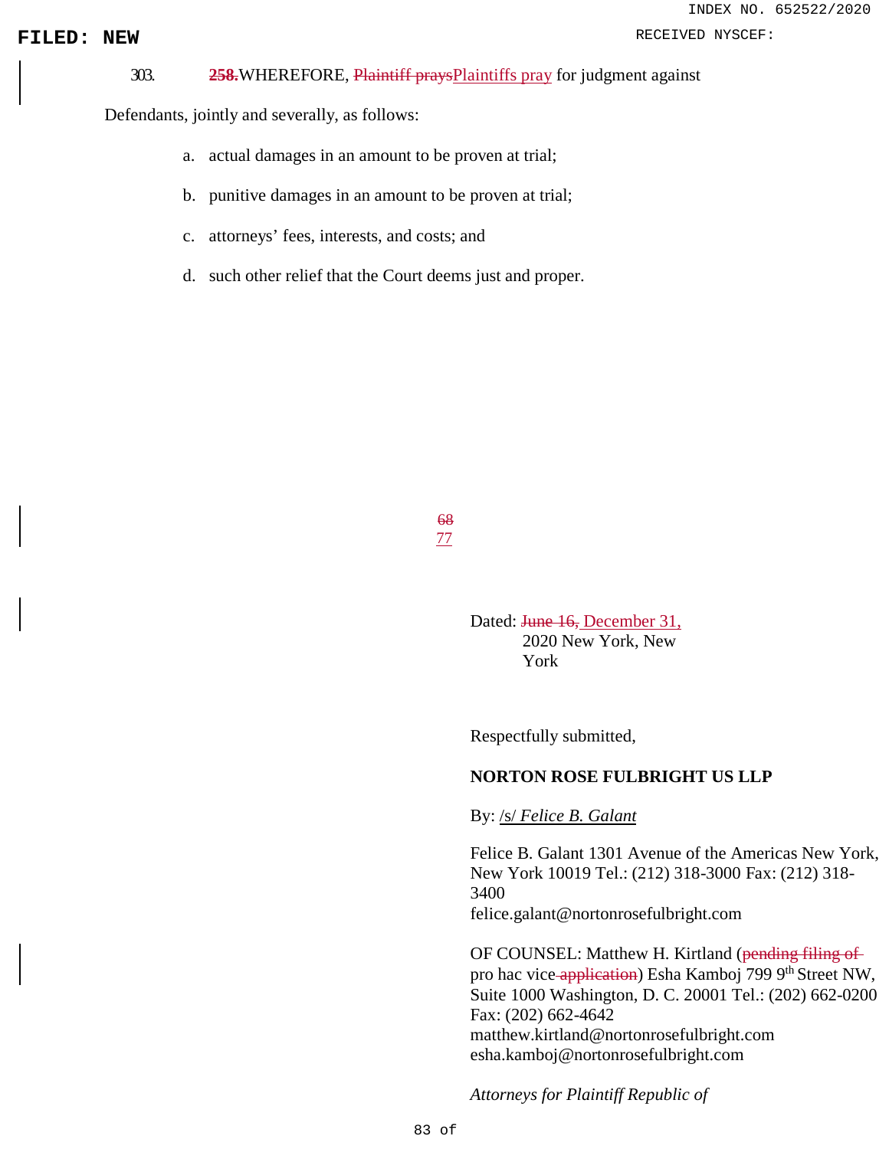# INDEX NO. 652522/2020

### **FILED: NEW PRODUCER:** NEW RECEIVED NYSCEF:

303. **258.**WHEREFORE, Plaintiff praysPlaintiffs pray for judgment against

Defendants, jointly and severally, as follows:

- a. actual damages in an amount to be proven at trial;
- b. punitive damages in an amount to be proven at trial;
- c. attorneys' fees, interests, and costs; and
- d. such other relief that the Court deems just and proper.

68 77

> Dated: June 16, December 31, 2020 New York, New York

Respectfully submitted,

### **NORTON ROSE FULBRIGHT US LLP**

By: /s/ *Felice B. Galant*

Felice B. Galant 1301 Avenue of the Americas New York, New York 10019 Tel.: (212) 318-3000 Fax: (212) 318- 3400 [felice.galant@nortonrosefulbright.com](mailto:felice.galant@nortonrosefulbright.com)

OF COUNSEL: Matthew H. Kirtland (pending filing of pro hac vice-application) Esha Kamboj 799 9<sup>th</sup> Street NW, Suite 1000 Washington, D. C. 20001 Tel.: (202) 662-0200 Fax: (202) 662-4642 [matthew.kirtland@nortonrosefulbright.com](mailto:matthew.kirtland@nortonrosefulbright.com) [esha.kamboj@nortonrosefulbright.com](mailto:esha.kamboj@nortonrosefulbright.com)

*Attorneys for Plaintiff Republic of*